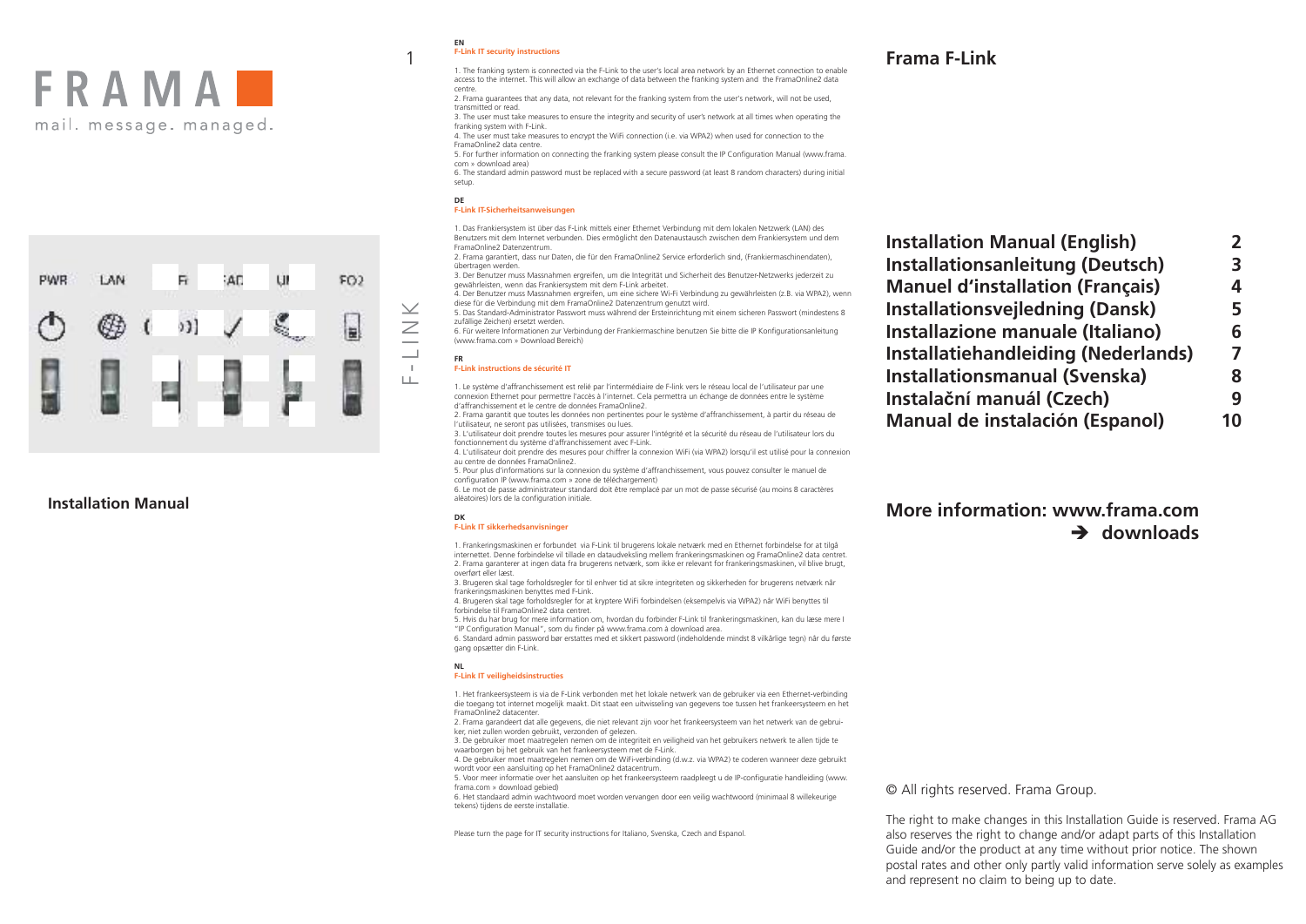



# **Installation Manual**

### **EN F-Link IT security instructions**

1

1. The franking system is connected via the F-Link to the user's local area network by an Ethernet connection to enable access to the internet. This will allow an exchange of data between the franking system and the FramaOnline2 data centre.

2. Frama guarantees that any data, not relevant for the franking system from the user's network, will not be used, transmitted or read.

3. The user must take measures to ensure the integrity and security of user's network at all times when operating the franking system with F-Link.

4. The user must take measures to encrypt the WiFi connection (i.e. via WPA2) when used for connection to the FramaOnline2 data centre.

5. For further information on connecting the franking system please consult the IP Configuration Manual (www.frama. com » download area)

6. The standard admin password must be replaced with a secure password (at least 8 random characters) during initial setup.

### **DE F-Link IT-Sicherheitsanweisungen**

1. Das Frankiersystem ist über das F-Link mittels einer Ethernet Verbindung mit dem lokalen Netzwerk (LAN) des Benutzers mit dem Internet verbunden. Dies ermöglicht den Datenaustausch zwischen dem Frankiersystem und dem FramaOnline2 Datenzentrum.

2. Frama garantiert, dass nur Daten, die für den FramaOnline2 Service erforderlich sind, (Frankiermaschinendaten), übertragen werden.

3. Der Benutzer muss Massnahmen ergreifen, um die Integrität und Sicherheit des Benutzer-Netzwerks jederzeit zu gewährleisten, wenn das Frankiersystem mit dem F-Link arbeitet.

4. Der Benutzer muss Massnahmen ergreifen, um eine sichere Wi-Fi Verbindung zu gewährleisten (z.B. via WPA2), wenn diese für die Verbindung mit dem FramaOnline2 Datenzentrum genutzt wird.

5. Das Standard-Administrator Passwort muss während der Ersteinrichtung mit einem sicheren Passwort (mindestens 8 zufällige Zeichen) ersetzt werden.

6. Für weitere Informationen zur Verbindung der Frankiermaschine benutzen Sie bitte die IP Konfigurationsanleitung (www.frama.com » Download Bereich)

### **FR F-Link instructions de sécurité IT**

1. Le système d'affranchissement est relié par l'intermédiaire de F-link vers le réseau local de l'utilisateur par une connexion Ethernet pour permettre l'accès à l'internet. Cela permettra un échange de données entre le système d'affranchissement et le centre de données FramaOnline2.

2. Frama garantit que toutes les données non pertinentes pour le système d'affranchissement, à partir du réseau de l'utilisateur, ne seront pas utilisées, transmises ou lues.

3. L'utilisateur doit prendre toutes les mesures pour assurer l'intégrité et la sécurité du réseau de l'utilisateur lors du fonctionnement du système d'affranchissement avec F-Link.

4. L'utilisateur doit prendre des mesures pour chiffrer la connexion WiFi (via WPA2) lorsqu'il est utilisé pour la connexion au centre de données FramaOnline2.

5. Pour plus d'informations sur la connexion du système d'affranchissement, vous pouvez consulter le manuel de configuration IP (www.frama.com » zone de téléchargement)

6. Le mot de passe administrateur standard doit être remplacé par un mot de passe sécurisé (au moins 8 caractères aléatoires) lors de la configuration initiale.

### **DK F-Link IT sikkerhedsanvisninger**

1. Frankeringsmaskinen er forbundet via F-Link til brugerens lokale netværk med en Ethernet forbindelse for at tilgå internettet. Denne forbindelse vil tillade en dataudveksling mellem frankeringsmaskinen og FramaOnline2 data centret. 2. Frama garanterer at ingen data fra brugerens netværk, som ikke er relevant for frankeringsmaskinen, vil blive brugt, overført eller læst.

3. Brugeren skal tage forholdsregler for til enhver tid at sikre integriteten og sikkerheden for brugerens netværk når frankeringsmaskinen benyttes med F-Link.

4. Brugeren skal tage forholdsregler for at kryptere WiFi forbindelsen (eksempelvis via WPA2) når WiFi benyttes til forbindelse til FramaOnline2 data centret.

5. Hvis du har brug for mere information om, hvordan du forbinder F-Link til frankeringsmaskinen, kan du læse mere I "IP Configuration Manual", som du finder på www.frama.com à download area.

6. Standard admin password bør erstattes med et sikkert password (indeholdende mindst 8 vilkårlige tegn) når du første gang opsætter din F-Link.

### **NL F-Link IT veiligheidsinstructies**

1. Het frankeersysteem is via de F-Link verbonden met het lokale netwerk van de gebruiker via een Ethernet-verbinding die toegang tot internet mogelijk maakt. Dit staat een uitwisseling van gegevens toe tussen het frankeersysteem en het FramaOnline2 datacenter.

2. Frama garandeert dat alle gegevens, die niet relevant zijn voor het frankeersysteem van het netwerk van de gebruiker, niet zullen worden gebruikt, verzonden of gelezen.

3. De gebruiker moet maatregelen nemen om de integriteit en veiligheid van het gebruikers netwerk te allen tijde te waarborgen bij het gebruik van het frankeersysteem met de F-Link.

4. De gebruiker moet maatregelen nemen om de WiFi-verbinding (d.w.z. via WPA2) te coderen wanneer deze gebruikt wordt voor een aansluiting op het FramaOnline2 datacentrum.

5. Voor meer informatie over het aansluiten op het frankeersysteem raadpleegt u de IP-configuratie handleiding (www. frama.com » download gebied)

6. Het standaard admin wachtwoord moet worden vervangen door een veilig wachtwoord (minimaal 8 willekeurige tekens) tijdens de eerste installatie.

Please turn the page for IT security instructions for Italiano, Svenska, Czech and Espanol.

# **Frama F-Link**

| <b>Installation Manual (English)</b>       | 2  |
|--------------------------------------------|----|
| <b>Installationsanleitung (Deutsch)</b>    | 3  |
| <b>Manuel d'installation (Français)</b>    | 4  |
| <b>Installationsvejledning (Dansk)</b>     | 5  |
| <b>Installazione manuale (Italiano)</b>    | 6  |
| <b>Installatiehandleiding (Nederlands)</b> | 7  |
| <b>Installationsmanual (Svenska)</b>       | 8  |
| Instalační manuál (Czech)                  | q  |
| <b>Manual de instalación (Espanol)</b>     | 10 |
|                                            |    |

# **More information: www.frama.com downloads**

© All rights reserved. Frama Group.

The right to make changes in this Installation Guide is reserved. Frama AG also reserves the right to change and/or adapt parts of this Installation Guide and/or the product at any time without prior notice. The shown postal rates and other only partly valid information serve solely as examples and represent no claim to being up to date.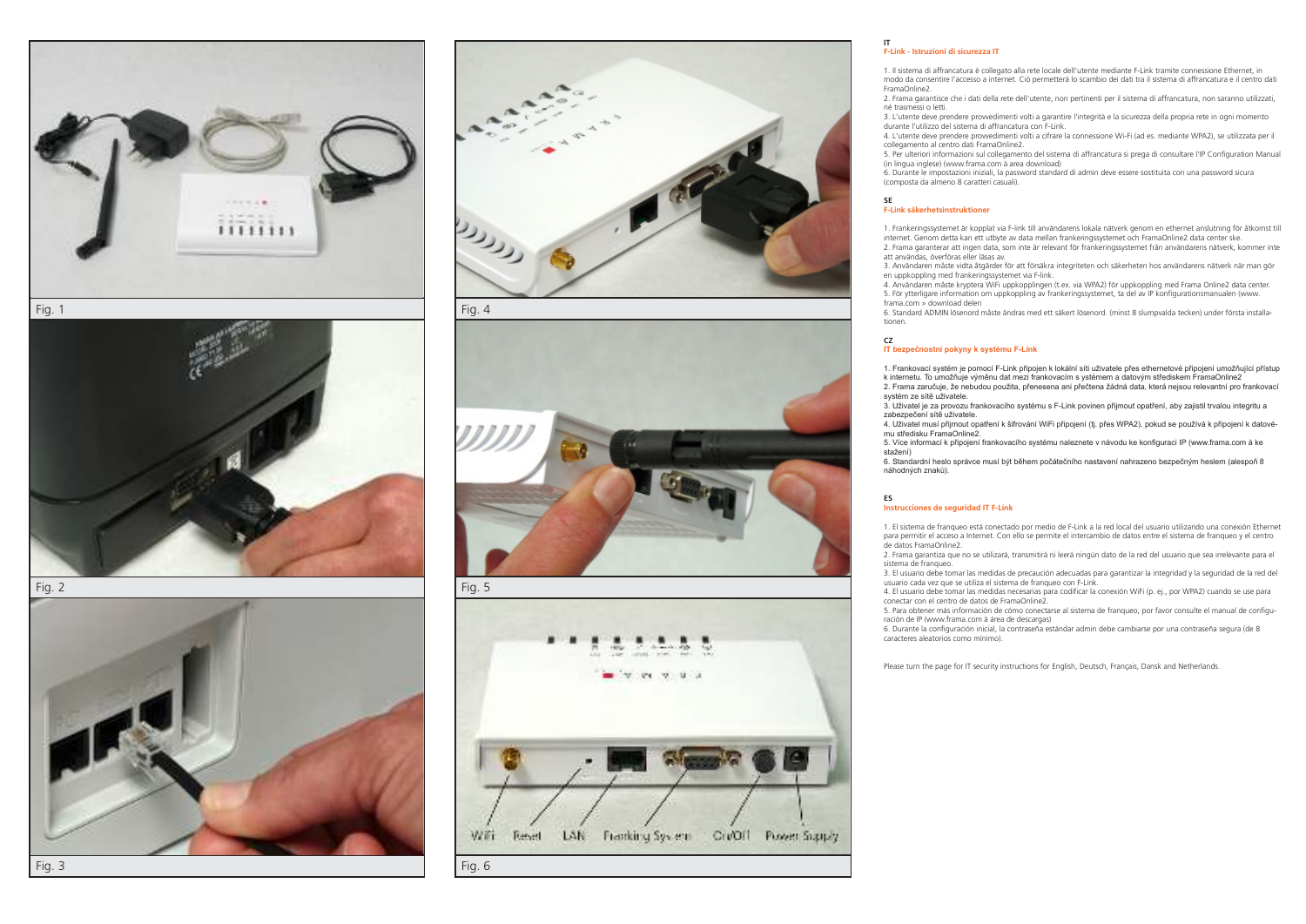



Fig. 2





Fig. 4



Fig. 5



### **IT F-Link - Istruzioni di sicurezza IT**

1. Il sistema di affrancatura è collegato alla rete locale dell'utente mediante F-Link tramite connessione Ethernet, in modo da consentire l'accesso a internet. Ciò permetterà lo scambio dei dati tra il sistema di affrancatura e il centro dati FramaOnline2.

2. Frama garantisce che i dati della rete dell'utente, non pertinenti per il sistema di affrancatura, non saranno utilizzati, né trasmessi o letti.

3. L'utente deve prendere provvedimenti volti a garantire l'integrità e la sicurezza della propria rete in ogni momento durante l'utilizzo del sistema di affrancatura con F-Link.

4. L'utente deve prendere provvedimenti volti a cifrare la connessione Wi-Fi (ad es. mediante WPA2), se utilizzata per il collegamento al centro dati FramaOnline2.

5. Per ulteriori informazioni sul collegamento del sistema di affrancatura si prega di consultare l'IP Configuration Manual (in lingua inglese) (www.frama.com à area download)

6. Durante le impostazioni iniziali, la password standard di admin deve essere sostituita con una password sicura (composta da almeno 8 caratteri casuali).

### **SE F-Link säkerhetsinstruktioner**

1. Frankeringssystemet är kopplat via F-link till användarens lokala nätverk genom en ethernet anslutning för åtkomst till internet. Genom detta kan ett utbyte av data mellan frankeringssystemet och FramaOnline2 data center ske. 2. Frama garanterar att ingen data, som inte är relevant för frankeringssystemet från användarens nätverk, kommer inte att användas, överföras eller läsas av.

3. Användaren måste vidta åtgärder för att försäkra integriteten och säkerheten hos användarens nätverk när man gör

en uppkoppling med frankeringssystemet via F-link. 4. Användaren måste kryptera WiFi uppkopplingen (t.ex. via WPA2) för uppkoppling med Frama Online2 data center.

5. För ytterligare information om uppkoppling av frankeringssystemet, ta del av IP konfigurationsmanualen (www. frama.com » download delen

6. Standard ADMIN lösenord måste ändras med ett säkert lösenord. (minst 8 slumpvalda tecken) under första installationen.

## **CZ**

### **IT bezpečnostní pokyny k systému F-Link**

1. Frankovací systém je pomocí F-Link připojen k lokální síti uživatele přes ethernetové připojení umožňující přístup k internetu. To umožňuje výměnu dat mezi frankovacím s ystémem a datovým střediskem FramaOnline2 2. Frama zaručuje, že nebudou použita, přenesena ani přečtena žádná data, která nejsou relevantní pro frankovací

systém ze sítě uživatele. 3. Uživatel je za provozu frankovacího systému s F-Link povinen přijmout opatření, aby zajistil trvalou integritu a zabezpečení sítě uživatele.

4. Uživatel musí přijmout opatření k šifrování WiFi připojení (tj. přes WPA2), pokud se používá k připojení k datové mu středisku FramaOnline2.

5. Více informací k připojení frankovacího systému naleznete v návodu ke konfiguraci IP (www.frama.com à ke stažení)

6. Standardní heslo správce musí být během počátečního nastavení nahrazeno bezpečným heslem (alespoň 8 náhodných znaků).

### **ES Instrucciones de seguridad IT F-Link**

1. El sistema de franqueo está conectado por medio de F-Link a la red local del usuario utilizando una conexión Ethernet para permitir el acceso a Internet. Con ello se permite el intercambio de datos entre el sistema de franqueo y el centro de datos FramaOnline2.

2. Frama garantiza que no se utilizará, transmitirá ni leerá ningún dato de la red del usuario que sea irrelevante para el sistema de franqueo.

3. El usuario debe tomar las medidas de precaución adecuadas para garantizar la integridad y la seguridad de la red del usuario cada vez que se utiliza el sistema de franqueo con F-Link.

4. El usuario debe tomar las medidas necesarias para codificar la conexión WiFi (p. ej., por WPA2) cuando se use para conectar con el centro de datos de FramaOnline2.

5. Para obtener más información de cómo conectarse al sistema de franqueo, por favor consulte el manual de configuración de IP (www.frama.com à área de descargas)

6. Durante la configuración inicial, la contraseña estándar admin debe cambiarse por una contraseña segura (de 8 caracteres aleatorios como mínimo).

Please turn the page for IT security instructions for English, Deutsch, Français, Dansk and Netherlands.

Fig. 3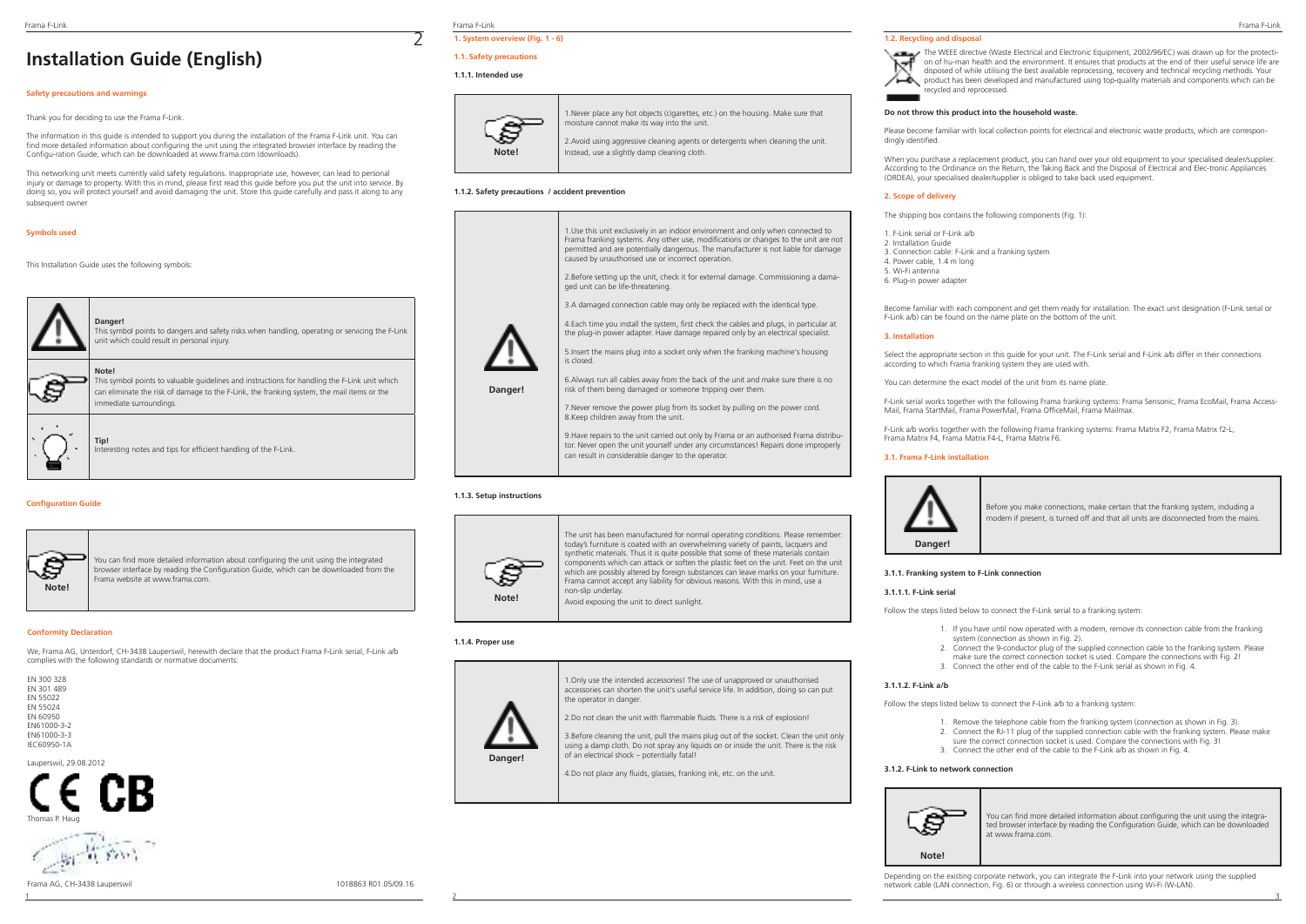# **Installation Guide (English)**

# **Safety precautions and warnings**

## Thank you for deciding to use the Frama F-Link.

The information in this guide is intended to support you during the installation of the Frama F-Link unit. You can find more detailed information about configuring the unit using the integrated browser interface by reading the Configu-ration Guide, which can be downloaded at www.frama.com (downloads).

This networking unit meets currently valid safety regulations. Inappropriate use, however, can lead to personal injury or damage to property. With this in mind, please first read this guide before you put the unit into service. By doing so, you will protect yourself and avoid damaging the unit. Store this guide carefully and pass it along to any subsequent owner

### **Symbols used**

This Installation Guide uses the following symbols:

|  | Danger!<br>This symbol points to dangers and safety risks when handling, operating or servicing the F-Link<br>unit which could result in personal injury.                                                                       |
|--|---------------------------------------------------------------------------------------------------------------------------------------------------------------------------------------------------------------------------------|
|  | Note!<br>This symbol points to valuable quidelines and instructions for handling the F-Link unit which<br>can eliminate the risk of damage to the F-Link, the franking system, the mail items or the<br>immediate surroundings. |
|  | Tip!<br>Interesting notes and tips for efficient handling of the F-Link.                                                                                                                                                        |

### **Configuration Guide**



You can find more detailed information about configuring the unit using the integrated browser interface by reading the Configuration Guide, which can be downloaded from the Frama website at www.frama.com.

### **Conformity Declaration**

We, Frama AG, Unterdorf, CH-3438 Lauperswil, herewith declare that the product Frama F-Link serial, F-Link a/b complies with the following standards or normative documents:

| FN 300 328      |
|-----------------|
| FN 301 489      |
| FN 55022        |
| FN 55024        |
| <b>FN 60950</b> |
| FN61000-3-2     |
| FN61000-3-3     |
| IFC60950-1A     |

Lauperswil, 29.08.2012





Frama AG, CH-3438 Lauperswil 1018863 R01.05/09.16

Frama F-Link Frama F-Link Frama F-Link **1. System overview (Fig. 1 - 6)**

# **1.1. Safety precautions**

### **1.1.1. Intended use**

2



1.Never place any hot objects (cigarettes, etc.) on the housing. Make sure that moisture cannot make its way into the unit. 2.Avoid using aggressive cleaning agents or detergents when cleaning the unit.

Instead, use a slightly damp cleaning cloth.

### **1.1.2. Safety precautions / accident prevention**



### **1.1.3. Setup instructions**



The unit has been manufactured for normal operating conditions. Please remember: today's furniture is coated with an overwhelming variety of paints, lacquers and synthetic materials. Thus it is quite possible that some of these materials contain components which can attack or soften the plastic feet on the unit. Feet on the unit which are possibly altered by foreign substances can leave marks on your furniture. Frama cannot accept any liability for obvious reasons. With this in mind, use a non-slip underlay. Avoid exposing the unit to direct sunlight.

### **1.1.4. Proper use**

**Danger!**

1.Only use the intended accessories! The use of unapproved or unauthorised accessories can shorten the unit's useful service life. In addition, doing so can put the operator in danger.

2. Do not clean the unit with flammable fluids. There is a risk of explosion!

3.Before cleaning the unit, pull the mains plug out of the socket. Clean the unit only using a damp cloth. Do not spray any liquids on or inside the unit. There is the risk of an electrical shock – potentially fatal!

4.Do not place any fluids, glasses, franking ink, etc. on the unit.

### **1.2. Recycling and disposal**

The WEEE directive (Waste Electrical and Electronic Equipment, 2002/96/EC) was drawn up for the protection of hu-man health and the environment. It ensures that products at the end of their useful service life are disposed of while utilising the best available reprocessing, recovery and technical recycling methods. Your product has been developed and manufactured using top-quality materials and components which can be recycled and reprocessed.

### **Do not throw this product into the household waste.**

Please become familiar with local collection points for electrical and electronic waste products, which are correspondingly identified.

When you purchase a replacement product, you can hand over your old equipment to your specialised dealer/supplier. According to the Ordinance on the Return, the Taking Back and the Disposal of Electrical and Elec-tronic Appliances (ORDEA), your specialised dealer/supplier is obliged to take back used equipment.

### **2. Scope of delivery**

The shipping box contains the following components (Fig. 1):

- 1. F-Link serial or F-Link a/b
- 2. Installation Guide
- 3. Connection cable: F-Link and a franking system
- 4. Power cable, 1.4 m long
- 5. Wi-Fi antenna
- 6. Plug-in power adapter

Become familiar with each component and get them ready for installation. The exact unit designation (F-Link serial or F-Link a/b) can be found on the name plate on the bottom of the unit.

### **3. Installation**

Select the appropriate section in this guide for your unit. The F-Link serial and F-Link a/b differ in their connections according to which Frama franking system they are used with.

You can determine the exact model of the unit from its name plate.

F-Link serial works together with the following Frama franking systems: Frama Sensonic, Frama EcoMail, Frama Access-Mail, Frama StartMail, Frama PowerMail, Frama OfficeMail, Frama Mailmax.

F-Link a/b works together with the following Frama franking systems: Frama Matrix F2, Frama Matrix f2-L, Frama Matrix F4, Frama Matrix F4-L, Frama Matrix F6.

### **3.1. Frama F-Link installation**



Before you make connections, make certain that the franking system, including a modem if present, is turned off and that all units are disconnected from the mains.

### **3.1.1. Franking system to F-Link connection**

### **3.1.1.1. F-Link serial**

Follow the steps listed below to connect the F-Link serial to a franking system:

- 1. If you have until now operated with a modem, remove its connection cable from the franking system (connection as shown in Fig. 2).
- 2. Connect the 9-conductor plug of the supplied connection cable to the franking system. Please make sure the correct connection socket is used. Compare the connections with Fig. 2!
- 3. Connect the other end of the cable to the F-Link serial as shown in Fig. 4.

### **3.1.1.2. F-Link a/b**

Follow the steps listed below to connect the F-Link a/b to a franking system:

- 1. Remove the telephone cable from the franking system (connection as shown in Fig. 3).
- 2. Connect the RJ-11 plug of the supplied connection cable with the franking system. Please make
- sure the correct connection socket is used. Compare the connections with Fig. 31. 3. Connect the other end of the cable to the F-Link a/b as shown in Fig. 4.

### **3.1.2. F-Link to network connection**



You can find more detailed information about configuring the unit using the integrated browser interface by reading the Configuration Guide, which can be downloaded at www.frama.com.

Depending on the existing corporate network, you can integrate the F-Link into your network using the supplied network cable (LAN connection, Fig. 6) or through a wireless connection using Wi-Fi (W-LAN).

1 2 3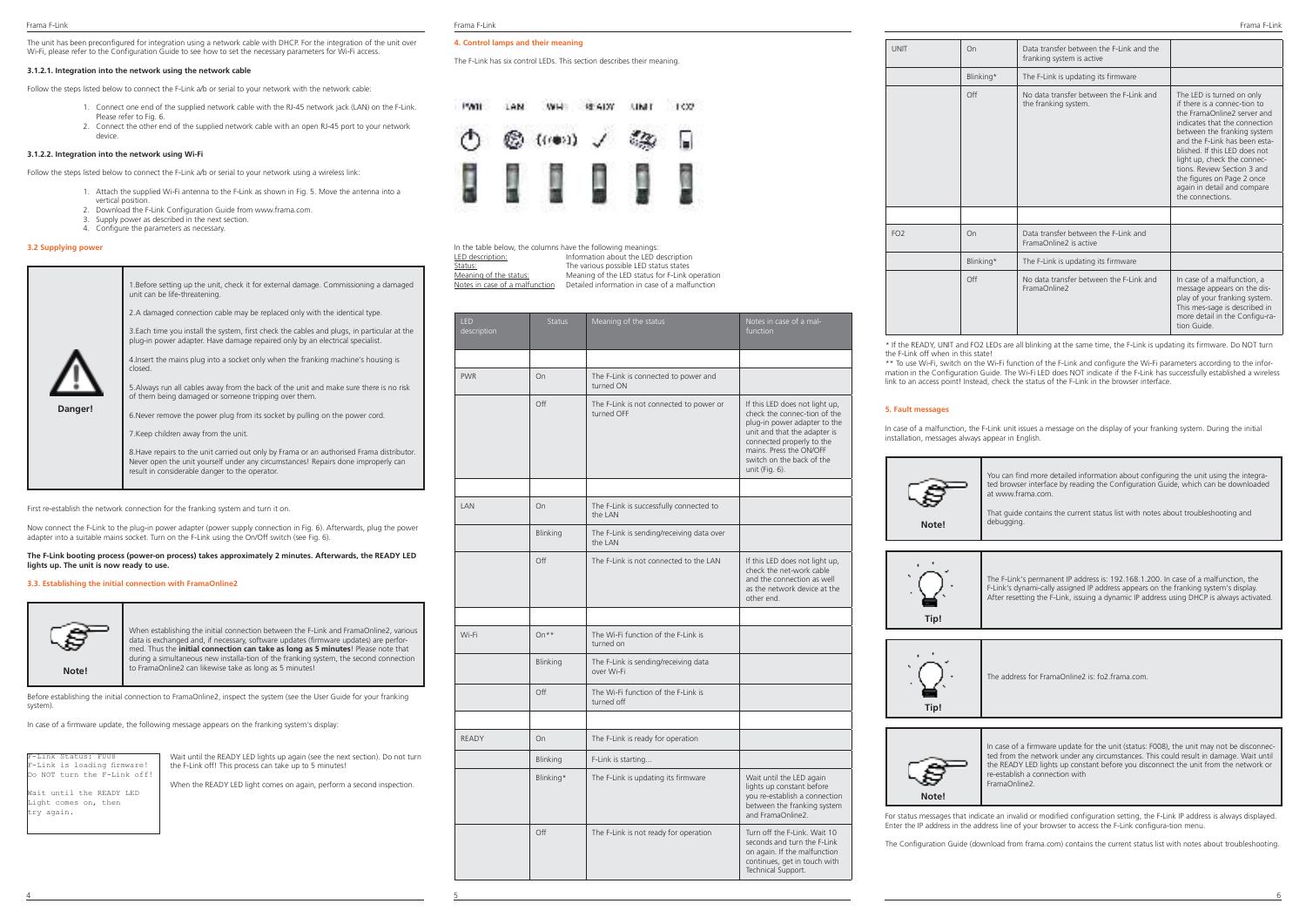The unit has been preconfigured for integration using a network cable with DHCP. For the integration of the unit over Wi-Fi, please refer to the Configuration Guide to see how to set the necessary parameters for Wi-Fi access.

### **3.1.2.1. Integration into the network using the network cable**

Follow the steps listed below to connect the F-Link a/b or serial to your network with the network cable:

- 1. Connect one end of the supplied network cable with the RJ-45 network jack (LAN) on the F-Link. Please refer to Fig. 6.
- 2. Connect the other end of the supplied network cable with an open RJ-45 port to your network device.

### **3.1.2.2. Integration into the network using Wi-Fi**

Follow the steps listed below to connect the F-Link a/b or serial to your network using a wireless link:

- 1. Attach the supplied Wi-Fi antenna to the F-Link as shown in Fig. 5. Move the antenna into a vertical position.
- 2. Download the F-Link Configuration Guide from www.frama.com.
- 3. Supply power as described in the next section.
- 4. Configure the parameters as necessary.

### **3.2 Supplying power**

| Danger! | 1. Before setting up the unit, check it for external damage. Commissioning a damaged<br>unit can be life-threatening.<br>2.A damaged connection cable may be replaced only with the identical type.<br>3. Each time you install the system, first check the cables and plugs, in particular at the<br>plug-in power adapter. Have damage repaired only by an electrical specialist.<br>4. Insert the mains plug into a socket only when the franking machine's housing is<br>closed<br>5. Always run all cables away from the back of the unit and make sure there is no risk<br>of them being damaged or someone tripping over them.<br>6. Never remove the power plug from its socket by pulling on the power cord.<br>7. Keep children away from the unit.<br>8. Have repairs to the unit carried out only by Frama or an authorised Frama distributor.<br>Never open the unit yourself under any circumstances! Repairs done improperly can |
|---------|-------------------------------------------------------------------------------------------------------------------------------------------------------------------------------------------------------------------------------------------------------------------------------------------------------------------------------------------------------------------------------------------------------------------------------------------------------------------------------------------------------------------------------------------------------------------------------------------------------------------------------------------------------------------------------------------------------------------------------------------------------------------------------------------------------------------------------------------------------------------------------------------------------------------------------------------------|
|         | result in considerable danger to the operator.                                                                                                                                                                                                                                                                                                                                                                                                                                                                                                                                                                                                                                                                                                                                                                                                                                                                                                  |

First re-establish the network connection for the franking system and turn it on.

Now connect the F-Link to the plug-in power adapter (power supply connection in Fig. 6). Afterwards, plug the power adapter into a suitable mains socket. Turn on the F-Link using the On/Off switch (see Fig. 6).

### **The F-Link booting process (power-on process) takes approximately 2 minutes. Afterwards, the READY LED lights up. The unit is now ready to use.**

### **3.3. Establishing the initial connection with FramaOnline2**



When establishing the initial connection between the F-Link and FramaOnline2, various data is exchanged and, if necessary, software updates (firmware updates) are performed. Thus the **initial connection can take as long as 5 minutes**! Please note that during a simultaneous new installa-tion of the franking system, the second connection to FramaOnline2 can likewise take as long as 5 minutes!

Before establishing the initial connection to FramaOnline2, inspect the system (see the User Guide for your franking system)

In case of a firmware update, the following message appears on the franking system's display:

| F-Link Status: F008         |
|-----------------------------|
| F-Link is loading firmware! |
| Do NOT turn the F-Link off! |

Wait until the READY LED Light comes on, then try again.

Wait until the READY LED lights up again (see the next section). Do not turn the F-Link off! This process can take up to 5 minutes!

When the READY LED light comes on again, perform a second inspection.

### Frama F-Link Frama F-Link Frama F-Link

### **4. Control lamps and their meaning**

The F-Link has six control LEDs. This section describes their meaning.



In the table below, the columns have the following meanings<br>LED description: Information about the LED LED description:<br>
LED description:<br>
Status: Information about the LED description<br>
The various possible LED status states **Status:** The various possible LED status states<br>Meaning of the status: Meaning of the LED status for E-Link <u>Meaning of the status:</u><br>Meaning of the LED status for F-Link operation<br>Notes in case of a malfunction Detailed information in case of a malfunction Notes in case of a malfunction Detailed information in case of a malfunction

| <b>IFD</b><br>description | <b>Status</b> | Meaning of the status                                 | Notes in case of a mal-<br>function                                                                                                                                                                                                   |
|---------------------------|---------------|-------------------------------------------------------|---------------------------------------------------------------------------------------------------------------------------------------------------------------------------------------------------------------------------------------|
|                           |               |                                                       |                                                                                                                                                                                                                                       |
| <b>PWR</b>                | On            | The F-Link is connected to power and<br>turned ON     |                                                                                                                                                                                                                                       |
|                           | Off           | The F-Link is not connected to power or<br>turned OFF | If this LED does not light up,<br>check the connec-tion of the<br>plug-in power adapter to the<br>unit and that the adapter is<br>connected properly to the<br>mains. Press the ON/OFF<br>switch on the back of the<br>unit (Fig. 6). |
|                           |               |                                                       |                                                                                                                                                                                                                                       |
| <b>IAN</b>                | On            | The F-Link is successfully connected to<br>the LAN    |                                                                                                                                                                                                                                       |
|                           | Blinking      | The F-Link is sending/receiving data over<br>the LAN  |                                                                                                                                                                                                                                       |
|                           | Off           | The F-Link is not connected to the LAN                | If this LED does not light up,<br>check the net-work cable<br>and the connection as well<br>as the network device at the<br>other end.                                                                                                |
|                           |               |                                                       |                                                                                                                                                                                                                                       |
| Wi-Fi                     | On**          | The Wi-Fi function of the F-Link is<br>turned on      |                                                                                                                                                                                                                                       |
|                           | Blinking      | The F-Link is sending/receiving data<br>over Wi-Fi    |                                                                                                                                                                                                                                       |
|                           | Off           | The Wi-Fi function of the F-Link is<br>turned off     |                                                                                                                                                                                                                                       |
|                           |               |                                                       |                                                                                                                                                                                                                                       |
| <b>RFADY</b>              | On            | The F-Link is ready for operation                     |                                                                                                                                                                                                                                       |
|                           | Blinking      | F-Link is starting                                    |                                                                                                                                                                                                                                       |
|                           | Blinking*     | The F-Link is updating its firmware                   | Wait until the LED again<br>lights up constant before<br>you re-establish a connection<br>between the franking system<br>and FramaOnline2.                                                                                            |
|                           | Off           | The F-Link is not ready for operation                 | Turn off the F-Link. Wait 10<br>seconds and turn the F-Link<br>on again. If the malfunction<br>continues, get in touch with<br>Technical Support.                                                                                     |

| <b>UNIT</b>     | On                                                                   | Data transfer between the F-Link and the<br>franking system is active |                                                                                                                                                                                                                                                                                                                                                                          |
|-----------------|----------------------------------------------------------------------|-----------------------------------------------------------------------|--------------------------------------------------------------------------------------------------------------------------------------------------------------------------------------------------------------------------------------------------------------------------------------------------------------------------------------------------------------------------|
|                 | Blinking*                                                            | The F-Link is updating its firmware                                   |                                                                                                                                                                                                                                                                                                                                                                          |
|                 | Off                                                                  | No data transfer between the F-Link and<br>the franking system.       | The LED is turned on only<br>if there is a connec-tion to<br>the FramaOnline2 server and<br>indicates that the connection<br>between the franking system<br>and the F-Link has been esta-<br>blished If this LED does not<br>light up, check the connec-<br>tions, Review Section 3 and<br>the figures on Page 2 once<br>again in detail and compare<br>the connections. |
|                 |                                                                      |                                                                       |                                                                                                                                                                                                                                                                                                                                                                          |
| FO <sub>2</sub> | Data transfer between the F-Link and<br>On<br>FramaOnline2 is active |                                                                       |                                                                                                                                                                                                                                                                                                                                                                          |
|                 | Blinking*                                                            | The F-Link is updating its firmware                                   |                                                                                                                                                                                                                                                                                                                                                                          |
|                 | Off                                                                  | No data transfer between the F-Link and<br>FramaOnline2               | In case of a malfunction, a<br>message appears on the dis-<br>play of your franking system.<br>This mes-sage is described in<br>more detail in the Configu-ra-<br>tion Guide.                                                                                                                                                                                            |

\* If the READY, UNIT and FO2 LEDs are all blinking at the same time, the F-Link is updating its firmware. Do NOT turn the F-Link off when in this state!

\*\* To use Wi-Fi, switch on the Wi-Fi function of the F-Link and configure the Wi-Fi parameters according to the information in the Configuration Guide. The Wi-Fi LED does NOT indicate if the F-Link has successfully established a wireless link to an access point! Instead, check the status of the F-Link in the browser interface.

## **5. Fault messages**

In case of a malfunction, the F-Link unit issues a message on the display of your franking system. During the initial installation, messages always appear in English.



You can find more detailed information about configuring the unit using the integrated browser interface by reading the Configuration Guide, which can be downloaded at www.frama.com.

That guide contains the current status list with notes about troubleshooting and debugging.



The F-Link's permanent IP address is: 192.168.1.200. In case of a malfunction, the F-Link's dynami-cally assigned IP address appears on the franking system's display. After resetting the F-Link, issuing a dynamic IP address using DHCP is always activated.



The address for FramaOnline2 is: fo2.frama.com.



In case of a firmware update for the unit (status: F008), the unit may not be disconnected from the network under any circumstances. This could result in damage. Wait until the READY LED lights up constant before you disconnect the unit from the network or re-establish a connection with FramaOnline2.

For status messages that indicate an invalid or modified configuration setting, the F-Link IP address is always displayed. Enter the IP address in the address line of your browser to access the F-Link configura-tion menu.

The Configuration Guide (download from frama.com) contains the current status list with notes about troubleshooting.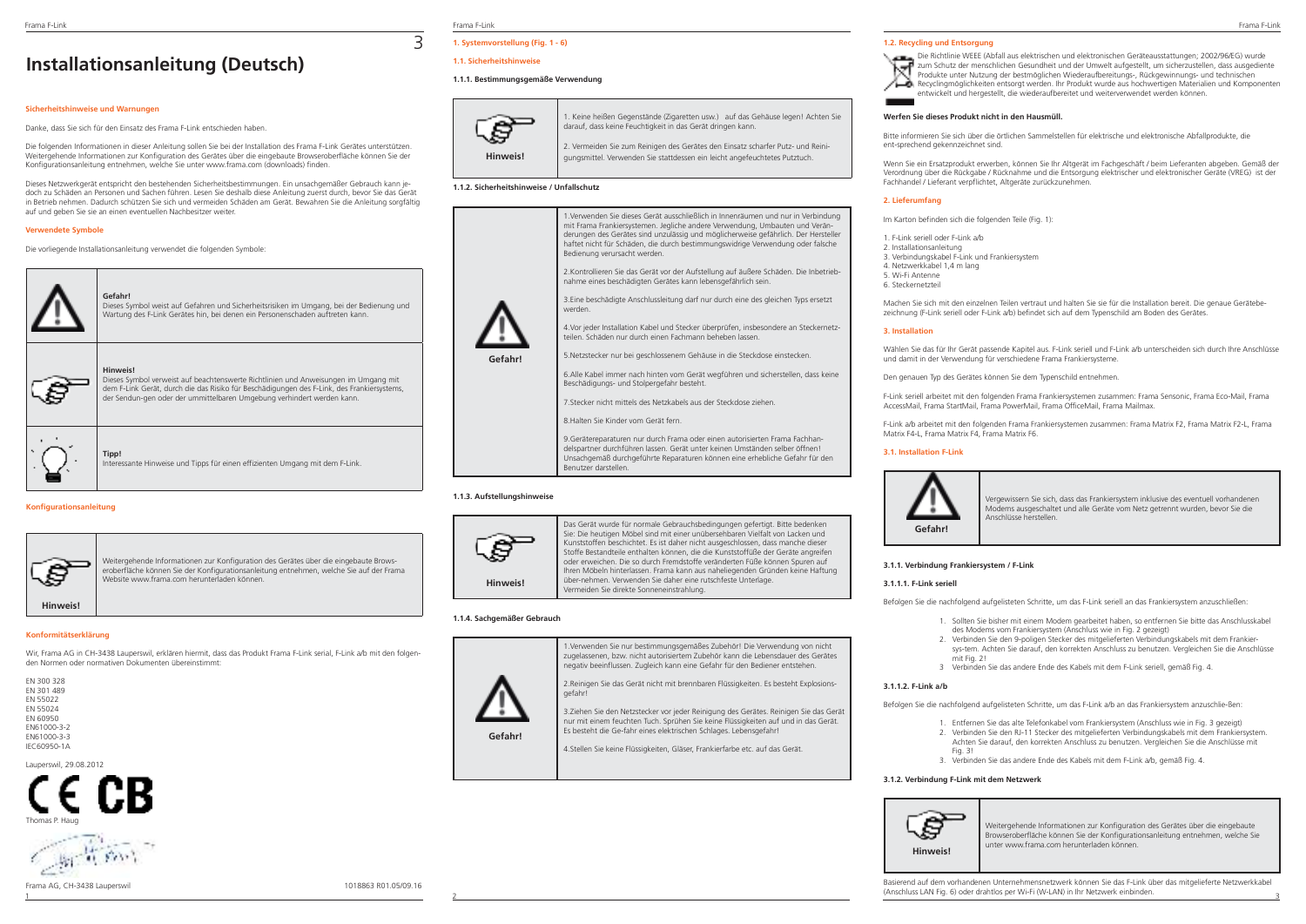# **Installationsanleitung (Deutsch)**

## **Sicherheitshinweise und Warnungen**

Danke, dass Sie sich für den Einsatz des Frama F-Link entschieden haben.

Die folgenden Informationen in dieser Anleitung sollen Sie bei der Installation des Frama F-Link Gerätes unterstützen. Weitergehende Informationen zur Konfiguration des Gerätes über die eingebaute Browseroberfläche können Sie der Konfigurationsanleitung entnehmen, welche Sie unter www.frama.com (downloads) finden.

Dieses Netzwerkgerät entspricht den bestehenden Sicherheitsbestimmungen. Ein unsachgemäßer Gebrauch kann jedoch zu Schäden an Personen und Sachen führen. Lesen Sie deshalb diese Anleitung zuerst durch, bevor Sie das Gerät in Betrieb nehmen. Dadurch schützen Sie sich und vermeiden Schäden am Gerät. Bewahren Sie die Anleitung sorgfältig auf und geben Sie sie an einen eventuellen Nachbesitzer weiter.

### **Verwendete Symbole**

Die vorliegende Installationsanleitung verwendet die folgenden Symbole:



### **Konfigurationsanleitung**



Weitergehende Informationen zur Konfiguration des Gerätes über die eingebaute Browseroberfläche können Sie der Konfigurationsanleitung entnehmen, welche Sie auf der Frama Website www.frama.com herunterladen können.

### **Konformitätserklärung**

Wir, Frama AG in CH-3438 Lauperswil, erklären hiermit, dass das Produkt Frama F-Link serial, F-Link a/b mit den folgenden Normen oder normativen Dokumenten übereinstimmt:

| FN 300 328  |
|-------------|
| FN 301 489  |
| FN 55022    |
| FN 55024    |
| FN 60950    |
| FN61000-3-2 |
| FN61000-3-3 |
| IFC60950-1A |

Lauperswil, 29.08.2012





Frama AG, CH-3438 Lauperswil 1018863 R01.05/09.16

Frama F-Link Frama F-Link Frama F-Link

3

# **1. Systemvorstellung (Fig. 1 - 6)**

## **1.1. Sicherheitshinweise**

### **1.1.1. Bestimmungsgemäße Verwendung**



1. Keine heißen Gegenstände (Zigaretten usw.) auf das Gehäuse legen! Achten Sie darauf, dass keine Feuchtigkeit in das Gerät dringen kann. 2. Vermeiden Sie zum Reinigen des Gerätes den Einsatz scharfer Putz- und Reini-

gungsmittel. Verwenden Sie stattdessen ein leicht angefeuchtetes Putztuch.

### **1.1.2. Sicherheitshinweise / Unfallschutz**



delspartner durchführen lassen. Gerät unter keinen Umständen selber öffnen! Unsachgemäß durchgeführte Reparaturen können eine erhebliche Gefahr für den Benutzer darstellen.

### **1.1.3. Aufstellungshinweise**



Das Gerät wurde für normale Gebrauchsbedingungen gefertigt. Bitte bedenken Sie: Die heutigen Möbel sind mit einer unübersehbaren Vielfalt von Lacken und Kunststoffen beschichtet. Es ist daher nicht ausgeschlossen, dass manche dieser Stoffe Bestandteile enthalten können, die die Kunststoffüße der Geräte angreifen oder erweichen. Die so durch Fremdstoffe veränderten Füße können Spuren auf Ihren Möbeln hinterlassen. Frama kann aus naheliegenden Gründen keine Haftung über-nehmen. Verwenden Sie daher eine rutschfeste Unterlage. Vermeiden Sie direkte Sonneneinstrahlung.

### **1.1.4. Sachgemäßer Gebrauch**



1.Verwenden Sie nur bestimmungsgemäßes Zubehör! Die Verwendung von nicht zugelassenen, bzw. nicht autorisiertem Zubehör kann die Lebensdauer des Gerätes negativ beeinflussen. Zugleich kann eine Gefahr für den Bediener entstehen. 2.Reinigen Sie das Gerät nicht mit brennbaren Flüssigkeiten. Es besteht Explosionsgefahr!

3.Ziehen Sie den Netzstecker vor jeder Reinigung des Gerätes. Reinigen Sie das Gerät nur mit einem feuchten Tuch. Sprühen Sie keine Flüssigkeiten auf und in das Gerät. Es besteht die Ge-fahr eines elektrischen Schlages. Lebensgefahr!

4.Stellen Sie keine Flüssigkeiten, Gläser, Frankierfarbe etc. auf das Gerät.

### **1.2. Recycling und Entsorgung**



### **Werfen Sie dieses Produkt nicht in den Hausmüll.**

Bitte informieren Sie sich über die örtlichen Sammelstellen für elektrische und elektronische Abfallprodukte, die ent-sprechend gekennzeichnet sind.

Wenn Sie ein Ersatzprodukt erwerben, können Sie Ihr Altgerät im Fachgeschäft / beim Lieferanten abgeben. Gemäß der Verordnung über die Rückgabe / Rücknahme und die Entsorgung elektrischer und elektronischer Geräte (VREG) ist der Fachhandel / Lieferant verpflichtet, Altgeräte zurückzunehmen.

### **2. Lieferumfang**

Im Karton befinden sich die folgenden Teile (Fig. 1):

1. F-Link seriell oder F-Link a/b 2. Installationsanleitung 3. Verbindungskabel F-Link und Frankiersystem 4. Netzwerkkabel 1,4 m lang 5. Wi-Fi Antenne 6. Steckernetzteil

Machen Sie sich mit den einzelnen Teilen vertraut und halten Sie sie für die Installation bereit. Die genaue Gerätebezeichnung (F-Link seriell oder F-Link a/b) befindet sich auf dem Typenschild am Boden des Gerätes.

### **3. Installation**

Wählen Sie das für Ihr Gerät passende Kapitel aus. F-Link seriell und F-Link a/b unterscheiden sich durch Ihre Anschlüsse und damit in der Verwendung für verschiedene Frama Frankiersysteme.

Den genauen Typ des Gerätes können Sie dem Typenschild entnehmen.

F-Link seriell arbeitet mit den folgenden Frama Frankiersystemen zusammen: Frama Sensonic, Frama Eco-Mail, Frama AccessMail, Frama StartMail, Frama PowerMail, Frama OfficeMail, Frama Mailmax.

F-Link a/b arbeitet mit den folgenden Frama Frankiersystemen zusammen: Frama Matrix F2, Frama Matrix F2-L, Frama Matrix F4-L, Frama Matrix F4, Frama Matrix F6.

### **3.1. Installation F-Link**



Vergewissern Sie sich, dass das Frankiersystem inklusive des eventuell vorhandenen Modems ausgeschaltet und alle Geräte vom Netz getrennt wurden, bevor Sie die Anschlüsse herstellen.

### **3.1.1. Verbindung Frankiersystem / F-Link**

### **3.1.1.1. F-Link seriell**

Befolgen Sie die nachfolgend aufgelisteten Schritte, um das F-Link seriell an das Frankiersystem anzuschließen:

- 1. Sollten Sie bisher mit einem Modem gearbeitet haben, so entfernen Sie bitte das Anschlusskabel des Modems vom Frankiersystem (Anschluss wie in Fig. 2 gezeigt)
- 2. Verbinden Sie den 9-poligen Stecker des mitgelieferten Verbindungskabels mit dem Frankier sys-tem. Achten Sie darauf, den korrekten Anschluss zu benutzen. Vergleichen Sie die Anschlüsse mit Fig. 21
- 3 Verbinden Sie das andere Ende des Kabels mit dem F-Link seriell, gemäß Fig. 4.

### **3.1.1.2. F-Link a/b**

Befolgen Sie die nachfolgend aufgelisteten Schritte, um das F-Link a/b an das Frankiersystem anzuschlie-ßen:

- 1. Entfernen Sie das alte Telefonkabel vom Frankiersystem (Anschluss wie in Fig. 3 gezeigt)
- 2. Verbinden Sie den RJ-11 Stecker des mitgelieferten Verbindungskabels mit dem Frankiersystem. Achten Sie darauf, den korrekten Anschluss zu benutzen. Vergleichen Sie die Anschlüsse mit Fig. 31
- 3. Verbinden Sie das andere Ende des Kabels mit dem F-Link a/b, gemäß Fig. 4.

### **3.1.2. Verbindung F-Link mit dem Netzwerk**



Weitergehende Informationen zur Konfiguration des Gerätes über die eingebaute Browseroberfläche können Sie der Konfigurationsanleitung entnehmen, welche Sie unter www.frama.com herunterladen können.

 $\frac{2}{3}$   $\frac{2}{3}$   $\frac{2}{3}$   $\frac{2}{3}$   $\frac{2}{3}$   $\frac{2}{3}$   $\frac{2}{3}$   $\frac{2}{3}$   $\frac{2}{3}$   $\frac{2}{3}$   $\frac{2}{3}$   $\frac{2}{3}$   $\frac{2}{3}$   $\frac{2}{3}$   $\frac{2}{3}$   $\frac{2}{3}$   $\frac{2}{3}$   $\frac{2}{3}$   $\frac{2}{3}$   $\frac{2}{3}$   $\frac{2}{3}$   $\frac{2}{3}$  Basierend auf dem vorhandenen Unternehmensnetzwerk können Sie das F-Link über das mitgelieferte Netzwerkkabel (Anschluss LAN Fig. 6) oder drahtlos per Wi-Fi (W-LAN) in Ihr Netzwerk einbinden.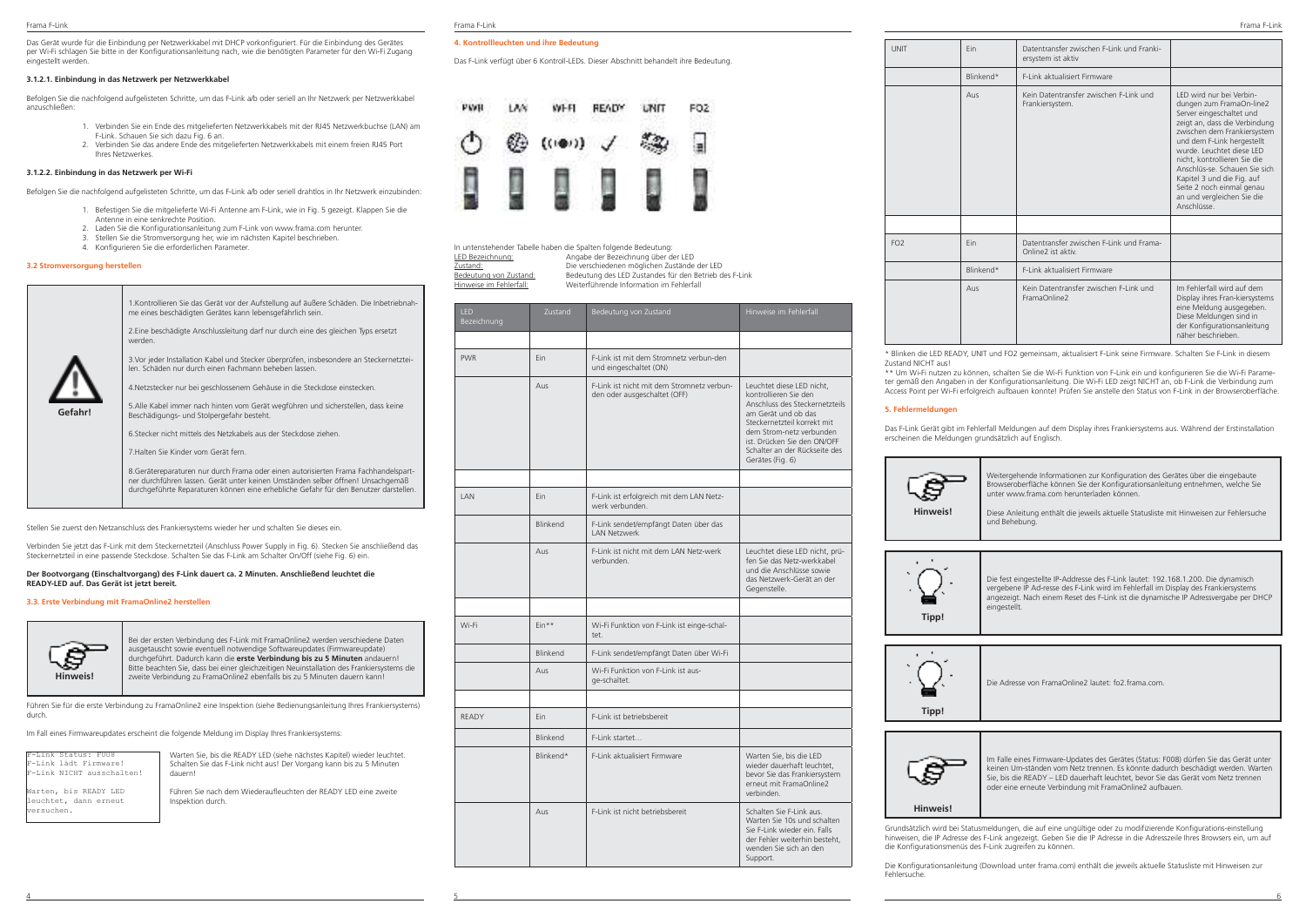Das Gerät wurde für die Einbindung per Netzwerkkabel mit DHCP vorkonfiguriert. Für die Einbindung des Gerätes per Wi-Fi schlagen Sie bitte in der Konfigurationsanleitung nach, wie die benötigten Parameter für den Wi-Fi Zugang eingestellt werden.

### **3.1.2.1. Einbindung in das Netzwerk per Netzwerkkabel**

Befolgen Sie die nachfolgend aufgelisteten Schritte, um das F-Link a/b oder seriell an Ihr Netzwerk per Netzwerkkabel anzuschließen:

- 1. Verbinden Sie ein Ende des mitgelieferten Netzwerkkabels mit der RJ45 Netzwerkbuchse (LAN) am F-Link. Schauen Sie sich dazu Fig. 6 an.
- 2. Verbinden Sie das andere Ende des mitgelieferten Netzwerkkabels mit einem freien RJ45 Port Ihres Netzwerkes.

### **3.1.2.2. Einbindung in das Netzwerk per Wi-Fi**

Befolgen Sie die nachfolgend aufgelisteten Schritte, um das F-Link a/b oder seriell drahtlos in Ihr Netzwerk einzubinden:

- 1. Befestigen Sie die mitgelieferte Wi-Fi Antenne am F-Link, wie in Fig. 5 gezeigt. Klappen Sie die Antenne in eine senkrechte Position.
	-
- 2. Laden Sie die Konfigurationsanleitung zum F-Link von www.frama.com herunter. 3. Stellen Sie die Stromversorgung her, wie im nächsten Kapitel beschrieben.
- 4. Konfigurieren Sie die erforderlichen Parameter.

### **3.2 Stromversorgung herstellen**



Stellen Sie zuerst den Netzanschluss des Frankiersystems wieder her und schalten Sie dieses ein.

Verbinden Sie jetzt das F-Link mit dem Steckernetzteil (Anschluss Power Supply in Fig. 6). Stecken Sie anschließend das Steckernetzteil in eine passende Steckdose. Schalten Sie das F-Link am Schalter On/Off (siehe Fig. 6) ein.

### **Der Bootvorgang (Einschaltvorgang) des F-Link dauert ca. 2 Minuten. Anschließend leuchtet die READY-LED auf. Das Gerät ist jetzt bereit.**

### **3.3. Erste Verbindung mit FramaOnline2 herstellen**



Bei der ersten Verbindung des F-Link mit FramaOnline2 werden verschiedene Daten ausgetauscht sowie eventuell notwendige Softwareupdates (Firmwareupdate) durchgeführt. Dadurch kann die **erste Verbindung bis zu 5 Minuten** andauern! Bitte beachten Sie, dass bei einer gleichzeitigen Neuinstallation des Frankiersystems die zweite Verbindung zu FramaOnline2 ebenfalls bis zu 5 Minuten dauern kann!

Führen Sie für die erste Verbindung zu FramaOnline2 eine Inspektion (siehe Bedienungsanleitung Ihres Frankiersystems) durch.

Im Fall eines Firmwareupdates erscheint die folgende Meldung im Display Ihres Frankiersystems:

F-Link Status: F008 F-Link lädt Firmware! F-Link NICHT ausschalten! Warten, bis READY LED euchtet, dann erneut versuchen.

Warten Sie, bis die READY LED (siehe nächstes Kapitel) wieder leuchtet. Schalten Sie das F-Link nicht aus! Der Vorgang kann bis zu 5 Minuten dauern!

Führen Sie nach dem Wiederaufleuchten der READY LED eine zweite Inspektion durch.

### **4. Kontrollleuchten und ihre Bedeutung**

Das F-Link verfügt über 6 Kontroll-LEDs. Dieser Abschnitt behandelt ihre Bedeutung.



|                         | In untenstehender Tabelle haben die Spalten folgende Bedeutung: |
|-------------------------|-----------------------------------------------------------------|
| LED Bezeichnung:        | Angabe der Bezeichnung über der LED                             |
| Zustand:                | Die verschiedenen möglichen Zustände der LED                    |
| Bedeutung von Zustand:  | Bedeutung des LED Zustandes für den Betrieb des F-Link          |
| Hinweise im Fehlerfall: | Weiterführende Information im Fehlerfall                        |
|                         |                                                                 |

| LED<br>Bezeichnung | Zustand         | Bedeutung von Zustand                                                      | Hinweise im Fehlerfall                                                                                                                                                                                                                                     |
|--------------------|-----------------|----------------------------------------------------------------------------|------------------------------------------------------------------------------------------------------------------------------------------------------------------------------------------------------------------------------------------------------------|
|                    |                 |                                                                            |                                                                                                                                                                                                                                                            |
| <b>PWR</b>         | Ein             | F-Link ist mit dem Stromnetz verbun-den<br>und eingeschaltet (ON)          |                                                                                                                                                                                                                                                            |
|                    | Aus             | F-Link ist nicht mit dem Stromnetz verbun-<br>den oder ausgeschaltet (OFF) | Leuchtet diese LED nicht,<br>kontrollieren Sie den<br>Anschluss des Steckernetzteils<br>am Gerät und ob das<br>Steckernetzteil korrekt mit<br>dem Strom-netz verbunden<br>ist. Drücken Sie den ON/OFF<br>Schalter an der Rückseite des<br>Gerätes (Fig. 6) |
|                    |                 |                                                                            |                                                                                                                                                                                                                                                            |
| <b>IAN</b>         | Fin             | F-Link ist erfolgreich mit dem LAN Netz-<br>werk verbunden.                |                                                                                                                                                                                                                                                            |
|                    | Blinkend        | F-Link sendet/empfängt Daten über das<br><b>LAN Netzwerk</b>               |                                                                                                                                                                                                                                                            |
|                    | Aus             | F-Link ist nicht mit dem LAN Netz-werk<br>verbunden.                       | Leuchtet diese LED nicht, prü-<br>fen Sie das Netz-werkkabel<br>und die Anschlüsse sowie<br>das Netzwerk-Gerät an der<br>Gegenstelle.                                                                                                                      |
|                    |                 |                                                                            |                                                                                                                                                                                                                                                            |
| Wi-Fi              | Ein**           | Wi-Fi Funktion von F-Link ist einge-schal-<br>tet.                         |                                                                                                                                                                                                                                                            |
|                    | <b>Blinkend</b> | F-Link sendet/empfängt Daten über Wi-Fi                                    |                                                                                                                                                                                                                                                            |
|                    | Aus             | Wi-Fi Funktion von F-Link ist aus-<br>ge-schaltet.                         |                                                                                                                                                                                                                                                            |
|                    |                 |                                                                            |                                                                                                                                                                                                                                                            |
| RFADY              | Fin             | F-Link ist betriebsbereit                                                  |                                                                                                                                                                                                                                                            |
|                    | Blinkend        | F-Link startet                                                             |                                                                                                                                                                                                                                                            |
|                    | Blinkend*       | F-Link aktualisiert Firmware                                               | Warten Sie, bis die LED<br>wieder dauerhaft leuchtet,<br>bevor Sie das Frankiersystem<br>erneut mit FramaOnline2<br>verbinden.                                                                                                                             |
|                    | Aus             | F-Link ist nicht betriebsbereit                                            | Schalten Sie F-Link aus.<br>Warten Sie 10s und schalten<br>Sie F-Link wieder ein. Falls<br>der Fehler weiterhin besteht,<br>wenden Sie sich an den<br>Support.                                                                                             |

4 5 6

| <b>UNIT</b>     | Fin       | Datentransfer zwischen F-Link und Franki-<br>ersystem ist aktiv |                                                                                                                                                                                                                                                                                                                                                                                     |
|-----------------|-----------|-----------------------------------------------------------------|-------------------------------------------------------------------------------------------------------------------------------------------------------------------------------------------------------------------------------------------------------------------------------------------------------------------------------------------------------------------------------------|
|                 | Blinkend* | F-Link aktualisiert Firmware                                    |                                                                                                                                                                                                                                                                                                                                                                                     |
|                 | Aus       | Kein Datentransfer zwischen F-Link und<br>Frankiersystem.       | I FD wird nur bei Verbin-<br>dungen zum FramaOn-line2<br>Server eingeschaltet und<br>zeigt an, dass die Verbindung<br>zwischen dem Frankiersystem<br>und dem F-Link hergestellt<br>wurde Leuchtet diese LED<br>nicht, kontrollieren Sie die<br>Anschlüs-se, Schauen Sie sich<br>Kapitel 3 und die Fig. auf<br>Seite 2 noch einmal genau<br>an und vergleichen Sie die<br>Anschlüsse |
|                 |           |                                                                 |                                                                                                                                                                                                                                                                                                                                                                                     |
| FO <sub>2</sub> | Fin       | Datentransfer zwischen F-Link und Frama-<br>Online2 ist aktiv   |                                                                                                                                                                                                                                                                                                                                                                                     |
|                 | Blinkend* | F-Link aktualisiert Firmware                                    |                                                                                                                                                                                                                                                                                                                                                                                     |
|                 | Aus       | Kein Datentransfer zwischen F-Link und<br>FramaOnline2          | Im Fehlerfall wird auf dem<br>Display ihres Fran-kiersystems<br>eine Meldung ausgegeben.<br>Diese Meldungen sind in<br>der Konfigurationsanleitung<br>näher beschrieben                                                                                                                                                                                                             |

Blinken die LED READY, UNIT und FO2 gemeinsam, aktualisiert F-Link seine Firmware. Schalten Sie F-Link in Zustand NICHT aus!

\*\* Um Wi-Fi nutzen zu können, schalten Sie die Wi-Fi Funktion von F-Link ein und konfigurieren Sie die Wi-Fi Parameter gemäß den Angaben in der Konfigurationsanleitung. Die Wi-Fi LED zeigt NICHT an, ob F-Link die Verbindung zum Access Point per Wi-Fi erfolgreich aufbauen konnte! Prüfen Sie anstelle den Status von F-Link in der Browseroberfläche.

### **5. Fehlermeldungen**

Das F-Link Gerät gibt im Fehlerfall Meldungen auf dem Display ihres Frankiersystems aus. Während der Erstinstallation erscheinen die Meldungen grundsätzlich auf Englisch.



Weitergehende Informationen zur Konfiguration des Gerätes über die eingebaute Browseroberfläche können Sie der Konfigurationsanleitung entnehmen, welche Sie unter www.frama.com herunterladen können.

**Hinweis!**

Diese Anleitung enthält die jeweils aktuelle Statusliste mit Hinweisen zur Fehlersuche und Behebung.



Die fest eingestellte IP-Addresse des F-Link lautet: 192.168.1.200. Die dynamisch vergebene IP Ad-resse des F-Link wird im Fehlerfall im Display des Frankiersystems angezeigt. Nach einem Reset des F-Link ist die dynamische IP Adressvergabe per DHCP eingestellt.



Die Adresse von FramaOnline2 lautet: fo2.frama.com.



Im Falle eines Firmware-Updates des Gerätes (Status: F008) dürfen Sie das Gerät unter keinen Um-ständen vom Netz trennen. Es könnte dadurch beschädigt werden. Warten Sie, bis die READY – LED dauerhaft leuchtet, bevor Sie das Gerät vom Netz trennen oder eine erneute Verbindung mit FramaOnline2 aufbauen.

### **Hinweis!**

Grundsätzlich wird bei Statusmeldungen, die auf eine ungültige oder zu modifizierende Konfigurations-einstellung hinweisen, die IP Adresse des F-Link angezeigt. Geben Sie die IP Adresse in die Adresszeile Ihres Browsers ein, um auf die Konfigurationsmenüs des F-Link zugreifen zu können.

Die Konfigurationsanleitung (Download unter frama.com) enthält die jeweils aktuelle Statusliste mit Hinweisen zur Fehlersuche.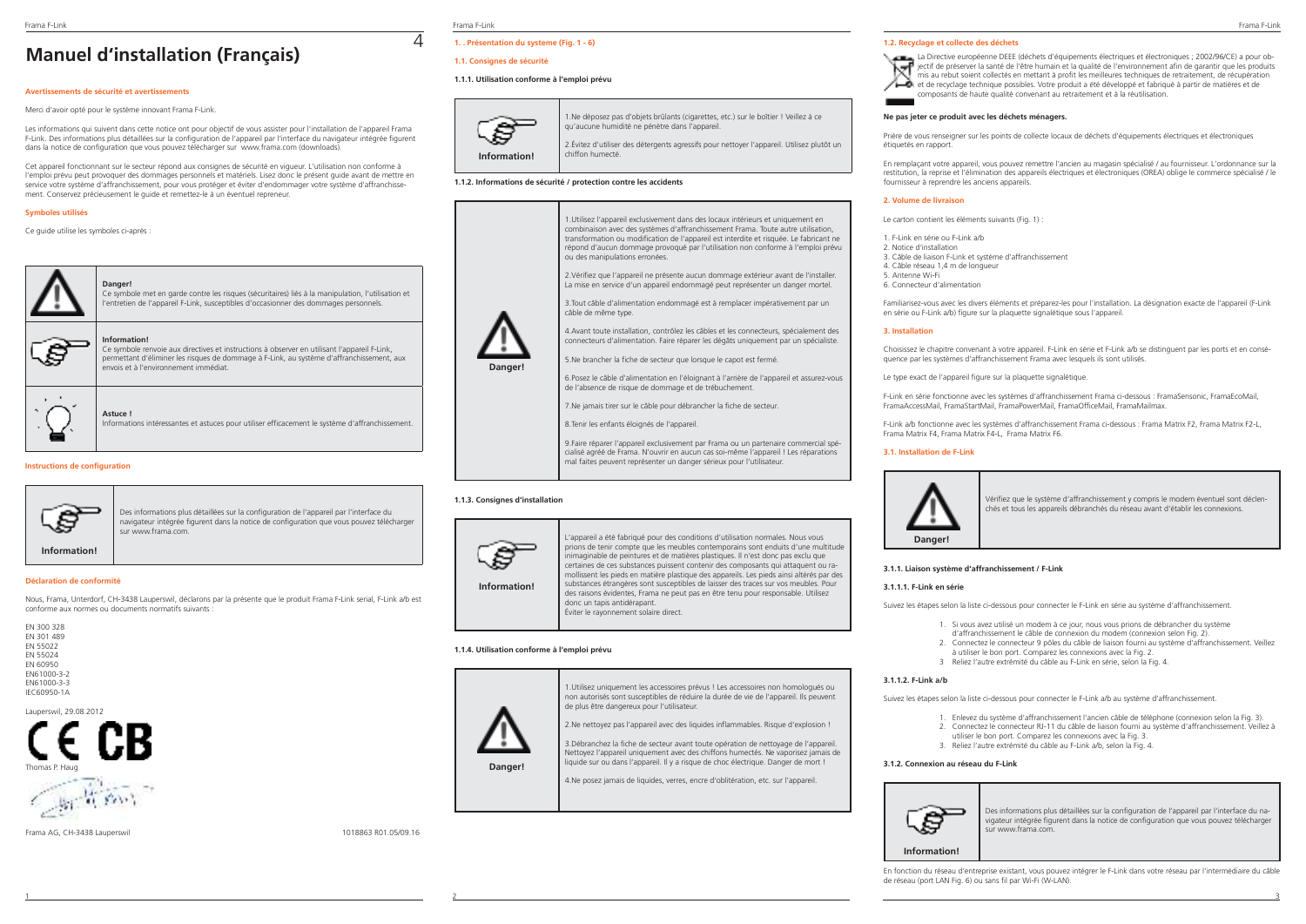# **Manuel d'installation (Français)**

## **Avertissements de sécurité et avertissements**

Merci d'avoir opté pour le système innovant Frama F-Link.

**Information!**

**Astuce !**

envois et à l'environnement immédiat.

Les informations qui suivent dans cette notice ont pour objectif de vous assister pour l'installation de l'appareil Frama F-Link. Des informations plus détaillées sur la configuration de l'appareil par l'interface du navigateur intégrée figurent dans la notice de configuration que vous pouvez télécharger sur www.frama.com (downloads).

Cet appareil fonctionnant sur le secteur répond aux consignes de sécurité en vigueur. L'utilisation non conforme à l'emploi prévu peut provoquer des dommages personnels et matériels. Lisez donc le présent guide avant de mettre en service votre système d'affranchissement, pour vous protéger et éviter d'endommager votre système d'affranchissement. Conservez précieusement le guide et remettez-le à un éventuel repreneur.

# **Symboles utilisés**

Ce guide utilise les symboles ci-après



**Danger!**  Ce symbole met en garde contre les risques (sécuritaires) liés à la manipulation, l'utilisation et l'entretien de l'appareil F-Link, susceptibles d'occasionner des dommages personnels.

Ce symbole renvoie aux directives et instructions à observer en utilisant l'appareil F-Link, permettant d'éliminer les risques de dommage à F-Link, au système d'affranchissement, aux

Informations intéressantes et astuces pour utiliser efficacement le système d'affranchissement.

**Instructions de configuration**



Des informations plus détaillées sur la configuration de l'appareil par l'interface du navigateur intégrée figurent dans la notice de configuration que vous pouvez télécharger sur www.frama.com.

### **Déclaration de conformité**

Nous, Frama, Unterdorf, CH-3438 Lauperswil, déclarons par la présente que le produit Frama F-Link serial, F-Link a/b est conforme aux normes ou documents normatifs suivants :



Lauperswil, 29.08.2012



Frama AG, CH-3438 Lauperswil 1018863 R01.05/09.16

Frama F-Link Frama F-Link Frama F-Link

 $\overline{\Lambda}$ 

# **1. . Présentation du systeme (Fig. 1 - 6)**

## **1.1. Consignes de sécurité**

## **1.1.1. Utilisation conforme à l'emploi prévu**



1.Ne déposez pas d'objets brûlants (cigarettes, etc.) sur le boîtier ! Veillez à ce qu'aucune humidité ne pénètre dans l'appareil. 2.Évitez d'utiliser des détergents agressifs pour nettoyer l'appareil. Utilisez plutôt un chiffon humecté.

**1.1.2. Informations de sécurité / protection contre les accidents**



8.Tenir les enfants éloignés de l'appareil.

9.Faire réparer l'appareil exclusivement par Frama ou un partenaire commercial spécialisé agréé de Frama. N'ouvrir en aucun cas soi-même l'appareil ! Les réparations mal faites peuvent représenter un danger sérieux pour l'utilisateur.

### **1.1.3. Consignes d'installation**



L'appareil a été fabriqué pour des conditions d'utilisation normales. Nous vous prions de tenir compte que les meubles contemporains sont enduits d'une multitude inimaginable de peintures et de matières plastiques. Il n'est donc pas exclu que certaines de ces substances puissent contenir des composants qui attaquent ou ramollissent les pieds en matière plastique des appareils. Les pieds ainsi altérés par des substances étrangères sont susceptibles de laisser des traces sur vos meubles. Pour des raisons évidentes, Frama ne peut pas en être tenu pour responsable. Utilisez donc un tapis antidérapant. Éviter le rayonnement solaire direct.

### **1.1.4. Utilisation conforme à l'emploi prévu**



1.Utilisez uniquement les accessoires prévus ! Les accessoires non homologués ou non autorisés sont susceptibles de réduire la durée de vie de l'appareil. Ils peuvent de plus être dangereux pour l'utilisateur.

2.Ne nettoyez pas l'appareil avec des liquides inflammables. Risque d'explosion !

3.Débranchez la fiche de secteur avant toute opération de nettoyage de l'appareil. Nettoyez l'appareil uniquement avec des chiffons humectés. Ne vaporisez jamais de liquide sur ou dans l'appareil. Il y a risque de choc électrique. Danger de mort !

4.Ne posez jamais de liquides, verres, encre d'oblitération, etc. sur l'appareil.

### **1.2. Recyclage et collecte des déchets**

La Directive européenne DEEE (déchets d'équipements électriques et électroniques ; 2002/96/CE) a pour objectif de préserver la santé de l'être humain et la qualité de l'environnement afin de garantir que les produits mis au rebut soient collectés en mettant à profit les meilleures techniques de retraitement, de récupération et de recyclage technique possibles. Votre produit a été développé et fabriqué à partir de matières et de composants de haute qualité convenant au retraitement et à la réutilisation.

### **Ne pas jeter ce produit avec les déchets ménagers.**

Prière de vous renseigner sur les points de collecte locaux de déchets d'équipements électriques et électroniques étiquetés en rapport.

En remplaçant votre appareil, vous pouvez remettre l'ancien au magasin spécialisé / au fournisseur. L'ordonnance sur la restitution, la reprise et l'élimination des appareils électriques et électroniques (OREA) oblige le commerce spécialisé / le fournisseur à reprendre les anciens appareils.

### **2. Volume de livraison**

Le carton contient les éléments suivants (Fig. 1) :

1. F-Link en série ou F-Link a/b 2. Notice d'installation 3. Câble de liaison F-Link et système d'affranchissement 4. Câble réseau 1,4 m de longueur 5. Antenne Wi-Fi 6. Connecteur d'alimentation

Familiarisez-vous avec les divers éléments et préparez-les pour l'installation. La désignation exacte de l'appareil (F-Link en série ou F-Link a/b) figure sur la plaquette signalétique sous l'appareil.

### **3. Installation**

Choisissez le chapitre convenant à votre appareil. F-Link en série et F-Link a/b se distinguent par les ports et en conséquence par les systèmes d'affranchissement Frama avec lesquels ils sont utilisés.

Le type exact de l'appareil figure sur la plaquette signalétique.

F-Link en série fonctionne avec les systèmes d'affranchissement Frama ci-dessous : FramaSensonic, FramaEcoMail, FramaAccessMail, FramaStartMail, FramaPowerMail, FramaOfficeMail, FramaMailmax.

F-Link a/b fonctionne avec les systèmes d'affranchissement Frama ci-dessous : Frama Matrix F2, Frama Matrix F2-L, Frama Matrix F4, Frama Matrix F4-L, Frama Matrix F6.

### **3.1. Installation de F-Link**



Vérifiez que le système d'affranchissement y compris le modem éventuel sont déclenchés et tous les appareils débranchés du réseau avant d'établir les connexions.

### **3.1.1. Liaison système d'affranchissement / F-Link**

### **3.1.1.1. F-Link en série**

Suivez les étapes selon la liste ci-dessous pour connecter le F-Link en série au système d'affranchissement.

- 1. Si vous avez utilisé un modem à ce jour, nous vous prions de débrancher du système
- d'affranchissement le câble de connexion du modem (connexion selon Fig. 2). 2. Connectez le connecteur 9 pôles du câble de liaison fourni au système d'affranchissement. Veillez
- à utiliser le bon port. Comparez les connexions avec la Fig. 2.
- 3 Reliez l'autre extrémité du câble au F-Link en série, selon la Fig. 4.

# **3.1.1.2. F-Link a/b**

Suivez les étapes selon la liste ci-dessous pour connecter le F-Link a/b au système d'affranchissement.

- 1. Enlevez du système d'affranchissement l'ancien câble de téléphone (connexion selon la Fig. 3).
- 2. Connectez le connecteur RJ-11 du câble de liaison fourni au système d'affranchissement. Veillez à
- utiliser le bon port. Comparez les connexions avec la Fig. 3. 3. Reliez l'autre extrémité du câble au F-Link a/b, selon la Fig. 4.
- **3.1.2. Connexion au réseau du F-Link**



Des informations plus détaillées sur la configuration de l'appareil par l'interface du navigateur intégrée figurent dans la notice de configuration que vous pouvez télécharger sur www.frama.com.

**Information!**

En fonction du réseau d'entreprise existant, vous pouvez intégrer le F-Link dans votre réseau par l'intermédiaire du câble de réseau (port LAN Fig. 6) ou sans fil par Wi-Fi (W-LAN).

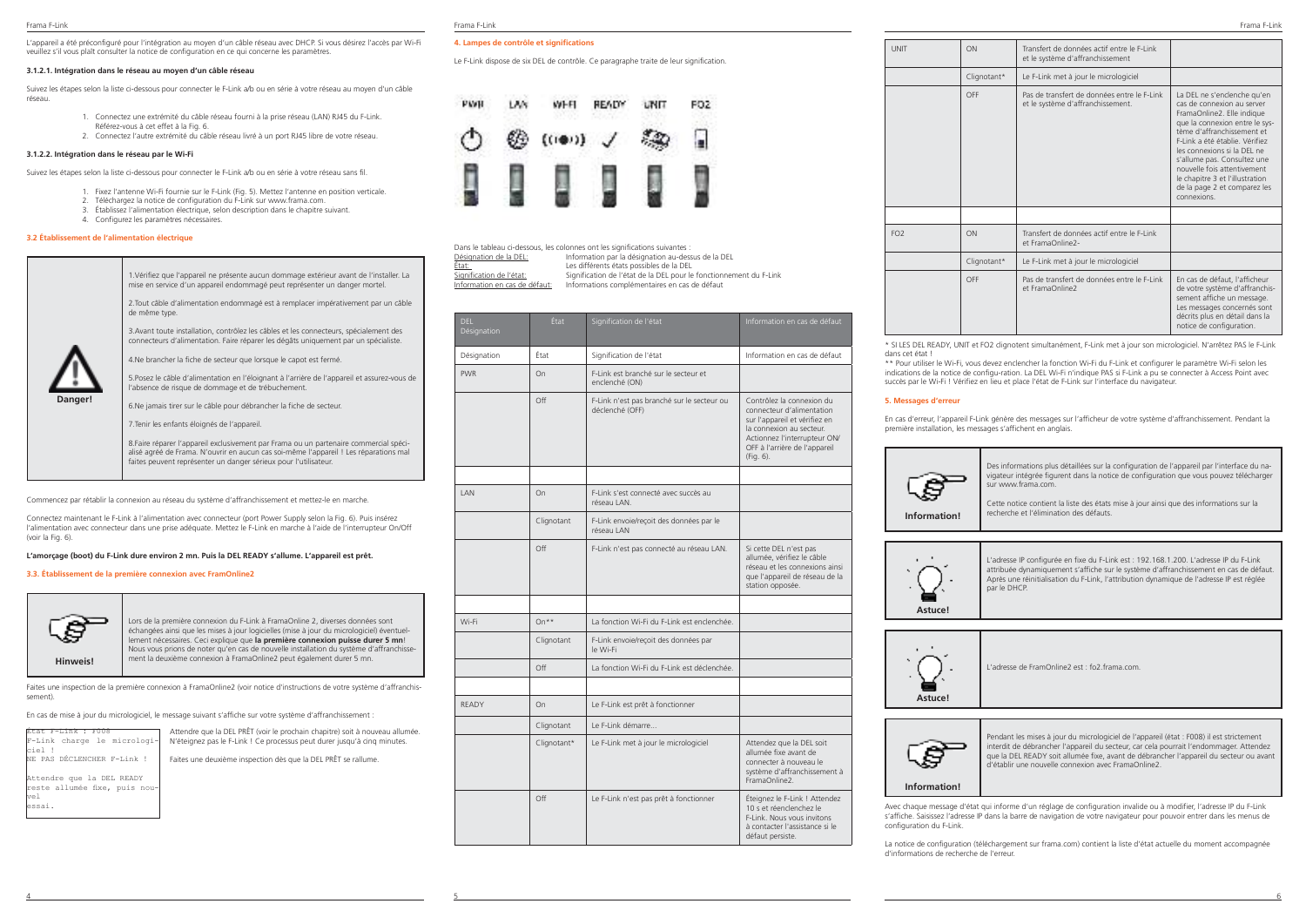L'appareil a été préconfiguré pour l'intégration au moyen d'un câble réseau avec DHCP. Si vous désirez l'accès par Wi-Fi veuillez s'il vous plaît consulter la notice de configuration en ce qui concerne les paramètres.

### **3.1.2.1. Intégration dans le réseau au moyen d'un câble réseau**

Suivez les étapes selon la liste ci-dessous pour connecter le F-Link a/b ou en série à votre réseau au moyen d'un câble réseau.

- 1. Connectez une extrémité du câble réseau fourni à la prise réseau (LAN) RJ45 du F-Link. Référez-vous à cet effet à la Fig. 6.
- 2. Connectez l'autre extrémité du câble réseau livré à un port RJ45 libre de votre réseau.

### **3.1.2.2. Intégration dans le réseau par le Wi-Fi**

Suivez les étapes selon la liste ci-dessous pour connecter le F-Link a/b ou en série à votre réseau sans fil.

- 1. Fixez l'antenne Wi-Fi fournie sur le F-Link (Fig. 5). Mettez l'antenne en position verticale.
- 2. Téléchargez la notice de configuration du F-Link sur www.frama.com. 3. Établissez l'alimentation électrique, selon description dans le chapitre suivant.
- 4. Configurez les paramètres nécessaires.
- **3.2 Établissement de l'alimentation électrique**

# **Danger!** 1.Vérifiez que l'appareil ne présente aucun dommage extérieur avant de l'installer. La mise en service d'un appareil endommagé peut représenter un danger mortel. 2.Tout câble d'alimentation endommagé est à remplacer impérativement par un câble de même type. 3.Avant toute installation, contrôlez les câbles et les connecteurs, spécialement des connecteurs d'alimentation. Faire réparer les dégâts uniquement par un spécialiste. 4.Ne brancher la fiche de secteur que lorsque le capot est fermé. 5.Posez le câble d'alimentation en l'éloignant à l'arrière de l'appareil et assurez-vous de l'absence de risque de dommage et de trébuchement.

6.Ne jamais tirer sur le câble pour débrancher la fiche de secteur.

7.Tenir les enfants éloignés de l'appareil.

8.Faire réparer l'appareil exclusivement par Frama ou un partenaire commercial spécialisé agréé de Frama. N'ouvrir en aucun cas soi-même l'appareil ! Les réparations mal faites peuvent représenter un danger sérieux pour l'utilisateur.

Commencez par rétablir la connexion au réseau du système d'affranchissement et mettez-le en marche.

Connectez maintenant le F-Link à l'alimentation avec connecteur (port Power Supply selon la Fig. 6). Puis insérez l'alimentation avec connecteur dans une prise adéquate. Mettez le F-Link en marche à l'aide de l'interrupteur On/Off (voir la Fig. 6).

### **L'amorçage (boot) du F-Link dure environ 2 mn. Puis la DEL READY s'allume. L'appareil est prêt.**

### **3.3. Établissement de la première connexion avec FramOnline2**



Lors de la première connexion du F-Link à FramaOnline 2, diverses données sont échangées ainsi que les mises à jour logicielles (mise à jour du micrologiciel) éventuellement nécessaires. Ceci explique que **la première connexion puisse durer 5 mn**! Nous vous prions de noter qu'en cas de nouvelle installation du système d'affranchissement la deuxième connexion à FramaOnline2 peut également durer 5 mn.

> Attendre que la DEL PRÊT (voir le prochain chapitre) soit à nouveau allumée. N'éteignez pas le F-Link ! Ce processus peut durer jusqu'à cinq minutes. Faites une deuxième inspection dès que la DEL PRÊT se rallume.

Faites une inspection de la première connexion à FramaOnline2 (voir notice d'instructions de votre système d'affranchissement).

En cas de mise à jour du micrologiciel, le message suivant s'affiche sur votre système d'affranchissement :

| État F-Link : F008            |
|-------------------------------|
| F-Link charge le micrologi-   |
| ciel !                        |
| NE PAS DÉCLENCHER F-Link !    |
|                               |
| Attendre que la DEL READY     |
| reste allumée fixe, puis nou- |
| vel                           |
| essai.                        |
|                               |

### **4. Lampes de contrôle et significations**

Le F-Link dispose de six DEL de contrôle. Ce paragraphe traite de leur signification.



Dans le tableau ci-dessous, les colonnes ont les significations suivantes :<br>Désignation de la DEL:<br>Information par la désignation au des Désignation de la DEL: Information par la désignation au-dessus de la DEL Etat:<br>
Les différents états possibles de la DEL<br>
Signification de l'état:<br>
Signification de l'état de la DEL pour le signification de l'état:<br>Signification de l'état de la DEL pour le fonctionnement du F-Link<br>Information en cas de défaut: Informations complémentaires en cas de défaut Information en cas de défaut: Informations complémentaires en cas de défaut

| <b>DFI</b><br>Désignation | État        | Signification de l'état                                       | Information en cas de défaut                                                                                                                                                                      |
|---------------------------|-------------|---------------------------------------------------------------|---------------------------------------------------------------------------------------------------------------------------------------------------------------------------------------------------|
| Désignation               | État        | Signification de l'état                                       | Information en cas de défaut                                                                                                                                                                      |
| <b>PWR</b>                | On          | E-Link est branché sur le secteur et<br>enclenché (ON)        |                                                                                                                                                                                                   |
|                           | Off         | F-Link n'est pas branché sur le secteur ou<br>déclenché (OFF) | Contrôlez la connexion du<br>connecteur d'alimentation<br>sur l'appareil et vérifiez en<br>la connexion au secteur.<br>Actionnez l'interrupteur ON/<br>OFF à l'arrière de l'appareil<br>(Fig. 6). |
|                           |             |                                                               |                                                                                                                                                                                                   |
| <b>IAN</b>                | On          | F-Link s'est connecté avec succès au<br>réseau LAN.           |                                                                                                                                                                                                   |
|                           | Clignotant  | F-Link envoie/reçoit des données par le<br>réseau LAN         |                                                                                                                                                                                                   |
|                           | Off         | F-Link n'est pas connecté au réseau LAN.                      | Si cette DEL n'est pas<br>allumée, vérifiez le câble<br>réseau et les connexions ainsi<br>que l'appareil de réseau de la<br>station opposée.                                                      |
|                           |             |                                                               |                                                                                                                                                                                                   |
| Wi-Fi                     | $On**$      | La fonction Wi-Fi du F-Link est enclenchée.                   |                                                                                                                                                                                                   |
|                           | Clignotant  | F-Link envoie/reçoit des données par<br>le Wi-Fi              |                                                                                                                                                                                                   |
|                           | Off         | La fonction Wi-Fi du F-Link est déclenchée.                   |                                                                                                                                                                                                   |
|                           |             |                                                               |                                                                                                                                                                                                   |
| <b>READY</b>              | On          | Le F-Link est prêt à fonctionner                              |                                                                                                                                                                                                   |
|                           | Clignotant  | Le F-Link démarre                                             |                                                                                                                                                                                                   |
|                           | Clignotant* | Le F-Link met à jour le micrologiciel                         | Attendez que la DEL soit<br>allumée fixe avant de<br>connecter à nouveau le<br>système d'affranchissement à<br>FramaOnline2                                                                       |
|                           | Off         | Le F-Link n'est pas prêt à fonctionner                        | Éteignez le F-Link ! Attendez<br>10 s et réenclenchez le<br>F-Link. Nous yous invitons<br>à contacter l'assistance si le<br>défaut persiste.                                                      |

| UNIT            | ON          | Transfert de données actif entre le F-Link<br>et le système d'affranchissement   |                                                                                                                                                                                                                                                                                                                                                                          |
|-----------------|-------------|----------------------------------------------------------------------------------|--------------------------------------------------------------------------------------------------------------------------------------------------------------------------------------------------------------------------------------------------------------------------------------------------------------------------------------------------------------------------|
|                 | Clignotant* | Le F-Link met à jour le micrologiciel                                            |                                                                                                                                                                                                                                                                                                                                                                          |
|                 | OFF         | Pas de transfert de données entre le F-Link<br>et le système d'affranchissement. | La DEL ne s'enclenche qu'en<br>cas de connexion au server<br>FramaOnline2. Elle indique<br>que la connexion entre le sys-<br>tème d'affranchissement et<br>F-Link a été établie. Vérifiez<br>les connexions si la DEL ne<br>s'allume pas. Consultez une<br>nouvelle fois attentivement<br>le chapitre 3 et l'illustration<br>de la page 2 et comparez les<br>connexions. |
|                 |             |                                                                                  |                                                                                                                                                                                                                                                                                                                                                                          |
| FO <sub>2</sub> | ON          | Transfert de données actif entre le F-Link<br>et FramaOnline2-                   |                                                                                                                                                                                                                                                                                                                                                                          |
|                 | Clignotant* | Le F-Link met à jour le micrologiciel                                            |                                                                                                                                                                                                                                                                                                                                                                          |
|                 | OFF         | Pas de transfert de données entre le F-Link<br>et FramaOnline2                   | En cas de défaut, l'afficheur<br>de votre système d'affranchis-<br>sement affiche un message.<br>Les messages concernés sont<br>décrits plus en détail dans la<br>notice de configuration.                                                                                                                                                                               |

Itanément, F-Link met à jour son micrologiciel. N'arrêtez PAS le F-Link dans cet état !

\*\* Pour utiliser le Wi-Fi, vous devez enclencher la fonction Wi-Fi du F-Link et configurer le paramètre Wi-Fi selon les indications de la notice de configu-ration. La DEL Wi-Fi n'indique PAS si F-Link a pu se connecter à Access Point avec succès par le Wi-Fi ! Vérifiez en lieu et place l'état de F-Link sur l'interface du navigateur.

### **5. Messages d'erreur**

En cas d'erreur, l'appareil F-Link génère des messages sur l'afficheur de votre système d'affranchissement. Pendant la première installation, les messages s'affichent en anglais.



Des informations plus détaillées sur la configuration de l'appareil par l'interface du navigateur intégrée figurent dans la notice de configuration que vous pouvez télécharger sur www.frama.com. Cette notice contient la liste des états mise à jour ainsi que des informations sur la

**Information!**

**Astuce!**

L'adresse IP configurée en fixe du F-Link est : 192.168.1.200. L'adresse IP du F-Link attribuée dynamiquement s'affiche sur le système d'affranchissement en cas de défaut. Après une réinitialisation du F-Link, l'attribution dynamique de l'adresse IP est réglée par le DHCP.



L'adresse de FramOnline2 est : fo2 frama.com

recherche et l'élimination des défauts.



Pendant les mises à jour du micrologiciel de l'appareil (état : F008) il est strictement interdit de débrancher l'appareil du secteur, car cela pourrait l'endommager. Attendez que la DEL READY soit allumée fixe, avant de débrancher l'appareil du secteur ou avant d'établir une nouvelle connexion avec FramaOnline2.

Avec chaque message d'état qui informe d'un réglage de configuration invalide ou à modifier, l'adresse IP du F-Link s'affiche. Saisissez l'adresse IP dans la barre de navigation de votre navigateur pour pouvoir entrer dans les menus de configuration du F-Link.

La notice de configuration (téléchargement sur frama.com) contient la liste d'état actuelle du moment accompagnée d'informations de recherche de l'erreur.

|                            | FO <sub>2</sub>                                   | ON          | Transfert<br>et Frama |
|----------------------------|---------------------------------------------------|-------------|-----------------------|
|                            |                                                   | Clignotant* | Le F-Link             |
| nk<br>ion en cas de défaut |                                                   | OFF         | Pas de tr<br>et Frama |
|                            | * SI LES DEL READY, UNIT et FO2 clignotent simult |             |                       |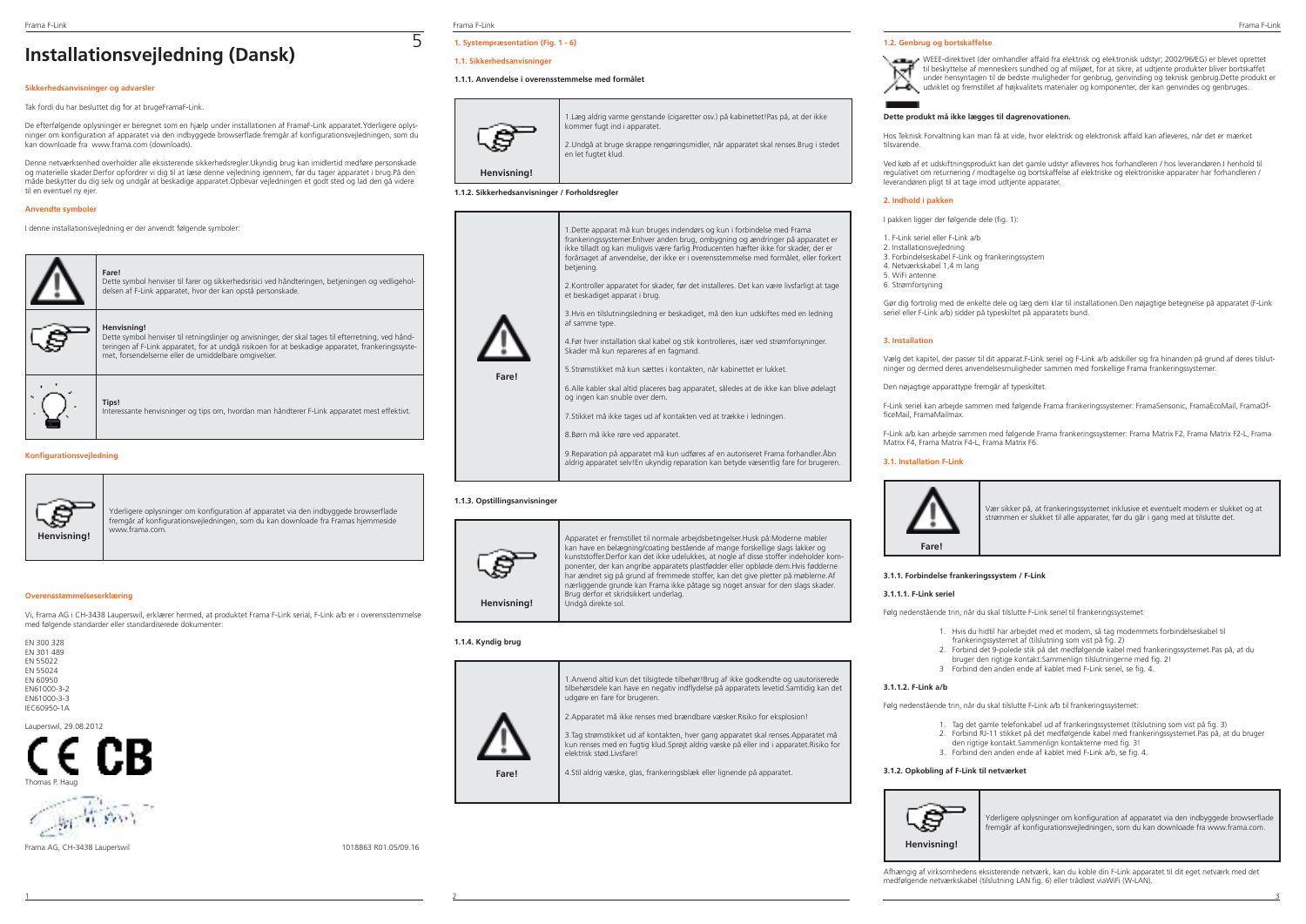# **Installationsvejledning (Dansk)**

### **Sikkerhedsanvisninger og advarsler**

Tak fordi du har besluttet dig for at brugeFramaF-Link.

De efterfølgende oplysninger er beregnet som en hjælp under installationen af FramaF-Link apparatet.Yderligere oplysninger om konfiguration af apparatet via den indbyggede browserflade fremgår af konfigurationsvejledningen, som du kan downloade fra www.frama.com (downloads).

Denne netværksenhed overholder alle eksisterende sikkerhedsregler.Ukyndig brug kan imidlertid medføre personskade og materielle skader.Derfor opfordrer vi dig til at læse denne vejledning igennem, før du tager apparatet i brug.På den måde beskytter du dig selv og undgår at beskadige apparatet.Opbevar vejledningen et godt sted og lad den gå videre til en eventuel ny ejer.

### **Anvendte symboler**

I denne installationsvejledning er der anvendt følgende symboler:

**Fare!**

**Henvisning!**



Dette symbol henviser til farer og sikkerhedsrisici ved håndteringen, betjeningen og vedligeholdelsen af F-Link apparatet, hvor der kan opstå personskade.

Dette symbol henviser til retningslinjer og anvisninger, der skal tages til efterretning, ved håndteringen af F-Link apparatet, for at undgå risikoen for at beskadige apparatet, frankeringssystemet, forsendelserne eller de umiddelbare omgivelser.

**Tips!** Interessante henvisninger og tips om, hvordan man håndterer F-Link apparatet mest effektivt.

## **Konfigurationsvejledning**



Yderligere oplysninger om konfiguration af apparatet via den indbyggede browserflade fremgår af konfigurationsvejledningen, som du kan downloade fra Framas hjemmeside www.frama.com.

### **Overensstemmelseserklæring**

Vi, Frama AG i CH-3438 Lauperswil, erklærer hermed, at produktet Frama F-Link serial, F-Link a/b er i overensstemmelse med følgende standarder eller standardiserede dokumenter:



IEC60950-1A



Thomas P. Haug



Frama AG, CH-3438 Lauperswil 1018863 R01.05/09.16

# Frama F-Link Frama F-Link Frama F-Link

5

# **1. Systempræsentation (Fig. 1 - 6)**

# **1.1. Sikkerhedsanvisninger**

### **1.1.1. Anvendelse i overensstemmelse med formålet**



1.Læg aldrig varme genstande (cigaretter osv.) på kabinettet!Pas på, at der ikke kommer fugt ind i apparatet. 2.Undgå at bruge skrappe rengøringsmidler, når apparatet skal renses.Brug i stedet en let fugtet klud.

**Henvisning!**

### **1.1.2. Sikkerhedsanvisninger / Forholdsregler**



9.Reparation på apparatet må kun udføres af en autoriseret Frama forhandler.Åbn aldrig apparatet selv!En ukyndig reparation kan betyde væsentlig fare for brugeren.

### **1.1.3. Opstillingsanvisninger**



Apparatet er fremstillet til normale arbejdsbetingelser.Husk på:Moderne møbler kan have en belægning/coating bestående af mange forskellige slags lakker og kunststoffer.Derfor kan det ikke udelukkes, at nogle af disse stoffer indeholder komponenter, der kan angribe apparatets plastfødder eller opbløde dem.Hvis fødderne har ændret sig på grund af fremmede stoffer, kan det give pletter på møblerne.Af nærliggende grunde kan Frama ikke påtage sig noget ansvar for den slags skader. Brug derfor et skridsikkert underlag. Undgå direkte sol.

1.Anvend altid kun det tilsigtede tilbehør!Brug af ikke godkendte og uautoriserede tilbehørsdele kan have en negativ indflydelse på apparatets levetid.Samtidig kan det

2. Apparatet må ikke renses med brændbare væsker. Risiko for eksplosion! 3.Tag strømstikket ud af kontakten, hver gang apparatet skal renses.Apparatet må kun renses med en fugtig klud.Sprøjt aldrig væske på eller ind i apparatet.Risiko for

### **1.1.4. Kyndig brug**



4.Stil aldrig væske, glas, frankeringsblæk eller lignende på apparatet.

udgøre en fare for brugeren.

elektrisk stød.Livsfare

### **1.2. Genbrug og bortskaffelse**

WEEE-direktivet (der omhandler affald fra elektrisk og elektronisk udstyr; 2002/96/EG) er blevet oprettet til beskyttelse af menneskers sundhed og af miljøet, for at sikre, at udtjente produkter bliver bortskaffet under hensyntagen til de bedste muligheder for genbrug, genvinding og teknisk genbrug.Dette produkt er udviklet og fremstillet af højkvalitets materialer og komponenter, der kan genvindes og genbruges.

### **Dette produkt må ikke lægges til dagrenovationen.**

Hos Teknisk Forvaltning kan man få at vide, hvor elektrisk og elektronisk affald kan afleveres, når det er mærket tilsvarende.

Ved køb af et udskiftningsprodukt kan det gamle udstyr afleveres hos forhandleren / hos leverandøren.I henhold til regulativet om returnering / modtagelse og bortskaffelse af elektriske og elektroniske apparater har forhandleren / leverandøren pligt til at tage imod udtjente apparater.

### **2. Indhold i pakken**

I pakken ligger der følgende dele (fig. 1):

1. F-Link seriel eller F-Link a/b 2. Installationsvejledning 3. Forbindelseskabel F-Link og frankeringssystem 4. Netværkskabel 1,4 m lang 5. WiFi antenne 6. Strømforsyning

Gør dig fortrolig med de enkelte dele og læg dem klar til installationen.Den nøjagtige betegnelse på apparatet (F-Link seriel eller F-Link a/b) sidder på typeskiltet på apparatets bund.

### **3. Installation**

Vælg det kapitel, der passer til dit apparat.F-Link seriel og F-Link a/b adskiller sig fra hinanden på grund af deres tilslutninger og dermed deres anvendelsesmuligheder sammen med forskellige Frama frankeringssystemer.

Den nøjagtige apparattype fremgår af typeskiltet.

F-Link seriel kan arbejde sammen med følgende Frama frankeringssystemer: FramaSensonic, FramaEcoMail, FramaOfficeMail, FramaMailmax.

F-Link a/b kan arbejde sammen med følgende Frama frankeringssystemer: Frama Matrix F2, Frama Matrix F2-L, Frama Matrix F4, Frama Matrix F4-L, Frama Matrix F6.

### **3.1. Installation F-Link**



Vær sikker på, at frankeringssystemet inklusive et eventuelt modem er slukket og at strømmen er slukket til alle apparater, før du går i gang med at tilslutte det.

### **3.1.1. Forbindelse frankeringssystem / F-Link**

### **3.1.1.1. F-Link seriel**

Følg nedenstående trin, når du skal tilslutte F-Link seriel til frankeringssystemet:

- 1. Hvis du hidtil har arbejdet med et modem, så tag modemmets forbindelseskabel til
- frankeringssystemet af (tilslutning som vist på fig. 2)
- 2. Forbind det 9-polede stik på det medfølgende kabel med frankeringssystemet.Pas på, at du
- bruger den rigtige kontakt.Sammenlign tilslutningerne med fig. 2! 3 Forbind den anden ende af kablet med F-Link seriel, se fig. 4.
- 

# **3.1.1.2. F-Link a/b**

Følg nedenstående trin, når du skal tilslutte F-Link a/b til frankeringssystemet:

- 1. Tag det gamle telefonkabel ud af frankeringssystemet (tilslutning som vist på fig. 3)
- 2. Forbind RJ-11 stikket på det medfølgende kabel med frankeringssystemet.Pas på, at du bruger den rigtige kontakt.Sammenlign kontakterne med fig. 3!
- 3. Forbind den anden ende af kablet med F-Link a/b, se fig. 4.

# **3.1.2. Opkobling af F-Link til netværket**



Yderligere oplysninger om konfiguration af apparatet via den indbyggede browserflade fremgår af konfigurationsvejledningen, som du kan downloade fra www.frama.com.

Afhængig af virksomhedens eksisterende netværk, kan du koble din F-Link apparatet til dit eget netværk med det medfølgende netværkskabel (tilslutning LAN fig. 6) eller trådløst viaWiFi (W-LAN).

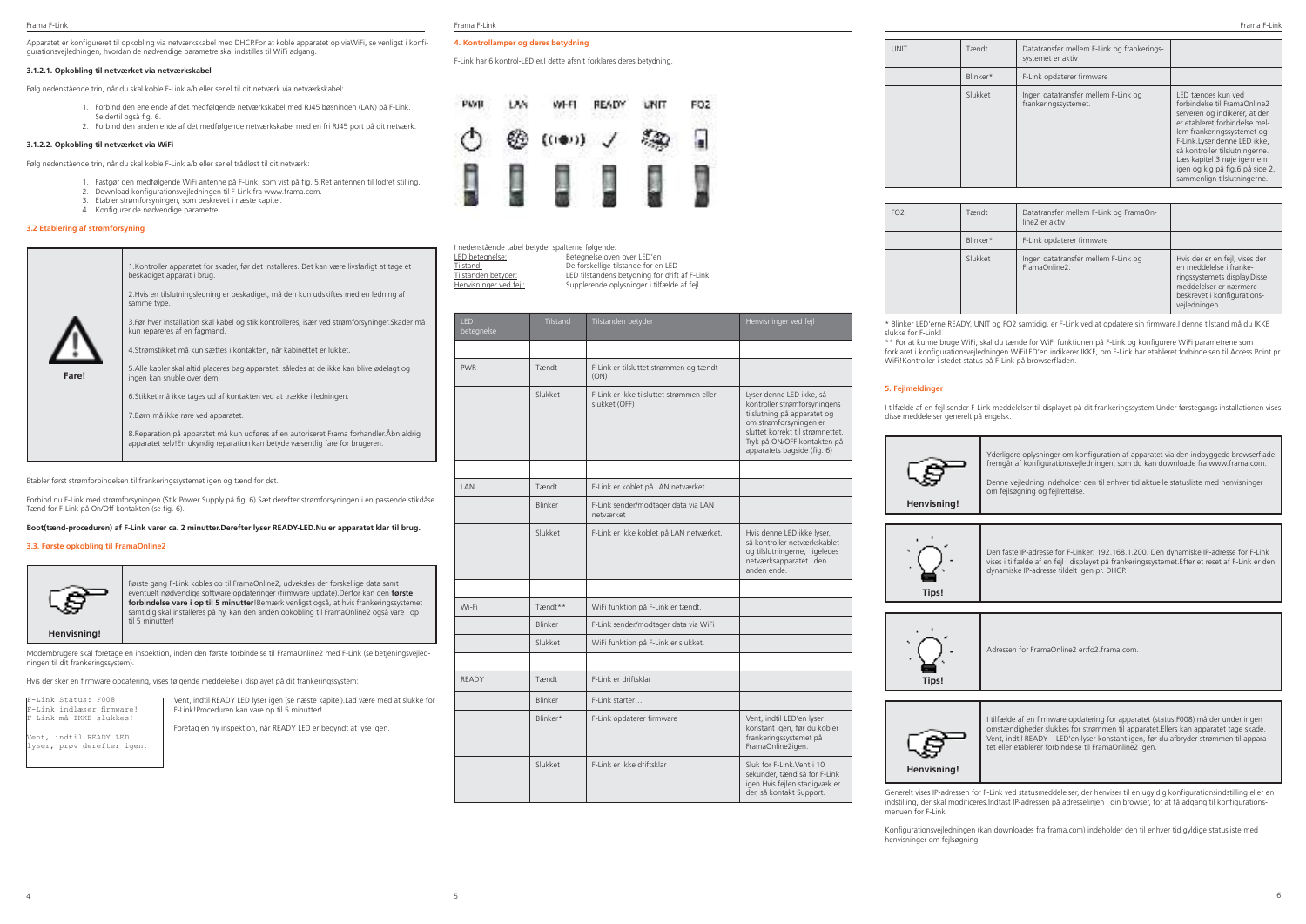Apparatet er konfigureret til opkobling via netværkskabel med DHCP.For at koble apparatet op viaWiFi, se venligst i konfigurationsvejledningen, hvordan de nødvendige parametre skal indstilles til WiFi adgang.

### **3.1.2.1. Opkobling til netværket via netværkskabel**

Følg nedenstående trin, når du skal koble F-Link a/b eller seriel til dit netværk via netværkskabel:

- 1. Forbind den ene ende af det medfølgende netværkskabel med RJ45 bøsningen (LAN) på F-Link. Se dertil også fig. 6.
- 2. Forbind den anden ende af det medfølgende netværkskabel med en fri RJ45 port på dit netværk.

### **3.1.2.2. Opkobling til netværket via WiFi**

Følg nedenstående trin, når du skal koble F-Link a/b eller seriel trådløst til dit netværk:

- 1. Fastgør den medfølgende WiFi antenne på F-Link, som vist på fig. 5.Ret antennen til lodret stilling.<br>2. Dovedoad konfigurationsveiledningen til E-Link fra veser frama com
- 2. Download konfigurationsvejledningen til F-Link fra www.frama.com. 3. Etabler strømforsyningen, som beskrevet i næste kapitel.
- 4. Konfigurer de nødvendige parametre.

### **3.2 Etablering af strømforsyning**

|       | 1. Kontroller apparatet for skader, før det installeres. Det kan være livsfarligt at tage et                                                                              |
|-------|---------------------------------------------------------------------------------------------------------------------------------------------------------------------------|
|       | beskadiget apparat i brug.                                                                                                                                                |
|       | 2. Hvis en tilslutningsledning er beskadiget, må den kun udskiftes med en ledning af<br>samme type.                                                                       |
|       | 3. Før hver installation skal kabel og stik kontrolleres, især ved strømforsyninger. Skader må<br>kun repareres af en fagmand.                                            |
|       | 4. Strømstikket må kun sættes i kontakten, når kabinettet er lukket.                                                                                                      |
| Fare! | 5. Alle kabler skal altid placeres bag apparatet, således at de ikke kan blive ødelagt og<br>ingen kan snuble over dem.                                                   |
|       | 6. Stikket må ikke tages ud af kontakten ved at trække i ledningen.                                                                                                       |
|       | 7. Børn må ikke røre ved apparatet.                                                                                                                                       |
|       | 8. Reparation på apparatet må kun udføres af en autoriseret Frama forhandler. Äbn aldrig<br>apparatet selv! En ukyndig reparation kan betyde væsentlig fare for brugeren. |
|       |                                                                                                                                                                           |

Etabler først strømforbindelsen til frankeringssystemet igen og tænd for det.

Forbind nu F-Link med strømforsyningen (Stik Power Supply på fig. 6).Sæt derefter strømforsyningen i en passende stikdåse. Tænd for F-Link på On/Off kontakten (se fig. 6).

**Boot(tænd-proceduren) af F-Link varer ca. 2 minutter.Derefter lyser READY-LED.Nu er apparatet klar til brug.**

### **3.3. Første opkobling til FramaOnline2**



Første gang F-Link kobles op til FramaOnline2, udveksles der forskellige data samt eventuelt nødvendige software opdateringer (firmware update).Derfor kan den **første forbindelse vare i op til 5 minutter**!Bemærk venligst også, at hvis frankeringssystemet samtidig skal installeres på ny, kan den anden opkobling til FramaOnline2 også vare i op til 5 minutter!

Modembrugere skal foretage en inspektion, inden den første forbindelse til FramaOnline2 med F-Link (se betjeningsvejledningen til dit frankeringssystem).

Hvis der sker en firmware opdatering, vises følgende meddelelse i displayet på dit frankeringssystem:

| F-Link Status: F008       |
|---------------------------|
| F-Link indlæser firmware! |
| F-Link må IKKE slukkes!   |
|                           |
| Vent, indtil READY LED    |

lyser, prøv derefter igen.

Vent, indtil READY LED lyser igen (se næste kapitel).Lad være med at slukke for F-Link!Proceduren kan vare op til 5 minutter!

Foretag en ny inspektion, når READY LED er begyndt at lyse igen.

| ama F-Link |
|------------|
|------------|

### **4. Kontrollamper og deres betydning**

F-Link har 6 kontrol-LED'er.I dette afsnit forklares deres betydning.



| l nedenstäende tabel betyder spalterne følgende: |                                               |
|--------------------------------------------------|-----------------------------------------------|
| LED betegnelse:                                  | Betegnelse oven over LED'en                   |
| Tilstand:                                        | De forskellige tilstande for en LED           |
| Tilstanden betyder:                              | LED tilstandens betydning for drift af F-Link |
| Henvisninger ved fejl:                           | Supplerende oplysninger i tilfælde af fejl    |
|                                                  |                                               |

| <b>IFD</b><br>betegnelse | Tilstand       | Tilstanden betyder                                        | Henvisninger ved fejl                                                                                                                                                                                               |
|--------------------------|----------------|-----------------------------------------------------------|---------------------------------------------------------------------------------------------------------------------------------------------------------------------------------------------------------------------|
|                          |                |                                                           |                                                                                                                                                                                                                     |
| <b>PWR</b>               | Tændt          | F-Link er tilsluttet strømmen og tændt<br>(ON)            |                                                                                                                                                                                                                     |
|                          | Slukket        | F-Link er ikke tilsluttet strømmen eller<br>slukket (OFF) | Lyser denne LED ikke, så<br>kontroller strømforsyningens<br>tilslutning på apparatet og<br>om strømforsyningen er<br>sluttet korrekt til strømnettet.<br>Tryk på ON/OFF kontakten på<br>apparatets bagside (fig. 6) |
|                          |                |                                                           |                                                                                                                                                                                                                     |
| <b>I AN</b>              | Tændt          | F-Link er koblet på LAN netværket.                        |                                                                                                                                                                                                                     |
|                          | Blinker        | F-Link sender/modtager data via LAN<br>netværket          |                                                                                                                                                                                                                     |
|                          | Slukket        | F-Link er ikke koblet på LAN netværket.                   | Hvis denne LED ikke lyser,<br>så kontroller netværkskablet<br>og tilslutningerne, ligeledes<br>netværksapparatet i den<br>anden ende.                                                                               |
|                          |                |                                                           |                                                                                                                                                                                                                     |
| Wi-Fi                    | Tændt**        | WiFi funktion på F-Link er tændt.                         |                                                                                                                                                                                                                     |
|                          | Blinker        | F-Link sender/modtager data via WiFi                      |                                                                                                                                                                                                                     |
|                          | Slukket        | WiFi funktion på F-Link er slukket.                       |                                                                                                                                                                                                                     |
|                          |                |                                                           |                                                                                                                                                                                                                     |
| RFADY                    | Tændt          | F-Link er driftsklar                                      |                                                                                                                                                                                                                     |
|                          | <b>Blinker</b> | F-Link starter                                            |                                                                                                                                                                                                                     |
|                          | Blinker*       | F-Link opdaterer firmware                                 | Vent, indtil LED'en lyser<br>konstant igen, før du kobler<br>frankeringssystemet på<br>FramaOnline2igen.                                                                                                            |
|                          | Slukket        | F-Link er ikke driftsklar                                 | Sluk for F-Link. Vent i 10<br>sekunder, tænd så for F-Link<br>igen. Hvis fejlen stadigvæk er<br>der, så kontakt Support.                                                                                            |

4 5 6

| UNIT | Tændt    | Datatransfer mellem F-Link og frankerings-<br>systemet er aktiv |                                                                                                                                                                                                                                                                                                                      |
|------|----------|-----------------------------------------------------------------|----------------------------------------------------------------------------------------------------------------------------------------------------------------------------------------------------------------------------------------------------------------------------------------------------------------------|
|      | Blinker* | F-Link opdaterer firmware                                       |                                                                                                                                                                                                                                                                                                                      |
|      | Slukket  | Ingen datatransfer mellem F-Link og<br>frankeringssystemet.     | LED tændes kun ved<br>forbindelse til FramaOnline2<br>serveren og indikerer, at der<br>er etableret forbindelse mel-<br>lem frankeringssystemet og<br>F-Link.Lyser denne LED ikke,<br>så kontroller tilslutningerne.<br>Læs kapitel 3 nøje igennem<br>igen og kig på fig.6 på side 2,<br>sammenlign tilslutningerne. |

| FO <sub>2</sub> | Tændt    | Datatransfer mellem F-Link og FramaOn-<br>line <sub>2</sub> er aktiv |                                                                                                                                                                     |
|-----------------|----------|----------------------------------------------------------------------|---------------------------------------------------------------------------------------------------------------------------------------------------------------------|
|                 | Blinker* | F-Link opdaterer firmware                                            |                                                                                                                                                                     |
|                 | Slukket  | Ingen datatransfer mellem F-Link og<br>FramaOnline2                  | Hvis der er en fejl, vises der<br>en meddelelse i franke-<br>ringssystemets display.Disse<br>meddelelser er nærmere<br>beskrevet i konfigurations-<br>vejledningen. |

\* Blinker LED'erne READY, UNIT og FO2 samtidig, er F-Link ved at opdatere sin firmware.I denne tilstand må du IKKE slukke for F-Link!

\*\* For at kunne bruge WiFi, skal du tænde for WiFi funktionen på F-Link og konfigurere WiFi parametrene som forklaret i konfigurationsvejledningen.WiFiLED'en indikerer IKKE, om F-Link har etableret forbindelsen til Access Point pr. WiFi!Kontroller i stedet status på F-Link på browserfladen.

### **5. Fejlmeldinger**

I tilfælde af en fejl sender F-Link meddelelser til displayet på dit frankeringssystem.Under førstegangs installationen vises disse meddelelser generelt på engelsk.





Adressen for FramaOnline2 er:fo2.frama.com.





I tilfælde af en firmware opdatering for apparatet (status:F008) må der under ingen omstændigheder slukkes for strømmen til apparatet.Ellers kan apparatet tage skade. Vent, indtil READY – LED'en lyser konstant igen, før du afbryder strømmen til apparatet eller etablerer forbindelse til FramaOnline2 igen.

Generelt vises IP-adressen for F-Link ved statusmeddelelser, der henviser til en ugyldig konfigurationsindstilling eller en indstilling, der skal modificeres.Indtast IP-adressen på adresselinjen i din browser, for at få adgang til konfigurationsmenuen for F-Link.

Konfigurationsvejledningen (kan downloades fra frama.com) indeholder den til enhver tid gyldige statusliste med henvisninger om fejlsøgning.

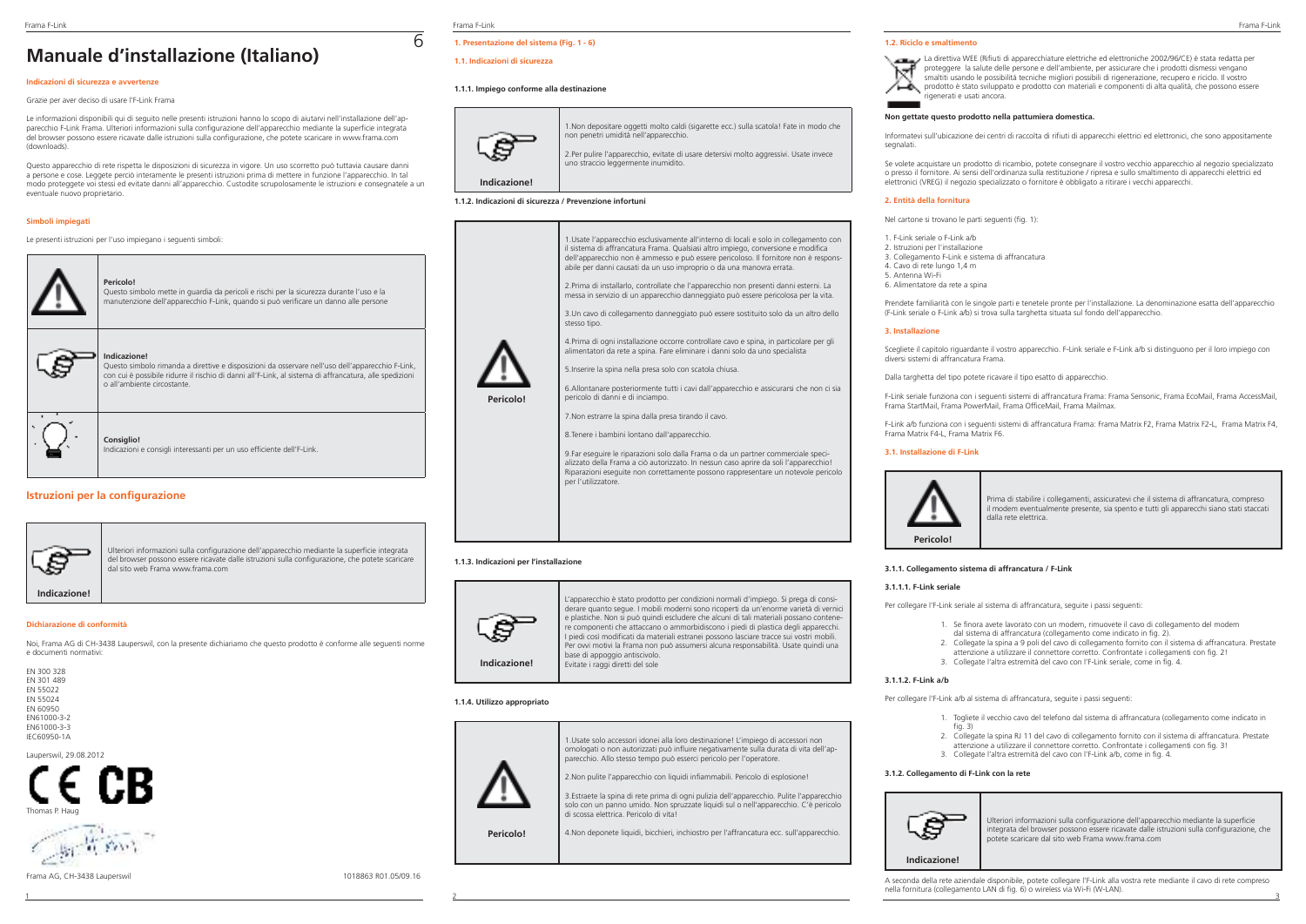# **Manuale d'installazione (Italiano)**

### **Indicazioni di sicurezza e avvertenze**

Grazie per aver deciso di usare l'F-Link Frama

Le informazioni disponibili qui di seguito nelle presenti istruzioni hanno lo scopo di aiutarvi nell'installazione dell'apparecchio F-Link Frama. Ulteriori informazioni sulla configurazione dell'apparecchio mediante la superficie integrata del browser possono essere ricavate dalle istruzioni sulla configurazione, che potete scaricare in www.frama.com (downloads).

Questo apparecchio di rete rispetta le disposizioni di sicurezza in vigore. Un uso scorretto può tuttavia causare danni a persone e cose. Leggete perciò interamente le presenti istruzioni prima di mettere in funzione l'apparecchio. In tal modo proteggete voi stessi ed evitate danni all'apparecchio. Custodite scrupolosamente le istruzioni e consegnatele a un eventuale nuovo proprietario.

### **Simboli impiegati**

Le presenti istruzioni per l'uso impiegano i seguenti simboli:

| Pericolo!<br>Questo simbolo mette in quardia da pericoli e rischi per la sicurezza durante l'uso e la<br>manutenzione dell'apparecchio F-Link, quando si può verificare un danno alle persone                                                             |
|-----------------------------------------------------------------------------------------------------------------------------------------------------------------------------------------------------------------------------------------------------------|
| Indicazione!<br>Questo simbolo rimanda a direttive e disposizioni da osservare nell'uso dell'apparecchio F-Link,<br>con cui è possibile ridurre il rischio di danni all'F-Link, al sistema di affrancatura, alle spedizioni<br>o all'ambiente circostante |
| <b>Consiglio!</b><br>Indicazioni e consigli interessanti per un uso efficiente dell'F-Link.                                                                                                                                                               |

# **Istruzioni per la configurazione**



Ulteriori informazioni sulla configurazione dell'apparecchio mediante la superficie integrata del browser possono essere ricavate dalle istruzioni sulla configurazione, che potete scaricare dal sito web Frama www.frama.com

### **Dichiarazione di conformità**

Noi, Frama AG di CH-3438 Lauperswil, con la presente dichiariamo che questo prodotto è conforme alle seguenti norme e documenti normativi:

| FN 300 328      |
|-----------------|
| FN 301 489      |
| FN 55022        |
| FN 55024        |
| <b>FN 60950</b> |
| FN61000-3-2     |
| FN61000-3-3     |
| IFC60950-1A     |
|                 |

Lauperswil, 29.08.2012





Frama F-Link Frama F-Link Frama F-Link

6

# **1. Presentazione del sistema (Fig. 1 - 6)**

### **1.1. Indicazioni di sicurezza**

## **1.1.1. Impiego conforme alla destinazione**



1.Non depositare oggetti molto caldi (sigarette ecc.) sulla scatola! Fate in modo che non penetri umidità nell'apparecchio.

2.Per pulire l'apparecchio, evitate di usare detersivi molto aggressivi. Usate invece uno straccio leggermente inumidito.

### **1.1.2. Indicazioni di sicurezza / Prevenzione infortuni**



8.Tenere i bambini lontano dall'apparecchio.

9.Far eseguire le riparazioni solo dalla Frama o da un partner commerciale specializzato della Frama a ciò autorizzato. In nessun caso aprire da soli l'apparecchio! Riparazioni eseguite non correttamente possono rappresentare un notevole pericolo per l'utilizzatore.

### **1.1.3. Indicazioni per l'installazione**



L'apparecchio è stato prodotto per condizioni normali d'impiego. Si prega di considerare quanto segue. I mobili moderni sono ricoperti da un'enorme varietà di vernici e plastiche. Non si può quindi escludere che alcuni di tali materiali possano contenere componenti che attaccano o ammorbidiscono i piedi di plastica degli apparecchi. I piedi così modificati da materiali estranei possono lasciare tracce sui vostri mobili. Per ovvi motivi la Frama non può assumersi alcuna responsabilità. Usate quindi una base di appoggio antiscivolo. Evitate i raggi diretti del sole

1.Usate solo accessori idonei alla loro destinazione! L'impiego di accessori non omologati o non autorizzati può influire negativamente sulla durata di vita dell'ap-

4.Non deponete liquidi, bicchieri, inchiostro per l'affrancatura ecc. sull'apparecchio.

parecchio. Allo stesso tempo può esserci pericolo per l'operatore. 2.Non pulite l'apparecchio con liquidi infiammabili. Pericolo di esplosione! 3.Estraete la spina di rete prima di ogni pulizia dell'apparecchio. Pulite l'apparecchio solo con un panno umido. Non spruzzate liquidi sul o nell'apparecchio. C'è pericolo

1 2 3

di scossa elettrica. Pericolo di vita!



**Pericolo!**

### **1.2. Riciclo e smaltimento**



### **Non gettate questo prodotto nella pattumiera domestica.**

Informatevi sull'ubicazione dei centri di raccolta di rifiuti di apparecchi elettrici ed elettronici, che sono appositamente segnalati.

Se volete acquistare un prodotto di ricambio, potete consegnare il vostro vecchio apparecchio al negozio specializzato o presso il fornitore. Ai sensi dell'ordinanza sulla restituzione / ripresa e sullo smaltimento di apparecchi elettrici ed elettronici (VREG) il negozio specializzato o fornitore è obbligato a ritirare i vecchi apparecchi.

### **2. Entità della fornitura**

Nel cartone si trovano le parti seguenti (fig. 1):

1. F-Link seriale o F-Link a/b 2. Istruzioni per l'installazione 3. Collegamento F-Link e sistema di affrancatura 4. Cavo di rete lungo 1,4 m 5. Antenna Wi-Fi 6. Alimentatore da rete a spina

Prendete familiarità con le singole parti e tenetele pronte per l'installazione. La denominazione esatta dell'apparecchio (F-Link seriale o F-Link a/b) si trova sulla targhetta situata sul fondo dell'apparecchio.

### **3. Installazione**

Scegliete il capitolo riguardante il vostro apparecchio. F-Link seriale e F-Link a/b si distinguono per il loro impiego con diversi sistemi di affrancatura Frama.

Dalla targhetta del tipo potete ricavare il tipo esatto di apparecchio.

F-Link seriale funziona con i seguenti sistemi di affrancatura Frama: Frama Sensonic, Frama EcoMail, Frama AccessMail, Frama StartMail, Frama PowerMail, Frama OfficeMail, Frama Mailmax.

F-Link a/b funziona con i seguenti sistemi di affrancatura Frama: Frama Matrix F2, Frama Matrix F2-L, Frama Matrix F4, Frama Matrix F4-L, Frama Matrix F6.

### **3.1. Installazione di F-Link**



Prima di stabilire i collegamenti, assicuratevi che il sistema di affrancatura, compreso il modem eventualmente presente, sia spento e tutti gli apparecchi siano stati staccati dalla rete elettrica.

### **3.1.1. Collegamento sistema di affrancatura / F-Link**

### **3.1.1.1. F-Link seriale**

Per collegare l'F-Link seriale al sistema di affrancatura, seguite i passi seguenti:

- 1. Se finora avete lavorato con un modem, rimuovete il cavo di collegamento del modem dal sistema di affrancatura (collegamento come indicato in fig. 2).
- 2. Collegate la spina a 9 poli del cavo di collegamento fornito con il sistema di affrancatura. Prestate attenzione a utilizzare il connettore corretto. Confrontate i collegamenti con fig. 2!
- 3. Collegate l'altra estremità del cavo con l'F-Link seriale, come in fig. 4.

### **3.1.1.2. F-Link a/b**

Per collegare l'F-Link a/b al sistema di affrancatura, seguite i passi seguenti:

- 1. Togliete il vecchio cavo del telefono dal sistema di affrancatura (collegamento come indicato in  $fin$  $3)$
- 2. Collegate la spina RJ 11 del cavo di collegamento fornito con il sistema di affrancatura. Prestate
- attenzione a utilizzare il connettore corretto. Confrontate i collegamenti con fig. 3! 3. Collegate l'altra estremità del cavo con l'F-Link a/b, come in fig. 4.
- 

### **3.1.2. Collegamento di F-Link con la rete**



**Indicazione!**

Ulteriori informazioni sulla configurazione dell'apparecchio mediante la superficie integrata del browser possono essere ricavate dalle istruzioni sulla configurazione, che potete scaricare dal sito web Frama www.frama.com

A seconda della rete aziendale disponibile, potete collegare l'F-Link alla vostra rete mediante il cavo di rete compreso nella fornitura (collegamento LAN di fig. 6) o wireless via Wi-Fi (W-LAN).



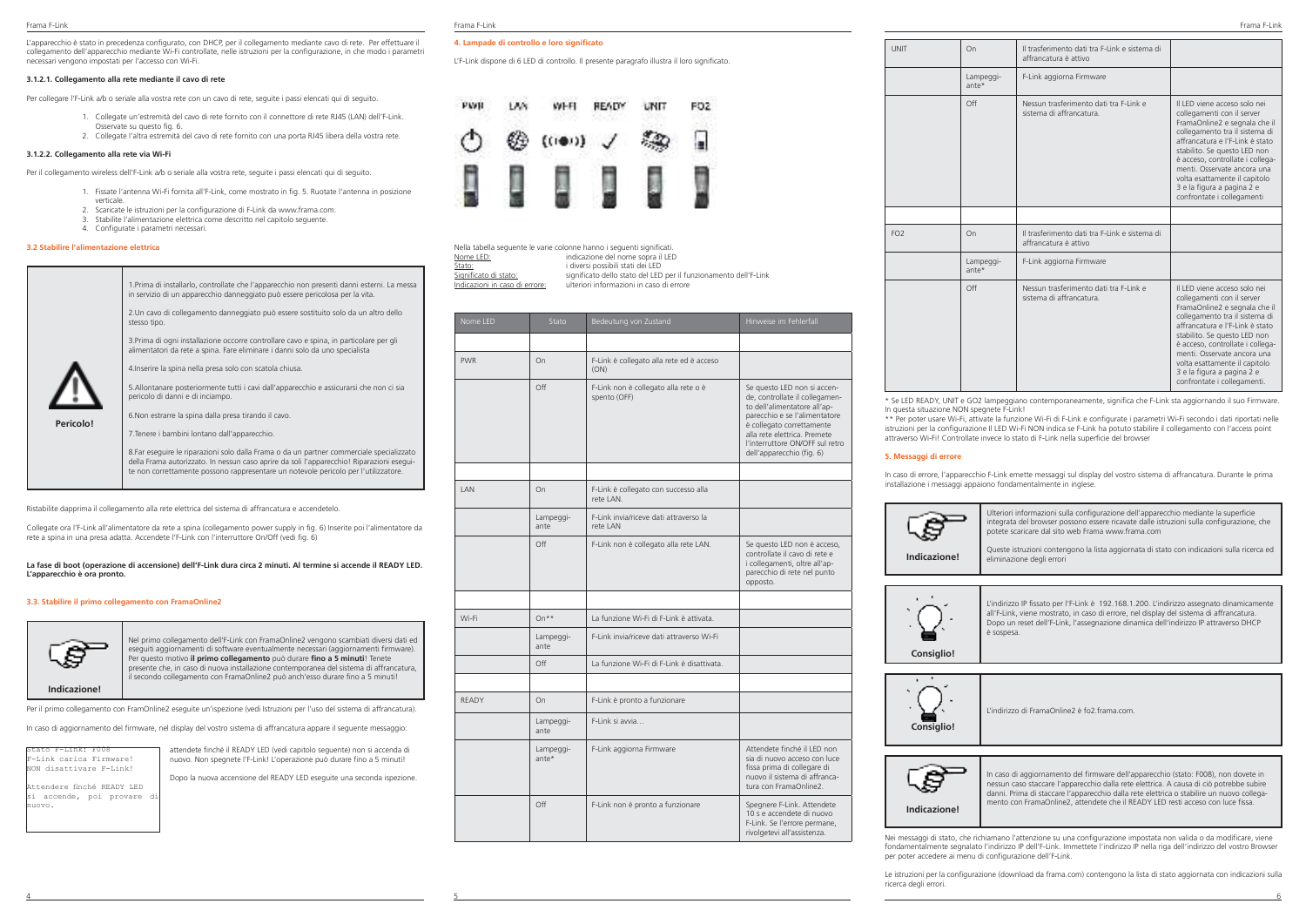L'apparecchio è stato in precedenza configurato, con DHCP, per il collegamento mediante cavo di rete. Per effettuare il collegamento dell'apparecchio mediante Wi-Fi controllate, nelle istruzioni per la configurazione, in che modo i parametri necessari vengono impostati per l'accesso con Wi-Fi.

### **3.1.2.1. Collegamento alla rete mediante il cavo di rete**

Per collegare l'F-Link a/b o seriale alla vostra rete con un cavo di rete, seguite i passi elencati qui di seguito.

- 1. Collegate un'estremità del cavo di rete fornito con il connettore di rete RJ45 (LAN) dell'F-Link. Osservate su questo fig. 6.
- 2. Collegate l'altra estremità del cavo di rete fornito con una porta RJ45 libera della vostra rete.

### **3.1.2.2. Collegamento alla rete via Wi-Fi**

Per il collegamento wireless dell'F-Link a/b o seriale alla vostra rete, seguite i passi elencati qui di seguito.

- 1. Fissate l'antenna Wi-Fi fornita all'F-Link, come mostrato in fig. 5. Ruotate l'antenna in posizione verticale.
- 2. Scaricate le istruzioni per la configurazione di F-Link da www.frama.com.
- 3. Stabilite l'alimentazione elettrica come descritto nel capitolo seguente.
- 4. Configurate i parametri necessari.

### **3.2 Stabilire l'alimentazione elettrica**

| 1. Prima di installarlo, controllate che l'apparecchio non presenti danni esterni. La messa<br>in servizio di un apparecchio danneggiato può essere pericolosa per la vita.                                                                                                   |
|-------------------------------------------------------------------------------------------------------------------------------------------------------------------------------------------------------------------------------------------------------------------------------|
| 2. Un cavo di collegamento danneggiato può essere sostituito solo da un altro dello<br>stesso tipo.                                                                                                                                                                           |
| 3. Prima di ogni installazione occorre controllare cavo e spina, in particolare per gli<br>alimentatori da rete a spina. Fare eliminare i danni solo da uno specialista                                                                                                       |
| 4. Inserire la spina nella presa solo con scatola chiusa.                                                                                                                                                                                                                     |
| 5. Allontanare posteriormente tutti i cavi dall'apparecchio e assicurarsi che non ci sia<br>pericolo di danni e di inciampo.                                                                                                                                                  |
| 6. Non estrarre la spina dalla presa tirando il cavo.                                                                                                                                                                                                                         |
| 7. Tenere i bambini lontano dall'apparecchio.                                                                                                                                                                                                                                 |
| 8. Far eseguire le riparazioni solo dalla Frama o da un partner commerciale specializzato<br>della Frama autorizzato. In nessun caso aprire da soli l'apparecchio! Riparazioni esegui-<br>te non correttamente possono rappresentare un notevole pericolo per l'utilizzatore. |
|                                                                                                                                                                                                                                                                               |

Ristabilite dapprima il collegamento alla rete elettrica del sistema di affrancatura e accendetelo.

Collegate ora l'F-Link all'alimentatore da rete a spina (collegamento power supply in fig. 6) Inserite poi l'alimentatore da rete a spina in una presa adatta. Accendete l'F-Link con l'interruttore On/Off (vedi fig. 6)

### **La fase di boot (operazione di accensione) dell'F-Link dura circa 2 minuti. Al termine si accende il READY LED. L'apparecchio è ora pronto.**

### **3.3. Stabilire il primo collegamento con FramaOnline2**



**Indicazione!**

Nel primo collegamento dell'F-Link con FramaOnline2 vengono scambiati diversi dati ed eseguiti aggiornamenti di software eventualmente necessari (aggiornamenti firmware). Per questo motivo **il primo collegamento** può durare **fino a 5 minuti**! Tenete presente che, in caso di nuova installazione contemporanea del sistema di affrancatura, il secondo collegamento con FramaOnline2 può anch'esso durare fino a 5 minuti!

Per il primo collegamento con FramOnline2 eseguite un'ispezione (vedi Istruzioni per l'uso del sistema di affrancatura).

In caso di aggiornamento del firmware, nel display del vostro sistema di affrancatura appare il seguente messaggio:

| Stato F-Link: F008         |  |  |
|----------------------------|--|--|
| F-Link carica Firmware!    |  |  |
| NON disattivare F-Link!    |  |  |
| Attendere finché READY LED |  |  |

si accende, poi provare d

nuovo.

attendete finché il READY LED (vedi capitolo seguente) non si accenda di nuovo. Non spegnete l'F-Link! L'operazione può durare fino a 5 minuti! Dopo la nuova accensione del READY LED eseguite una seconda ispezione.

|--|--|--|--|

### **4. Lampade di controllo e loro significato**

L'F-Link dispone di 6 LED di controllo. Il presente paragrafo illustra il loro significato.



Nella tabella seguente le varie colonne hanno i seguenti significati. Nome LED: indicazione del nome sopra il LED **Stato:**<br>Significato di stato:<br>Significato dello stato della EED Significato di stato:<br>Significato di stato di stato dello stato del LED per il funzionamento dell'F-Link<br>Indicazioni in caso di errore: ulteriori informazioni in caso di errore Indicazioni in caso di errore: ulteriori informazioni in caso di errore

| Nome LED   | Stato                | Bedeutung von Zustand<br>Hinweise im Fehlerfall      |                                                                                                                                                                                                                                                             |
|------------|----------------------|------------------------------------------------------|-------------------------------------------------------------------------------------------------------------------------------------------------------------------------------------------------------------------------------------------------------------|
|            |                      |                                                      |                                                                                                                                                                                                                                                             |
| <b>PWR</b> | On                   | F-Link è collegato alla rete ed è acceso<br>(ON)     |                                                                                                                                                                                                                                                             |
|            | Off                  | F-Link non è collegato alla rete o è<br>spento (OFF) | Se questo LED non si accen-<br>de, controllate il collegamen-<br>to dell'alimentatore all'ap-<br>parecchio e se l'alimentatore<br>è collegato correttamente<br>alla rete elettrica. Premete<br>l'interruttore ON/OFF sul retro<br>dell'apparecchio (fig. 6) |
|            |                      |                                                      |                                                                                                                                                                                                                                                             |
| <b>IAN</b> | On                   | F-Link è collegato con successo alla<br>rete   AN    |                                                                                                                                                                                                                                                             |
|            | Lampeggi-<br>ante    | E-Link invia/riceve dati attraverso la<br>rete I AN  |                                                                                                                                                                                                                                                             |
|            | Off                  | F-Link non è collegato alla rete LAN.                | Se questo LED non è acceso,<br>controllate il cavo di rete e<br>i collegamenti, oltre all'ap-<br>parecchio di rete nel punto<br>opposto.                                                                                                                    |
|            |                      |                                                      |                                                                                                                                                                                                                                                             |
| Wi-Fi      | $On**$               | La funzione Wi-Fi di F-Link è attivata               |                                                                                                                                                                                                                                                             |
|            | Lampeggi-<br>ante    | F-Link invia/riceve dati attraverso Wi-Fi            |                                                                                                                                                                                                                                                             |
|            | Off                  | La funzione Wi-Fi di F-Link è disattivata            |                                                                                                                                                                                                                                                             |
|            |                      |                                                      |                                                                                                                                                                                                                                                             |
| RFADY      | On                   | F-Link è pronto a funzionare                         |                                                                                                                                                                                                                                                             |
|            | Lampeggi-<br>ante    | F-Link si avvia                                      |                                                                                                                                                                                                                                                             |
|            | Lampeggi-<br>$ante*$ | F-Link aggiorna Firmware                             | Attendete finché il LED non<br>sia di nuovo acceso con luce<br>fissa prima di collegare di<br>nuovo il sistema di affranca-<br>tura con FramaOnline2                                                                                                        |
|            | Off                  | F-Link non è pronto a funzionare                     | Spegnere F-Link. Attendete<br>10 s e accendete di nuovo<br>F-Link. Se l'errore permane,<br>rivolgetevi all'assistenza.                                                                                                                                      |

4 5 6

| UNIT            | On                 | Il trasterimento dati tra F-Link e sistema di<br>affrancatura è attivo |                                                                                                                                                                                                                                                                                                                                                                   |
|-----------------|--------------------|------------------------------------------------------------------------|-------------------------------------------------------------------------------------------------------------------------------------------------------------------------------------------------------------------------------------------------------------------------------------------------------------------------------------------------------------------|
|                 | Lampeggi-<br>ante* | F-Link aggiorna Firmware                                               |                                                                                                                                                                                                                                                                                                                                                                   |
|                 | Off                | Nessun trasferimento dati tra E-Link e<br>sistema di affrancatura      | Il LED viene acceso solo nei<br>collegamenti con il server<br>FramaOnline2 e segnala che il<br>collegamento tra il sistema di<br>affrancatura e l'F-Link è stato<br>stabilito. Se questo LED non<br>è acceso, controllate i collega-<br>menti. Osservate ancora una<br>volta esattamente il capitolo<br>3 e la figura a pagina 2 e<br>confrontate i collegamenti  |
|                 |                    |                                                                        |                                                                                                                                                                                                                                                                                                                                                                   |
| FO <sub>2</sub> | On                 | Il trasferimento dati tra F-Link e sistema di<br>affrancatura è attivo |                                                                                                                                                                                                                                                                                                                                                                   |
|                 | Lampeggi-<br>ante* | F-Link aggiorna Firmware                                               |                                                                                                                                                                                                                                                                                                                                                                   |
|                 | Off                | Nessun trasferimento dati tra E-Link e<br>sistema di affrancatura      | Il LED viene acceso solo nei<br>collegamenti con il server<br>FramaOnline2 e segnala che il<br>collegamento tra il sistema di<br>affrancatura e l'F-Link è stato<br>stabilito. Se questo LED non<br>è acceso, controllate i collega-<br>menti. Osservate ancora una<br>volta esattamente il capitolo<br>3 e la figura a pagina 2 e<br>confrontate i collegamenti. |

\* Se LED READY, UNIT e GO2 lampeggiano contemporaneamente, significa che F-Link sta aggiornando il suo Firmware. In questa situazione NON spegnete F-Link!

\*\* Per poter usare Wi-Fi, attivate la funzione Wi-Fi di F-Link e configurate i parametri Wi-Fi secondo i dati riportati nelle istruzioni per la configurazione Il LED Wi-Fi NON indica se F-Link ha potuto stabilire il collegamento con l'access point attraverso Wi-Fi! Controllate invece lo stato di F-Link nella superficie del browser

In caso di errore, l'apparecchio F-Link emette messaggi sul display del vostro sistema di affrancatura. Durante le prima installazione i messaggi appaiono fondamentalmente in inglese.



Ulteriori informazioni sulla configurazione dell'apparecchio mediante la superficie integrata del browser possono essere ricavate dalle istruzioni sulla configurazione, che potete scaricare dal sito web Frama www.frama.com

**Indicazione!**

Queste istruzioni contengono la lista aggiornata di stato con indicazioni sulla ricerca ed eliminazione degli errori



L'indirizzo IP fissato per l'F-Link è 192.168.1.200. L'indirizzo assegnato dinamicamente all'F-Link, viene mostrato, in caso di errore, nel display del sistema di affrancatura. Dopo un reset dell'F-Link, l'assegnazione dinamica dell'indirizzo IP attraverso DHCP è sospesa.



L'indirizzo di FramaOnline2 è fo2.frama.com.



In caso di aggiornamento del firmware dell'apparecchio (stato: F008), non dovete in nessun caso staccare l'apparecchio dalla rete elettrica. A causa di ciò potrebbe subire danni. Prima di staccare l'apparecchio dalla rete elettrica o stabilire un nuovo collegamento con FramaOnline2, attendete che il READY LED resti acceso con luce fissa.

Nei messaggi di stato, che richiamano l'attenzione su una configurazione impostata non valida o da modificare, viene fondamentalmente segnalato l'indirizzo IP dell'F-Link. Immettete l'indirizzo IP nella riga dell'indirizzo del vostro Browser per poter accedere ai menu di configurazione dell'F-Link.

Le istruzioni per la configurazione (download da frama.com) contengono la lista di stato aggiornata con indicazioni sulla ricerca degli errori.

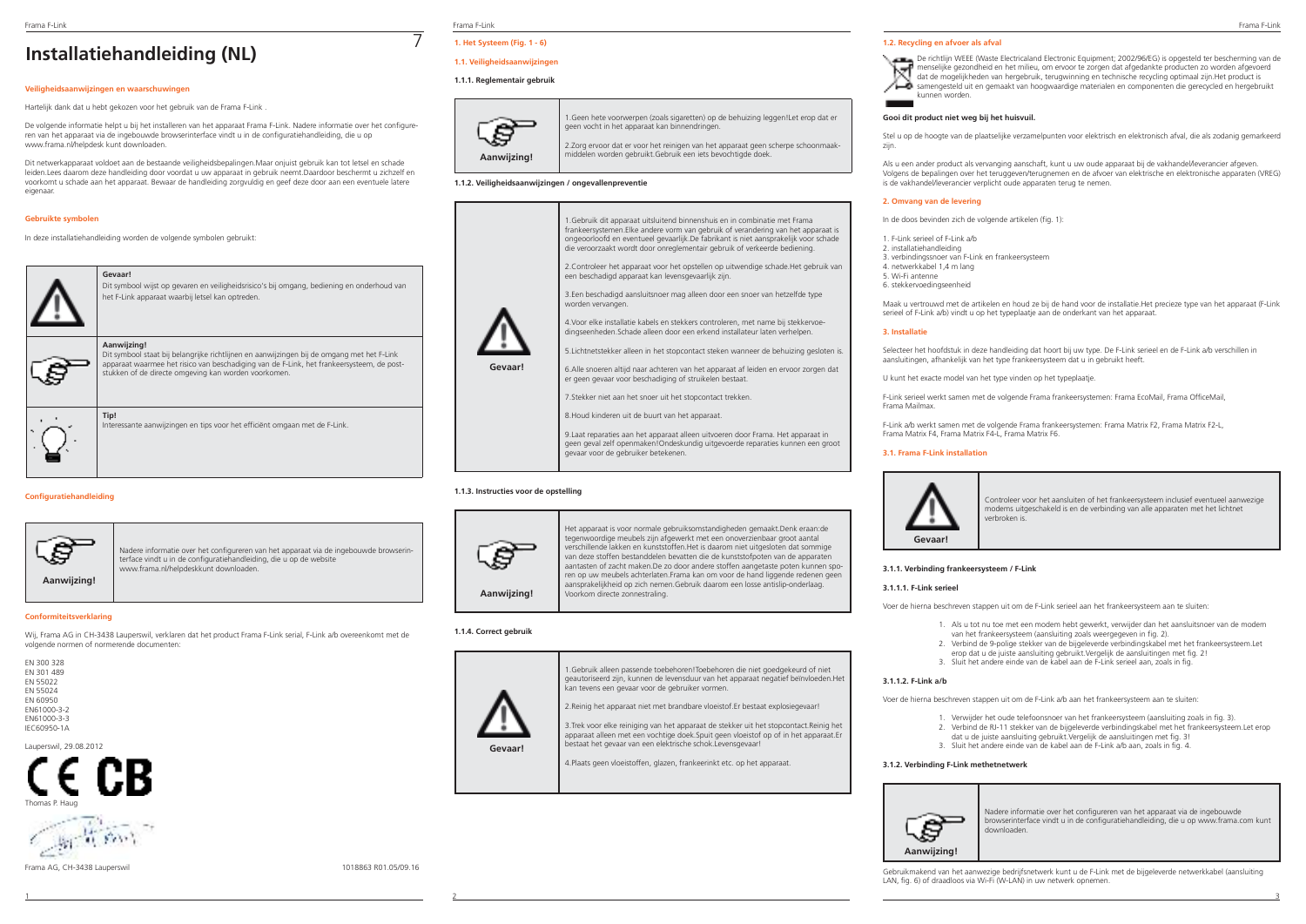# **Installatiehandleiding (NL)**

# **Veiligheidsaanwijzingen en waarschuwingen**

Hartelijk dank dat u hebt gekozen voor het gebruik van de Frama F-Link .

De volgende informatie helpt u bij het installeren van het apparaat Frama F-Link. Nadere informatie over het configureren van het apparaat via de ingebouwde browserinterface vindt u in de configuratiehandleiding, die u op www.frama.nl/helpdesk kunt downloaden.

Dit netwerkapparaat voldoet aan de bestaande veiligheidsbepalingen.Maar onjuist gebruik kan tot letsel en schade leiden.Lees daarom deze handleiding door voordat u uw apparaat in gebruik neemt.Daardoor beschermt u zichzelf en voorkomt u schade aan het apparaat. Bewaar de handleiding zorgvuldig en geef deze door aan een eventuele latere eigenaa

# **Gebruikte symbolen**

In deze installatiehandleiding worden de volgende symbolen gebruikt:



# **Configuratiehandleiding**



Nadere informatie over het configureren van het apparaat via de ingebouwde browserinterface vindt u in de configuratiehandleiding, die u op de website www.frama.nl/helpdeskkunt downloaden.

**Aanwijzing!**

### **Conformiteitsverklaring**

Wij, Frama AG in CH-3438 Lauperswil, verklaren dat het product Frama F-Link serial, F-Link a/b overeenkomt met de volgende normen of normerende documenten:

EN 300 328 EN 301 489 EN 55022 EN 55024 EN 60950 EN61000-3-2 EN61000-3-3 IEC60950-1A

Lauperswil, 29.08.2012

Thomas P. Haug



Frama AG, CH-3438 Lauperswil 1018863 R01.05/09.16

# Frama F-Link Frama F-Link Frama F-Link

7

# **1. Het Systeem (Fig. 1 - 6) 1.1. Veiligheidsaanwijzingen**

# **1.1.1. Reglementair gebruik**



1.Geen hete voorwerpen (zoals sigaretten) op de behuizing leggen!Let erop dat er geen vocht in het apparaat kan binnendringen.

2.Zorg ervoor dat er voor het reinigen van het apparaat geen scherpe schoonmaakmiddelen worden gebruikt.Gebruik een iets bevochtigde doek.

### **1.1.2. Veiligheidsaanwijzingen / ongevallenpreventie**



9.Laat reparaties aan het apparaat alleen uitvoeren door Frama. Het apparaat in geen geval zelf openmaken!Ondeskundig uitgevoerde reparaties kunnen een groot gevaar voor de gebruiker betekenen.

### **1.1.3. Instructies voor de opstelling**



Het apparaat is voor normale gebruiksomstandigheden gemaakt.Denk eraan:de tegenwoordige meubels zijn afgewerkt met een onoverzienbaar groot aantal verschillende lakken en kunststoffen.Het is daarom niet uitgesloten dat sommige van deze stoffen bestanddelen bevatten die de kunststofpoten van de apparaten aantasten of zacht maken.De zo door andere stoffen aangetaste poten kunnen sporen op uw meubels achterlaten.Frama kan om voor de hand liggende redenen geen aansprakelijkheid op zich nemen.Gebruik daarom een losse antislip-onderlaag. Voorkom directe zonnestraling.

### **1.1.4. Correct gebruik**



1.Gebruik alleen passende toebehoren!Toebehoren die niet goedgekeurd of niet geautoriseerd zijn, kunnen de levensduur van het apparaat negatief beïnvloeden.Het kan tevens een gevaar voor de gebruiker vormen. 2.Reinig het apparaat niet met brandbare vloeistof.Er bestaat explosiegevaar!

3.Trek voor elke reiniging van het apparaat de stekker uit het stopcontact.Reinig het apparaat alleen met een vochtige doek.Spuit geen vloeistof op of in het apparaat.Er bestaat het gevaar van een elektrische schok.Levensgevaar!

4.Plaats geen vloeistoffen, glazen, frankeerinkt etc. op het apparaat.

1 2 3

### **1.2. Recycling en afvoer als afval**



### **Gooi dit product niet weg bij het huisvuil.**

Stel u op de hoogte van de plaatselijke verzamelpunten voor elektrisch en elektronisch afval, die als zodanig gemarkeerd zijn.

Als u een ander product als vervanging aanschaft, kunt u uw oude apparaat bij de vakhandel/leverancier afgeven. Volgens de bepalingen over het teruggeven/terugnemen en de afvoer van elektrische en elektronische apparaten (VREG) is de vakhandel/leverancier verplicht oude apparaten terug te nemen.

### **2. Omvang van de levering**

In de doos bevinden zich de volgende artikelen (fig. 1):

- 1. F-Link serieel of F-Link a/b
- 2. installatiehandleiding
- 3. verbindingssnoer van F-Link en frankeersysteem 4. netwerkkabel 1,4 m lang
- 5. Wi-Fi antenne
- 6. stekkervoedingseenheid

Maak u vertrouwd met de artikelen en houd ze bij de hand voor de installatie.Het precieze type van het apparaat (F-Link serieel of F-Link a/b) vindt u op het typeplaatje aan de onderkant van het apparaat.

### **3. Installatie**

Selecteer het hoofdstuk in deze handleiding dat hoort bij uw type. De F-Link serieel en de F-Link a/b verschillen in aansluitingen, afhankelijk van het type frankeersysteem dat u in gebruikt heeft.

U kunt het exacte model van het type vinden op het typeplaatje.

F-Link serieel werkt samen met de volgende Frama frankeersystemen: Frama EcoMail, Frama OfficeMail, Frama Mailmax.

F-Link a/b werkt samen met de volgende Frama frankeersystemen: Frama Matrix F2, Frama Matrix F2-L, Frama Matrix F4, Frama Matrix F4-L, Frama Matrix F6.

### **3.1. Frama F-Link installation**



Controleer voor het aansluiten of het frankeersysteem inclusief eventueel aanwezige modems uitgeschakeld is en de verbinding van alle apparaten met het lichtnet verbroken is.

### **3.1.1. Verbinding frankeersysteem / F-Link**

### **3.1.1.1. F-Link serieel**

Voer de hierna beschreven stappen uit om de F-Link serieel aan het frankeersysteem aan te sluiten:

- 1. Als u tot nu toe met een modem hebt gewerkt, verwijder dan het aansluitsnoer van de modem van het frankeersysteem (aansluiting zoals weergegeven in fig. 2).
- 2. Verbind de 9-polige stekker van de bijgeleverde verbindingskabel met het frankeersysteem.Let erop dat u de juiste aansluiting gebruikt.Vergelijk de aansluitingen met fig. 2!
- 3. Sluit het andere einde van de kabel aan de F-Link serieel aan, zoals in fig.

### **3.1.1.2. F-Link a/b**

Voer de hierna beschreven stappen uit om de F-Link a/b aan het frankeersysteem aan te sluiten:

- 1. Verwijder het oude telefoonsnoer van het frankeersysteem (aansluiting zoals in fig. 3).
- 2. Verbind de RJ-11 stekker van de bijgeleverde verbindingskabel met het frankeersysteem. Let erop
- dat u de juiste aansluiting gebruikt.Vergelijk de aansluitingen met fig. 3! 3. Sluit het andere einde van de kabel aan de F-Link a/b aan, zoals in fig. 4.
- 

### **3.1.2. Verbinding F-Link methetnetwerk**



Nadere informatie over het configureren van het apparaat via de ingebouwde browserinterface vindt u in de configuratiehandleiding, die u op www.frama.com kunt downloaden.

Gebruikmakend van het aanwezige bedrijfsnetwerk kunt u de F-Link met de bijgeleverde netwerkkabel (aansluiting LAN, fig. 6) of draadloos via Wi-Fi (W-LAN) in uw netwerk opnemen.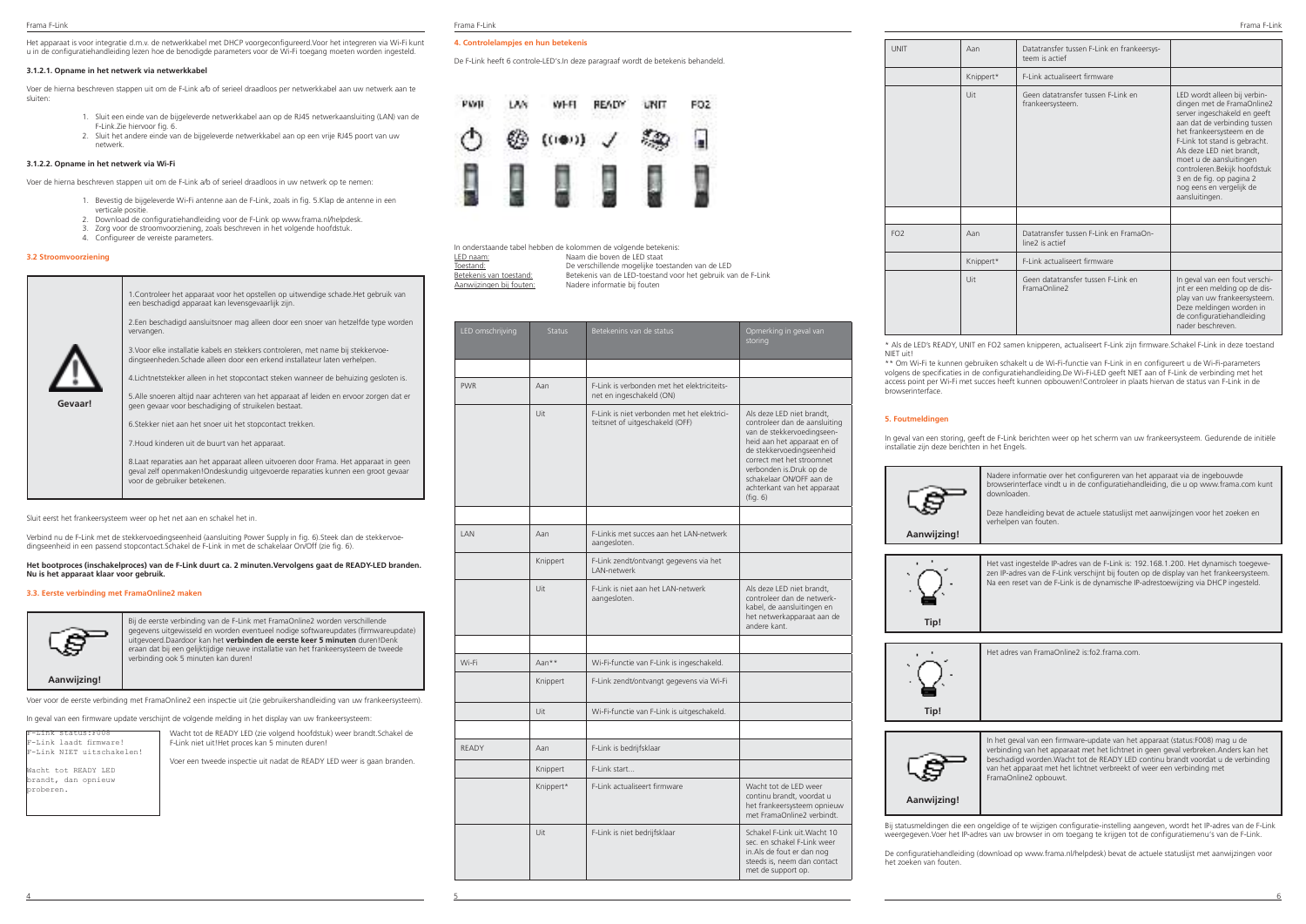Het apparaat is voor integratie d.m.v. de netwerkkabel met DHCP voorgeconfigureerd.Voor het integreren via Wi-Fi kunt u in de configuratiehandleiding lezen hoe de benodigde parameters voor de Wi-Fi toegang moeten worden ingesteld.

### **3.1.2.1. Opname in het netwerk via netwerkkabel**

Voer de hierna beschreven stappen uit om de F-Link a/b of serieel draadloos per netwerkkabel aan uw netwerk aan te sluiten:

- 1. Sluit een einde van de bijgeleverde netwerkkabel aan op de RJ45 netwerkaansluiting (LAN) van de F-Link.Zie hiervoor fig. 6.
- 2. Sluit het andere einde van de bijgeleverde netwerkkabel aan op een vrije RJ45 poort van uw netwerk.

### **3.1.2.2. Opname in het netwerk via Wi-Fi**

Voer de hierna beschreven stappen uit om de F-Link a/b of serieel draadloos in uw netwerk op te nemen:

- 1. Bevestig de bijgeleverde Wi-Fi antenne aan de F-Link, zoals in fig. 5.Klap de antenne in een verticale positie.
- 2. Download de configuratiehandleiding voor de F-Link op www.frama.nl/helpdesk.<br>2. Zorg voor de stroomvoorziening, zoals beschreven in het volgende boofdstuk.
- 3. Zorg voor de stroomvoorziening, zoals beschreven in het volgende hoofdstuk.
- 4. Configureer de vereiste parameters.

### **3.2 Stroomvoorziening**

|         | 1. Controleer het apparaat voor het opstellen op uitwendige schade. Het gebruik van<br>een beschadigd apparaat kan levensgevaarlijk zijn.                                                                |
|---------|----------------------------------------------------------------------------------------------------------------------------------------------------------------------------------------------------------|
|         | 2.Een beschadigd aansluitsnoer mag alleen door een snoer van hetzelfde type worden<br>vervangen.                                                                                                         |
|         | 3. Voor elke installatie kabels en stekkers controleren, met name bij stekkervoe-<br>dingseenheden. Schade alleen door een erkend installateur laten verhelpen.                                          |
|         | 4. Lichtnetstekker alleen in het stopcontact steken wanneer de behuizing gesloten is.                                                                                                                    |
| Gevaar! | 5. Alle snoeren altijd naar achteren van het apparaat af leiden en ervoor zorgen dat er<br>geen gevaar voor beschadiging of struikelen bestaat.                                                          |
|         | 6. Stekker niet aan het snoer uit het stopcontact trekken.                                                                                                                                               |
|         | 7. Houd kinderen uit de buurt van het apparaat.                                                                                                                                                          |
|         | 8. Laat reparaties aan het apparaat alleen uitvoeren door Frama. Het apparaat in geen<br>geval zelf openmaken!Ondeskundig uitgevoerde reparaties kunnen een groot gevaar<br>voor de gebruiker betekenen. |
|         |                                                                                                                                                                                                          |

Sluit eerst het frankeersysteem weer op het net aan en schakel het in.

Verbind nu de F-Link met de stekkervoedingseenheid (aansluiting Power Supply in fig. 6).Steek dan de stekkervoedingseenheid in een passend stopcontact.Schakel de F-Link in met de schakelaar On/Off (zie fig. 6).

### **Het bootproces (inschakelproces) van de F-Link duurt ca. 2 minuten.Vervolgens gaat de READY-LED branden. Nu is het apparaat klaar voor gebruik.**

### **3.3. Eerste verbinding met FramaOnline2 maken**



gegevens uitgewisseld en worden eventueel nodige softwareupdates (firmwareupdate) uitgevoerd.Daardoor kan het **verbinden de eerste keer 5 minuten** duren!Denk eraan dat bij een gelijktijdige nieuwe installatie van het frankeersysteem de tweede verbinding ook 5 minuten kan duren!

Bij de eerste verbinding van de F-Link met FramaOnline2 worden verschillende

**Aanwijzing!**

Voer voor de eerste verbinding met FramaOnline2 een inspectie uit (zie gebruikershandleiding van uw frankeersysteem).

In geval van een firmware update verschijnt de volgende melding in het display van uw frankeersysteem:

F-Link status:F008 -Link laadt firmware F-Link NIET uitschakelen!

Wacht tot READY LED brandt, dan opnieuw proberen.

Wacht tot de READY LED (zie volgend hoofdstuk) weer brandt Schakel de F-Link niet uit!Het proces kan 5 minuten duren!

Voer een tweede inspectie uit nadat de READY LED weer is gaan branden.

### **4. Controlelampjes en hun betekenis**

De F-Link heeft 6 controle-LED's.In deze paragraaf wordt de betekenis behandeld.



In onderstaande tabel hebben de kolommen de volgende betekenis:

|                          | IIT ONGERIAANGE tabel nebben de koloninien de volgenge betekenis. |
|--------------------------|-------------------------------------------------------------------|
| LED naam:                | Naam die boven de LED staat                                       |
| Toestand:                | De verschillende mogelijke toestanden van de LED                  |
| Betekenis van toestand:  | Betekenis van de LED-toestand voor het gebruik van de F-Link      |
| Aanwiizingen bii fouten: | Nadere informatie bij fouten                                      |
|                          |                                                                   |

| LED omschrijving | <b>Status</b> | Betekenins van de status                                                       | Opmerking in geval van<br>storing                                                                                                                                                                                                                                                   |
|------------------|---------------|--------------------------------------------------------------------------------|-------------------------------------------------------------------------------------------------------------------------------------------------------------------------------------------------------------------------------------------------------------------------------------|
|                  |               |                                                                                |                                                                                                                                                                                                                                                                                     |
| <b>PWR</b>       | Aan           | F-Link is verbonden met het elektriciteits-<br>net en ingeschakeld (ON)        |                                                                                                                                                                                                                                                                                     |
|                  | Uit           | F-Link is niet verbonden met het elektrici-<br>teitsnet of uitgeschakeld (OFF) | Als deze LED niet brandt,<br>controleer dan de aansluiting<br>van de stekkervoedingseen-<br>heid aan het apparaat en of<br>de stekkervoedingseenheid<br>correct met het stroomnet<br>verbonden is.Druk op de<br>schakelaar ON/OFF aan de<br>achterkant van het apparaat<br>(fiq. 6) |
|                  |               |                                                                                |                                                                                                                                                                                                                                                                                     |
| <b>I AN</b>      | Aan           | E-Linkis met succes aan het LAN-netwerk<br>aangesloten.                        |                                                                                                                                                                                                                                                                                     |
|                  | Knippert      | F-Link zendt/ontvangt gegevens via het<br>I AN-netwerk                         |                                                                                                                                                                                                                                                                                     |
|                  | Uit           | F-Link is niet aan het LAN-netwerk<br>aangesloten.                             | Als deze LED niet brandt.<br>controleer dan de netwerk-<br>kabel, de aansluitingen en<br>het netwerkapparaat aan de<br>andere kant                                                                                                                                                  |
|                  |               |                                                                                |                                                                                                                                                                                                                                                                                     |
| Wi-Fi            | Aan**         | Wi-Fi-functie van F-Link is ingeschakeld.                                      |                                                                                                                                                                                                                                                                                     |
|                  | Knippert      | F-Link zendt/ontvangt gegevens via Wi-Fi                                       |                                                                                                                                                                                                                                                                                     |
|                  | Uit           | Wi-Fi-functie van F-Link is uitgeschakeld.                                     |                                                                                                                                                                                                                                                                                     |
|                  |               |                                                                                |                                                                                                                                                                                                                                                                                     |
| READY            | Aan           | F-Link is bedrijfsklaar                                                        |                                                                                                                                                                                                                                                                                     |
|                  | Knippert      | F-Link start                                                                   |                                                                                                                                                                                                                                                                                     |
|                  | Knippert*     | F-Link actualiseert firmware                                                   | Wacht tot de LED weer<br>continu brandt, voordat u<br>het frankeersysteem opnieuw<br>met FramaOnline2 verbindt                                                                                                                                                                      |
|                  | Uit           | F-Link is niet bedrijfsklaar                                                   | Schakel F-Link uit. Wacht 10<br>sec. en schakel F-Link weer<br>in.Als de fout er dan nog<br>steeds is, neem dan contact<br>met de support op.                                                                                                                                       |

4 5 6

| UNIT            | Aan       | Datatransfer tussen F-Link en frankeersys-<br>teem is actief |                                                                                                                                                                                                                                                                                                                                                            |
|-----------------|-----------|--------------------------------------------------------------|------------------------------------------------------------------------------------------------------------------------------------------------------------------------------------------------------------------------------------------------------------------------------------------------------------------------------------------------------------|
|                 | Knippert* | F-Link actualiseert firmware                                 |                                                                                                                                                                                                                                                                                                                                                            |
|                 | Uit       | Geen datatransfer tussen F-Link en<br>frankeersysteem.       | LED wordt alleen bij verbin-<br>dingen met de FramaOnline2<br>server ingeschakeld en geeft<br>aan dat de verbinding tussen<br>het frankeersysteem en de<br>F-Link tot stand is gebracht.<br>Als deze LED niet brandt,<br>moet u de aansluitingen<br>controleren.Bekijk hoofdstuk<br>3 en de fig. op pagina 2<br>nog eens en vergelijk de<br>aansluitingen. |
|                 |           |                                                              |                                                                                                                                                                                                                                                                                                                                                            |
| FO <sub>2</sub> | Aan       | Datatransfer tussen F-Link en FramaOn-<br>line2 is actief    |                                                                                                                                                                                                                                                                                                                                                            |
|                 | Knippert* | F-Link actualiseert firmware                                 |                                                                                                                                                                                                                                                                                                                                                            |
|                 | Uit       | Geen datatransfer tussen F-Link en<br>FramaOnline2           | In geval van een fout verschi-<br>int er een melding op de dis-<br>play van uw frankeersysteem.<br>Deze meldingen worden in<br>de configuratiehandleiding<br>nader beschreven                                                                                                                                                                              |

\* Als de LED's READY, UNIT en FO2 samen knipperen, actualiseert F-Link zijn firmware.Schakel F-Link in deze toestand NIET uit!

\*\* Om Wi-Fi te kunnen gebruiken schakelt u de Wi-Fi-functie van F-Link in en configureert u de Wi-Fi-parameters volgens de specificaties in de configuratiehandleiding.De Wi-Fi-LED geeft NIET aan of F-Link de verbinding met het access point per Wi-Fi met succes heeft kunnen opbouwen!Controleer in plaats hiervan de status van F-Link in de browserinterface.

### **5. Foutmeldingen**

In geval van een storing, geeft de F-Link berichten weer op het scherm van uw frankeersysteem. Gedurende de initiële installatie zijn deze berichten in het Engels.



Nadere informatie over het configureren van het apparaat via de ingebouwde browserinterface vindt u in de configuratiehandleiding, die u op www.frama.com kunt downloaden.

Deze handleiding bevat de actuele statuslijst met aanwijzingen voor het zoeken en verhelpen van fouten.

**Aanwijzing!**



Het vast ingestelde IP-adres van de F-Link is: 192.168.1.200. Het dynamisch toegewezen IP-adres van de F-Link verschijnt bij fouten op de display van het frankeersysteem. Na een reset van de F-Link is de dynamische IP-adrestoewijzing via DHCP ingesteld.

Het adres van FramaOnline2 is:fo2.frama.com.



In het geval van een firmware-update van het apparaat (status:F008) mag u de verbinding van het apparaat met het lichtnet in geen geval verbreken.Anders kan het beschadigd worden.Wacht tot de READY LED continu brandt voordat u de verbinding van het apparaat met het lichtnet verbreekt of weer een verbinding met FramaOnline2 opbouwt.

**Aanwijzing!**

Bij statusmeldingen die een ongeldige of te wijzigen configuratie-instelling aangeven, wordt het IP-adres van de F-Link weergegeven.Voer het IP-adres van uw browser in om toegang te krijgen tot de configuratiemenu's van de F-Link.

De configuratiehandleiding (download op www.frama.nl/helpdesk) bevat de actuele statuslijst met aanwijzingen voor het zoeken van fouten.

|  | ٠ |  |
|--|---|--|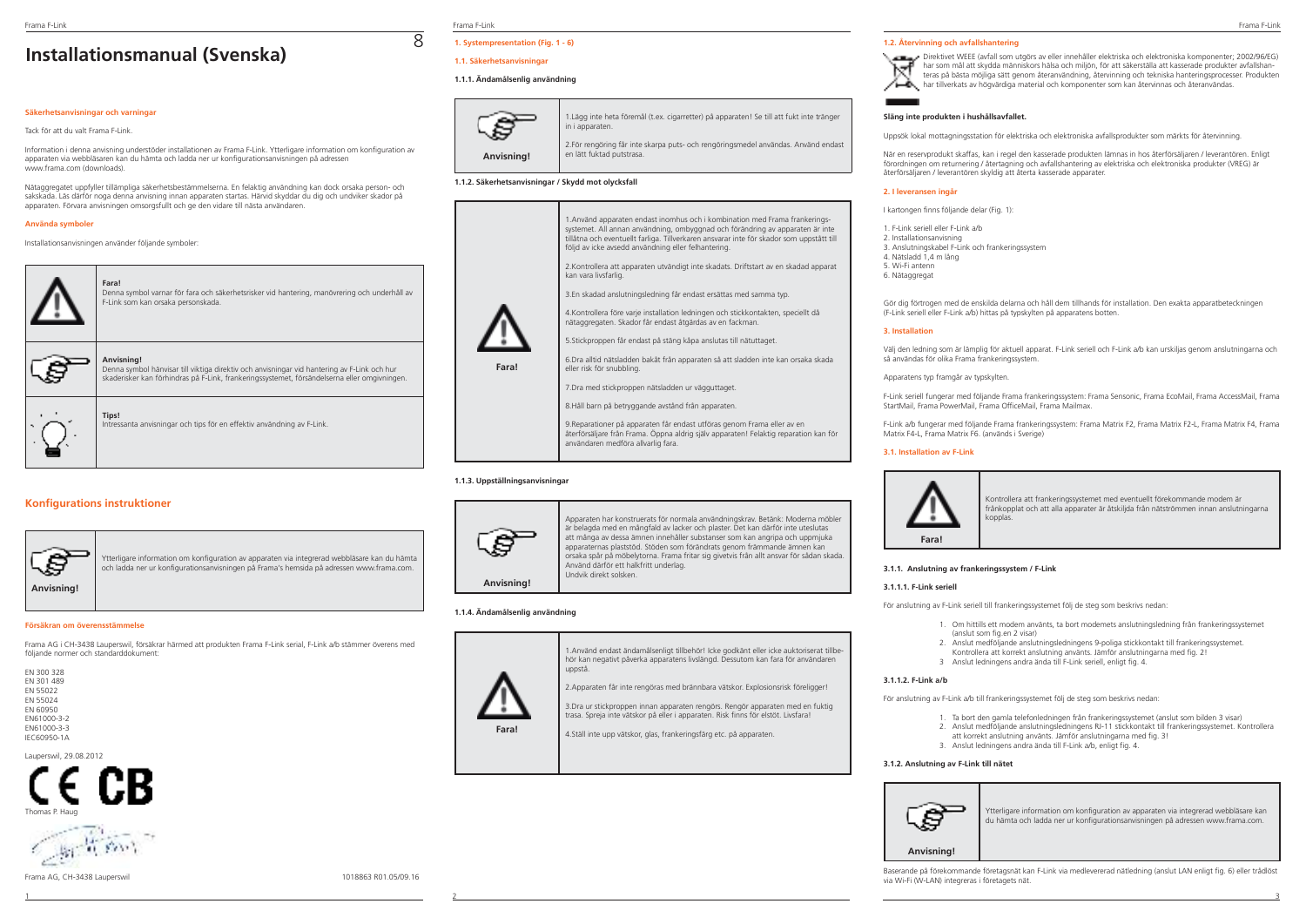# **Installationsmanual (Svenska)**

### **Säkerhetsanvisningar och varningar**

### Tack för att du valt Frama F-Link.

Information i denna anvisning understöder installationen av Frama F-Link. Ytterligare information om konfiguration av apparaten via webbläsaren kan du hämta och ladda ner ur konfigurationsanvisningen på adressen www.frama.com (downloads).

Nätaggregatet uppfyller tillämpliga säkerhetsbestämmelserna. En felaktig användning kan dock orsaka person- och sakskada. Läs därför noga denna anvisning innan apparaten startas. Härvid skyddar du dig och undviker skador på apparaten. Förvara anvisningen omsorgsfullt och ge den vidare till nästa användaren.

### **Använda symboler**

Installationsanvisningen använder följande symboler:



### **Konfigurations instruktioner**



Ytterligare information om konfiguration av apparaten via integrerad webbläsare kan du hämta och ladda ner ur konfigurationsanvisningen på Frama's hemsida på adressen www.frama.com.

### **Försäkran om överensstämmelse**

Frama AG i CH-3438 Lauperswil, försäkrar härmed att produkten Frama F-Link serial, F-Link a/b stämmer överens med följande normer och standarddokument:

| FN 300 328             |
|------------------------|
| FN 301 489<br>FN 55022 |
| FN 55024               |
| <b>FN 60950</b>        |
| FN61000-3-2            |
| FN61000-3-3            |
| IFC60950-1A            |

Lauperswil, 29.08.2012





Frama F-Link Frama F-Link Frama F-Link

8

# **1. Systempresentation (Fig. 1 - 6)**

# **1.1. Säkerhetsanvisningar**

### **1.1.1. Ändamålsenlig användning**



| 1. Lägg inte heta föremål (t.ex. cigarretter) på apparaten! Se till att fukt inte tränger<br>in i apparaten.    |
|-----------------------------------------------------------------------------------------------------------------|
| 2. För rengöring får inte skarpa puts- och rengöringsmedel användas. Använd endast<br>en lätt fuktad putstrasa. |

### **1.1.2. Säkerhetsanvisningar / Skydd mot olycksfall**



9.Reparationer på apparaten får endast utföras genom Frama eller av en återförsäljare från Frama. Öppna aldrig själv apparaten! Felaktig reparation kan för användaren medföra allvarlig fara.

### **1.1.3. Uppställningsanvisningar**



Apparaten har konstruerats för normala användningskrav. Betänk: Moderna möbler är belagda med en mångfald av lacker och plaster. Det kan därför inte uteslutas att många av dessa ämnen innehåller substanser som kan angripa och uppmjuka apparaternas plaststöd. Stöden som förändrats genom främmande ämnen kan orsaka spår på möbelytorna. Frama fritar sig givetvis från allt ansvar för sådan skada. Använd därför ett halkfritt underlag. Undvik direkt solsken.

### **1.1.4. Ändamålsenlig användning**



1.Använd endast ändamålsenligt tillbehör! Icke godkänt eller icke auktoriserat tillbehör kan negativt påverka apparatens livslängd. Dessutom kan fara för användaren uppstå.

2.Apparaten får inte rengöras med brännbara vätskor. Explosionsrisk föreligger!

3.Dra ur stickproppen innan apparaten rengörs. Rengör apparaten med en fuktig trasa. Spreja inte vätskor på eller i apparaten. Risk finns för elstöt. Livsfara!

4.Ställ inte upp vätskor, glas, frankeringsfärg etc. på apparaten.

### **1.2. Återvinning och avfallshantering**

Direktivet WEEE (avfall som utgörs av eller innehåller elektriska och elektroniska komponenter; 2002/96/EG) har som mål att skydda människors hälsa och miljön, för att säkerställa att kasserade produkter avfallshanteras på bästa möjliga sätt genom återanvändning, återvinning och tekniska hanteringsprocesser. Produkten har tillverkats av högvärdiga material och komponenter som kan återvinnas och återanvändas.

### **Släng inte produkten i hushållsavfallet.**

Uppsök lokal mottagningsstation för elektriska och elektroniska avfallsprodukter som märkts för återvinning.

När en reservprodukt skaffas, kan i regel den kasserade produkten lämnas in hos återförsäljaren / leverantören. Enligt förordningen om returnering / återtagning och avfallshantering av elektriska och elektroniska produkter (VREG) är återförsäljaren / leverantören skyldig att återta kasserade apparater.

### **2. I leveransen ingår**

I kartongen finns följande delar (Fig. 1):

- 1. F-Link seriell eller F-Link a/b 2. Installationsanvisning
- 3. Anslutningskabel F-Link och frankeringssystem 4. Nätsladd 1,4 m lång
- 5. Wi-Fi antenn
- 6. Nätaggregat

Gör dig förtrogen med de enskilda delarna och håll dem tillhands för installation. Den exakta apparatbeteckningen (F-Link seriell eller F-Link a/b) hittas på typskylten på apparatens botten.

### **3. Installation**

Välj den ledning som är lämplig för aktuell apparat. F-Link seriell och F-Link a/b kan urskiljas genom anslutningarna och så användas för olika Frama frankeringssystem.

Apparatens typ framgår av typskylten.

F-Link seriell fungerar med följande Frama frankeringssystem: Frama Sensonic, Frama EcoMail, Frama AccessMail, Frama StartMail, Frama PowerMail, Frama OfficeMail, Frama Mailmax.

F-Link a/b fungerar med följande Frama frankeringssystem: Frama Matrix F2, Frama Matrix F2-L, Frama Matrix F4, Frama Matrix F4-L, Frama Matrix F6. (används i Sverige)

### **3.1. Installation av F-Link**



Kontrollera att frankeringssystemet med eventuellt förekommande modem är frånkopplat och att alla apparater är åtskiljda från nätströmmen innan anslutningarna kopplas.

### **3.1.1. Anslutning av frankeringssystem / F-Link**

### **3.1.1.1. F-Link seriell**

För anslutning av F-Link seriell till frankeringssystemet följ de steg som beskrivs nedan:

- 1. Om hittills ett modem använts, ta bort modemets anslutningsledning från frankeringssystemet (anslut som fig.en 2 visar)
- 2. Anslut medföljande anslutningsledningens 9-poliga stickkontakt till frankeringssystemet. Kontrollera att korrekt anslutning använts. Jämför anslutningarna med fig. 2!
- 3 Anslut ledningens andra ända till F-Link seriell, enligt fig. 4.

### **3.1.1.2. F-Link a/b**

För anslutning av F-Link a/b till frankeringssystemet följ de steg som beskrivs nedan:

- 1. Ta bort den gamla telefonledningen från frankeringssystemet (anslut som bilden 3 visar) 2. Anslut medföljande anslutningsledningens RJ-11 stickkontakt till frankeringssystemet. Kontrollera
- att korrekt anslutning använts. Jämför anslutningarna med fig. 3!
	- 3. Anslut ledningens andra ända till F-Link a/b, enligt fig. 4.

### **3.1.2. Anslutning av F-Link till nätet**



Ytterligare information om konfiguration av apparaten via integrerad webbläsare kan du hämta och ladda ner ur konfigurationsanvisningen på adressen www.frama.com.



Baserande på förekommande företagsnät kan F-Link via medlevererad nätledning (anslut LAN enligt fig. 6) eller trådlöst via Wi-Fi (W-LAN) integreras i företagets nät.

1 2 3

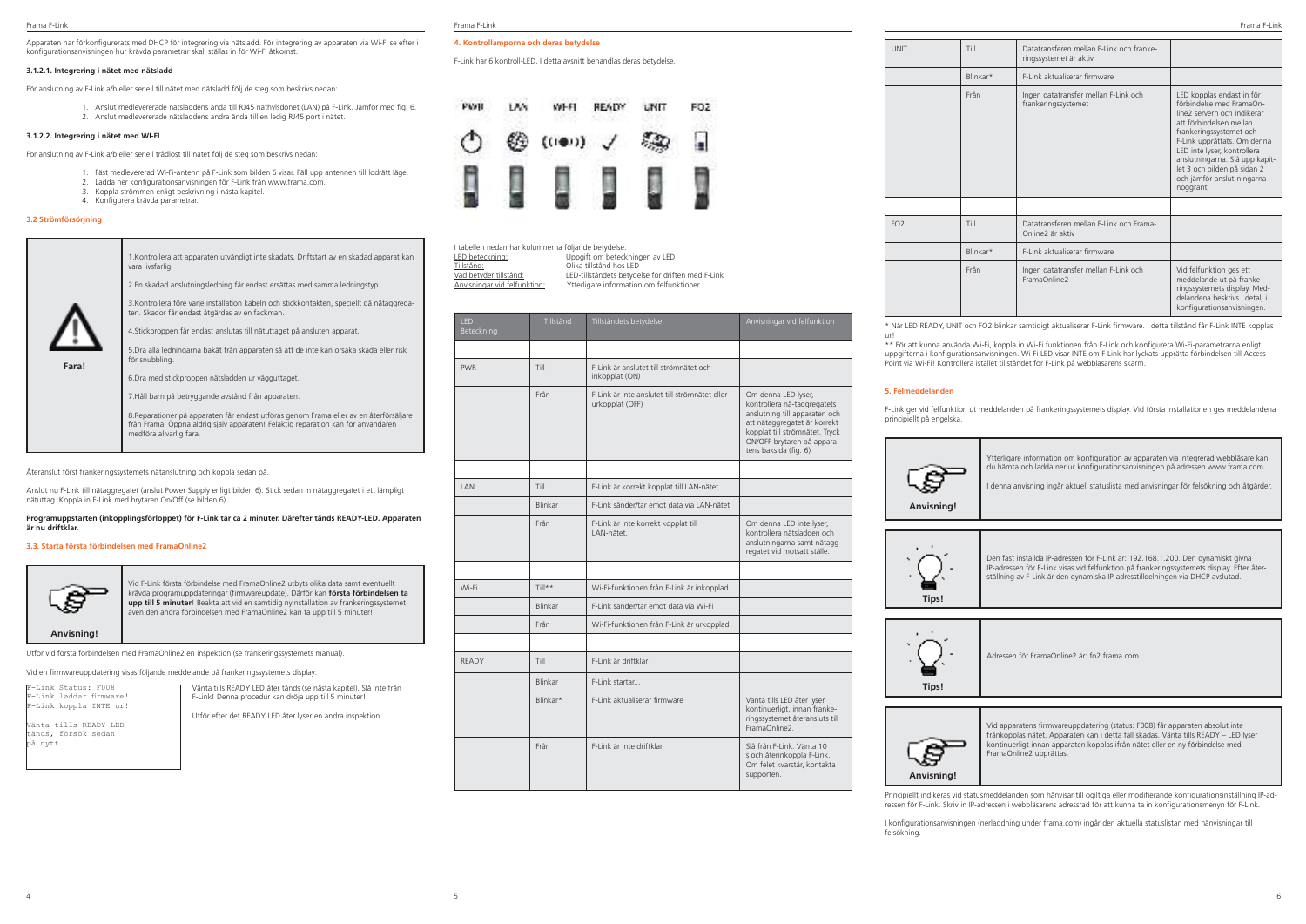Apparaten har förkonfigurerats med DHCP för integrering via nätsladd. För integrering av apparaten via Wi-Fi se efter i konfigurationsanvisningen hur krävda parametrar skall ställas in för Wi-Fi åtkomst.

### **3.1.2.1. Integrering i nätet med nätsladd**

För anslutning av F-Link a/b eller seriell till nätet med nätsladd följ de steg som beskrivs nedan:

 1. Anslut medlevererade nätsladdens ända till RJ45 näthylsdonet (LAN) på F-Link. Jämför med fig. 6. 2. Anslut medlevererade nätsladdens andra ända till en ledig RJ45 port i nätet.

### **3.1.2.2. Integrering i nätet med WI-FI**

För anslutning av F-Link a/b eller seriell trådlöst till nätet följ de steg som beskrivs nedan:

- 1. Fäst medlevererad Wi-Fi-antenn på F-Link som bilden 5 visar. Fäll upp antennen till lodrätt läge.
- 2. Ladda ner konfigurationsanvisningen för F-Link från www.frama.com.
- 3. Koppla strömmen enligt beskrivning i nästa kapitel.
- 4. Konfigurera krävda parametrar.

## **3.2 Strömförsörjning**

**Fara!**



4.Stickproppen får endast anslutas till nätuttaget på ansluten apparat.

5.Dra alla ledningarna bakåt från apparaten så att de inte kan orsaka skada eller risk för snubbling.

6.Dra med stickproppen nätsladden ur vägguttaget.

7.Håll barn på betryggande avstånd från apparaten.

8.Reparationer på apparaten får endast utföras genom Frama eller av en återförsäljare från Frama. Öppna aldrig själv apparaten! Felaktig reparation kan för användaren medföra allvarlig fara.

Återanslut först frankeringssystemets nätanslutning och koppla sedan på.

Anslut nu F-Link till nätaggregatet (anslut Power Supply enligt bilden 6). Stick sedan in nätaggregatet i ett lämpligt nätuttag. Koppla in F-Link med brytaren On/Off (se bilden 6).

### **Programuppstarten (inkopplingsförloppet) för F-Link tar ca 2 minuter. Därefter tänds READY-LED. Apparaten är nu driftklar.**

### **3.3. Starta första förbindelsen med FramaOnline2**



Vid F-Link första förbindelse med FramaOnline2 utbyts olika data samt eventuellt krävda programuppdateringar (firmwareupdate). Därför kan **första förbindelsen ta upp till 5 minuter**! Beakta att vid en samtidig nyinstallation av frankeringssystemet även den andra förbindelsen med FramaOnline2 kan ta upp till 5 minuter!

Utför vid första förbindelsen med FramaOnline2 en inspektion (se frankeringssystemets manual).

Vid en firmwareuppdatering visas följande meddelande på frankeringssystemets display:

F-Link Status: F008 F-Link laddar firmware! F-Link koppla INTE ur!

tänds, försök sedan på nytt.

Vänta tills READY LED

Vänta tills READY LED åter tänds (se nästa kapitel). Slå inte från F-Link! Denna procedur kan dröja upp till 5 minuter!

Utför efter det READY LED åter lyser en andra inspektion.

| ama F-Link |
|------------|
|------------|

### **4. Kontrollamporna och deras betydelse**

F-Link har 6 kontroll-LED. I detta avsnitt behandlas deras betydelse.



| l tabellen nedan har kolumnerna följande betydelse: |                                                   |
|-----------------------------------------------------|---------------------------------------------------|
| LED beteckning:                                     | Uppgift om beteckningen av LED                    |
| Tillstând:                                          | Olika tillstånd hos LED                           |
| Vad betvder tillstånd:                              | LED-tillståndets betydelse för driften med F-Link |
| Anvisningar vid felfunktion:                        | Ytterligare information om felfunktioner          |

| <b>IFD</b><br>Beteckning | Tillstånd | Tillstândets betydelse                                           | Anvisningar vid felfunktion                                                                                                                                                                                  |
|--------------------------|-----------|------------------------------------------------------------------|--------------------------------------------------------------------------------------------------------------------------------------------------------------------------------------------------------------|
|                          |           |                                                                  |                                                                                                                                                                                                              |
| <b>PWR</b>               | Till      | F-Link är anslutet till strömnätet och<br>inkopplat (ON)         |                                                                                                                                                                                                              |
|                          | Frân      | F-Link är inte anslutet till strömnätet eller<br>urkopplat (OFF) | Om denna LED lyser,<br>kontrollera nä-taggregatets<br>anslutning till apparaten och<br>att nätaggregatet är korrekt<br>kopplat till strömnätet. Tryck<br>ON/OFF-brytaren på appara-<br>tens baksida (fig. 6) |
|                          |           |                                                                  |                                                                                                                                                                                                              |
| <b>IAN</b>               | Till      | F-Link är korrekt kopplat till LAN-nätet.                        |                                                                                                                                                                                                              |
|                          | Blinkar   | F-Link sänder/tar emot data via LAN-nätet                        |                                                                                                                                                                                                              |
|                          | Frân      | F-Link är inte korrekt kopplat till<br>LAN-nätet.                | Om denna LED inte lyser,<br>kontrollera nätsladden och<br>anslutningarna samt nätagg-<br>regatet vid motsatt ställe.                                                                                         |
|                          |           |                                                                  |                                                                                                                                                                                                              |
| Wi-Fi                    | $Till**$  | Wi-Fi-funktionen från F-Link är inkopplad.                       |                                                                                                                                                                                                              |
|                          | Blinkar   | F-Link sänder/tar emot data via Wi-Fi                            |                                                                                                                                                                                                              |
|                          | Frân      | Wi-Fi-funktionen från F-Link är urkopplad.                       |                                                                                                                                                                                                              |
|                          |           |                                                                  |                                                                                                                                                                                                              |
| <b>READY</b>             | Till      | F-Link är driftklar                                              |                                                                                                                                                                                                              |
|                          | Blinkar   | F-Link startar                                                   |                                                                                                                                                                                                              |
|                          | Blinkar*  | F-Link aktualiserar firmware                                     | Vänta tills LED åter lyser<br>kontinuerligt, innan franke-<br>ringssystemet återansluts till<br>FramaOnline2                                                                                                 |
|                          | Frân      | F-Link är inte driftklar                                         | Slå från F-Link Vänta 10<br>s och återinkoppla F-Link.<br>Om felet kvarstår, kontakta<br>supporten.                                                                                                          |

4 5 6

UNIT Till Datatransferen mellan F-Link och frankeringssystemet är aktiv Blinkar\* F-Link aktualiserar firmware Från Ingen datatransfer mellan F-Link och frankeringssystemet LED kopplas endast in för förbindelse med FramaOnline2 servern och indikerar att förbindelsen mellan frankeringssystemet och F-Link upprättats. Om denna LED inte lyser, kontrollera anslutningarna. Slå upp kapitlet 3 och bilden på sidan 2 och jämför anslut-ningarna noggrant. FO2 Till Datatransferen mellan F-Link och Frama-Online2 är aktiv Blinkar\* F-Link aktualiserar firmware Från Ingen datatransfer mellan F-Link och FramaOnline2 Vid felfunktion ges ett meddelande ut på frankeringssystemets display. Meddelandena beskrivs i detalj i konfigurationsanvisningen.

\* När LED READY, UNIT och FO2 blinkar samtidigt aktualiserar F-Link firmware. I detta tillstånd får F-Link INTE kopplas ur!

\*\* För att kunna använda Wi-Fi, koppla in Wi-Fi funktionen från F-Link och konfigurera Wi-Fi-parametrarna enligt uppgifterna i konfigurationsanvisningen. Wi-Fi LED visar INTE om F-Link har lyckats upprätta förbindelsen till Access Point via Wi-Fi! Kontrollera istället tillståndet för F-Link på webbläsarens skärm.

### **5. Felmeddelanden**

F-Link ger vid felfunktion ut meddelanden på frankeringssystemets display. Vid första installationen ges meddelandena principiellt på engelska.





Vid apparatens firmwareuppdatering (status: F008) får apparaten absolut inte frånkopplas nätet. Apparaten kan i detta fall skadas. Vänta tills READY – LED lyser kontinuerligt innan apparaten kopplas ifrån nätet eller en ny förbindelse med FramaOnline2 upprättas.

Principiellt indikeras vid statusmeddelanden som hänvisar till ogiltiga eller modifierande konfigurationsinställning IP-adressen för F-Link. Skriv in IP-adressen i webbläsarens adressrad för att kunna ta in konfigurationsmenyn för F-Link.

I konfigurationsanvisningen (nerladdning under frama.com) ingår den aktuella statuslistan med hänvisningar till felsökning.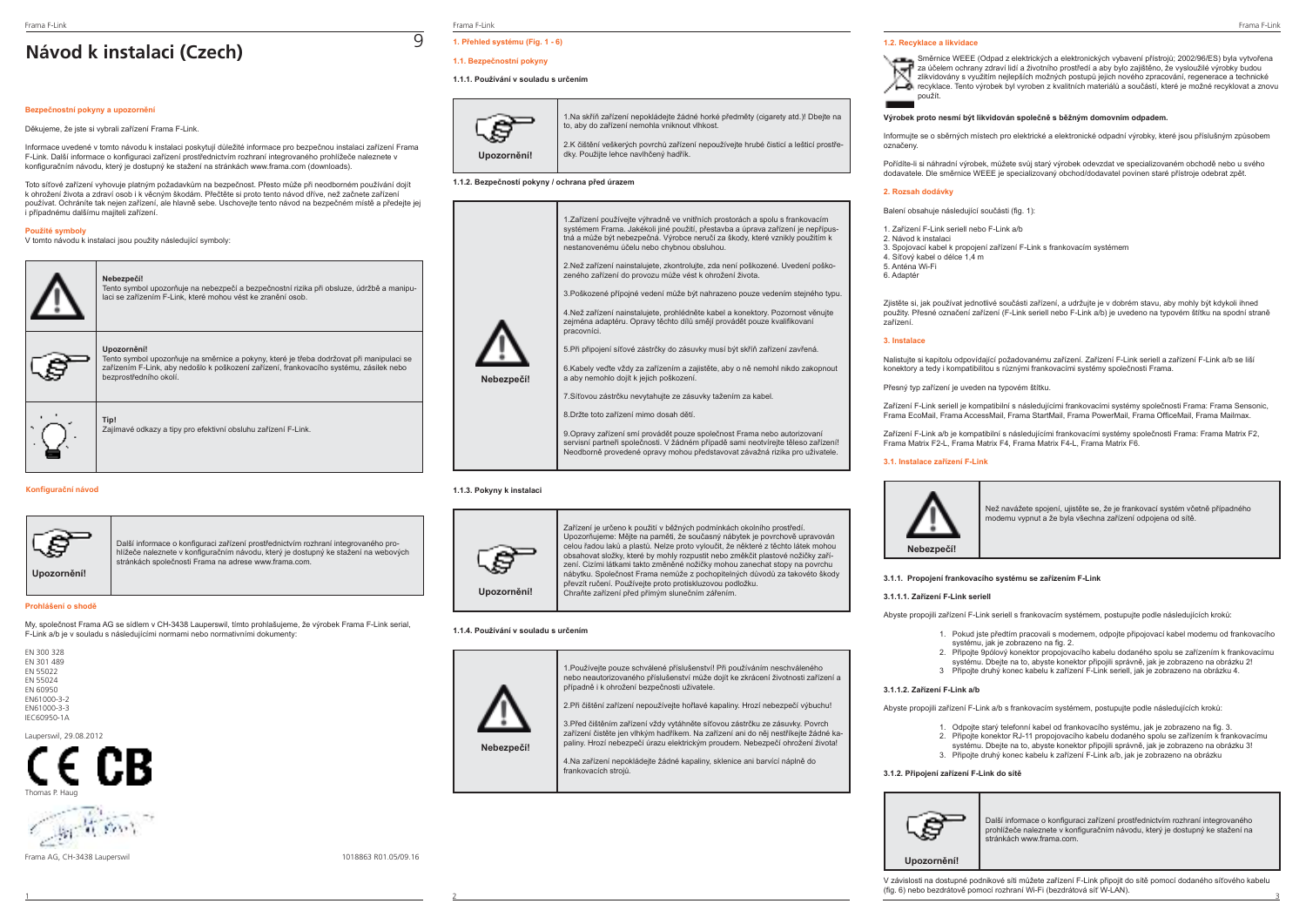# **Návod k instalaci (Czech)**

### **Bezpečnostní pokyny a upozornění**

Děkujeme, že jste si vybrali zařízení Frama F-Link.

Informace uvedené v tomto návodu k instalaci poskytují důležité informace pro bezpečnou instalaci zařízení Frama F-Link. Další informace o konfiguraci zařízení prostřednictvím rozhraní integrovaného prohlížeče naleznete v konfiguračním návodu, který je dostupný ke stažení na stránkách www.frama.com (downloads).

Toto síťové zařízení vyhovuje platným požadavkům na bezpečnost. Přesto může při neodborném používání dojít k ohrožení života a zdraví osob i k věcným škodám. Přečtěte si proto tento návod dříve, než začnete zařízení používat. Ochráníte tak nejen zařízení, ale hlavně sebe. Uschovejte tento návod na bezpečném místě a předejte jej i případnému dalšímu majiteli zařízení.

## **Použité symboly**

V tomto návodu k instalaci jsou použity následující symboly:



### **Konfigurační návod**



Další informace o konfiguraci zařízení prostřednictvím rozhraní integrovaného prohlížeče naleznete v konfiguračním návodu, který je dostupný ke stažení na webových stránkách společnosti Frama na adrese www.frama.com.

### **Prohlášení o shodě**

My, společnost Frama AG se sídlem v CH-3438 Lauperswil, tímto prohlašujeme, že výrobek Frama F-Link serial, F-Link a/b je v souladu s následujícími normami nebo normativními dokumenty:

EN 300 328 EN 301 489 EN 55022 EN 55024 EN 60950 EN61000-3-2 EN61000-3-3 IEC60950-1A

Lauperswil, 29.08.2012



 $\mathbb{Z}_{\mathbb{R}}$  find

Frama AG, CH-3438 Lauperswil 1018863 R01.05/09.16

Frama F-Link Frama F-Link Frama F-Link

9

# **1. Přehled systému (Fig. 1 - 6)**

# **1.1. Bezpečnostní pokyny**

### **1.1.1. Používání v souladu s určením**



1.Na skříň zařízení nepokládejte žádné horké předměty (cigarety atd.)! Dbejte na to, aby do zařízení nemohla vniknout vlhkost. 2.K čištění veškerých povrchů zařízení nepoužívejte hrubé čisticí a lešticí prostředky. Použijte lehce navlhčený hadřík.

### **1.1.2. Bezpečností pokyny / ochrana před úrazem**



### **1.1.3. Pokyny k instalaci**



Zařízení je určeno k použití v běžných podmínkách okolního prostředí. Upozorňujeme: Mějte na paměti, že současný nábytek je povrchově upravován celou řadou laků a plastů. Nelze proto vyloučit, že některé z těchto látek mohou obsahovat složky, které by mohly rozpustit nebo změkčit plastové nožičky zařízení. Cizími látkami takto změněné nožičky mohou zanechat stopy na povrchu nábytku. Společnost Frama nemůže z pochopitelných důvodů za takovéto škody převzít ručení. Používejte proto protiskluzovou podložku. Chraňte zařízení před přímým slunečním zářením.

### **1.1.4. Používání v souladu s určením**



1.Používejte pouze schválené příslušenství! Při používáním neschváleného nebo neautorizovaného příslušenství může dojít ke zkrácení životnosti zařízení a případně i k ohrožení bezpečnosti uživatele. 2.Při čištění zařízení nepoužívejte hořlavé kapaliny. Hrozí nebezpečí výbuchu!

3.Před čištěním zařízení vždy vytáhněte síťovou zástrčku ze zásuvky. Povrch zařízení čistěte jen vlhkým hadříkem. Na zařízení ani do něj nestříkejte žádné kapaliny. Hrozí nebezpečí úrazu elektrickým proudem. Nebezpečí ohrožení života!

4.Na zařízení nepokládejte žádné kapaliny, sklenice ani barvící náplně do frankovacích strojů.

### **1.2. Recyklace a likvidace**

Směrnice WEEE (Odpad z elektrických a elektronických vybavení přístrojů; 2002/96/ES) byla vytvořena za účelem ochrany zdraví lidí a životního prostředí a aby bylo zajištěno, že vysloužilé výrobky budou zlikvidovány s využitím nejlepších možných postupů jejich nového zpracování, regenerace a technické recyklace. Tento výrobek byl vyroben z kvalitních materiálů a součástí, které je možné recyklovat a znovu



### **Výrobek proto nesmí být likvidován společně s běžným domovním odpadem.**

Informujte se o sběrných místech pro elektrické a elektronické odpadní výrobky, které jsou příslušným způsobem označeny.

Pořídíte-li si náhradní výrobek, můžete svůj starý výrobek odevzdat ve specializovaném obchodě nebo u svého dodavatele. Dle směrnice WEEE je specializovaný obchod/dodavatel povinen staré přístroje odebrat zpět.

### **2. Rozsah dodávky**

Balení obsahuje následující součásti (fig. 1):

- 1. Zařízení F-Link seriell nebo F-Link a/b
- 2. Návod k instalaci
- 3. Spojovací kabel k propojení zařízení F-Link s frankovacím systémem
- $\frac{4.8}{4.8}$  Síťový kabel o délce 1,4 m 5. Anténa Wi-Fi
- 
- 6. Adaptér

Zjistěte si, jak používat jednotlivé součásti zařízení, a udržujte je v dobrém stavu, aby mohly být kdykoli ihned použity. Přesné označení zařízení (F-Link seriell nebo F-Link a/b) je uvedeno na typovém štítku na spodní straně zařízení.

### **3. Instalace**

Nalistujte si kapitolu odpovídající požadovanému zařízení. Zařízení F-Link seriell a zařízení F-Link a/b se liší konektory a tedy i kompatibilitou s různými frankovacími systémy společnosti Frama.

Přesný typ zařízení je uveden na typovém štítku.

Zařízení F-Link seriell je kompatibilní s následujícími frankovacími systémy společnosti Frama: Frama Sensonic, Frama EcoMail, Frama AccessMail, Frama StartMail, Frama PowerMail, Frama OfficeMail, Frama Mailmax.

Zařízení F-Link a/b je kompatibilní s následujícími frankovacími systémy společnosti Frama: Frama Matrix F2, Frama Matrix F2-L, Frama Matrix F4, Frama Matrix F4-L, Frama Matrix F6.

### **3.1. Instalace zařízení F-Link**



Než navážete spojení, ujistěte se, že je frankovací systém včetně případného modemu vypnut a že byla všechna zařízení odpojena od sítě.

### **3.1.1. Propojení frankovacího systému se zařízením F-Link**

### **3.1.1.1. Zařízení F-Link seriell**

Abyste propojili zařízení F-Link seriell s frankovacím systémem, postupujte podle následujících kroků:

- 1. Pokud jste předtím pracovali s modemem, odpojte připojovací kabel modemu od frankovacího systému, jak je zobrazeno na fig. 2.
- 2. Připojte 9pólový konektor propojovacího kabelu dodaného spolu se zařízením k frankovacímu systému. Dbejte na to, abyste konektor připojili správně, jak je zobrazeno na obrázku 2!
- 3 Připojte druhý konec kabelu k zařízení F-Link seriell, jak je zobrazeno na obrázku 4.

### **3.1.1.2. Zařízení F-Link a/b**

Abyste propojili zařízení F-Link a/b s frankovacím systémem, postupujte podle následujících kroků:

- 1. Odpojte starý telefonní kabel od frankovacího systému, jak je zobrazeno na fig. 3.
- 2. Připojte konektor RJ-11 propojovacího kabelu dodaného spolu se zařízením k frankovacímu systému. Dbejte na to, abyste konektor připojili správně, jak je zobrazeno na obrázku 3!
- 3. Připojte druhý konec kabelu k zařízení F-Link a/b, jak je zobrazeno na obrázku

### **3.1.2. Připojení zařízení F-Link do sítě**



**Upozornění!**

Další informace o konfiguraci zařízení prostřednictvím rozhraní integrovaného prohlížeče naleznete v konfiguračním návodu, který je dostupný ke stažení na stránkách www.frama.com.

1 2 3 V závislosti na dostupné podnikové síti můžete zařízení F-Link připojit do sítě pomocí dodaného síťového kabelu (fig. 6) nebo bezdrátově pomocí rozhraní Wi-Fi (bezdrátová síť W-LAN).

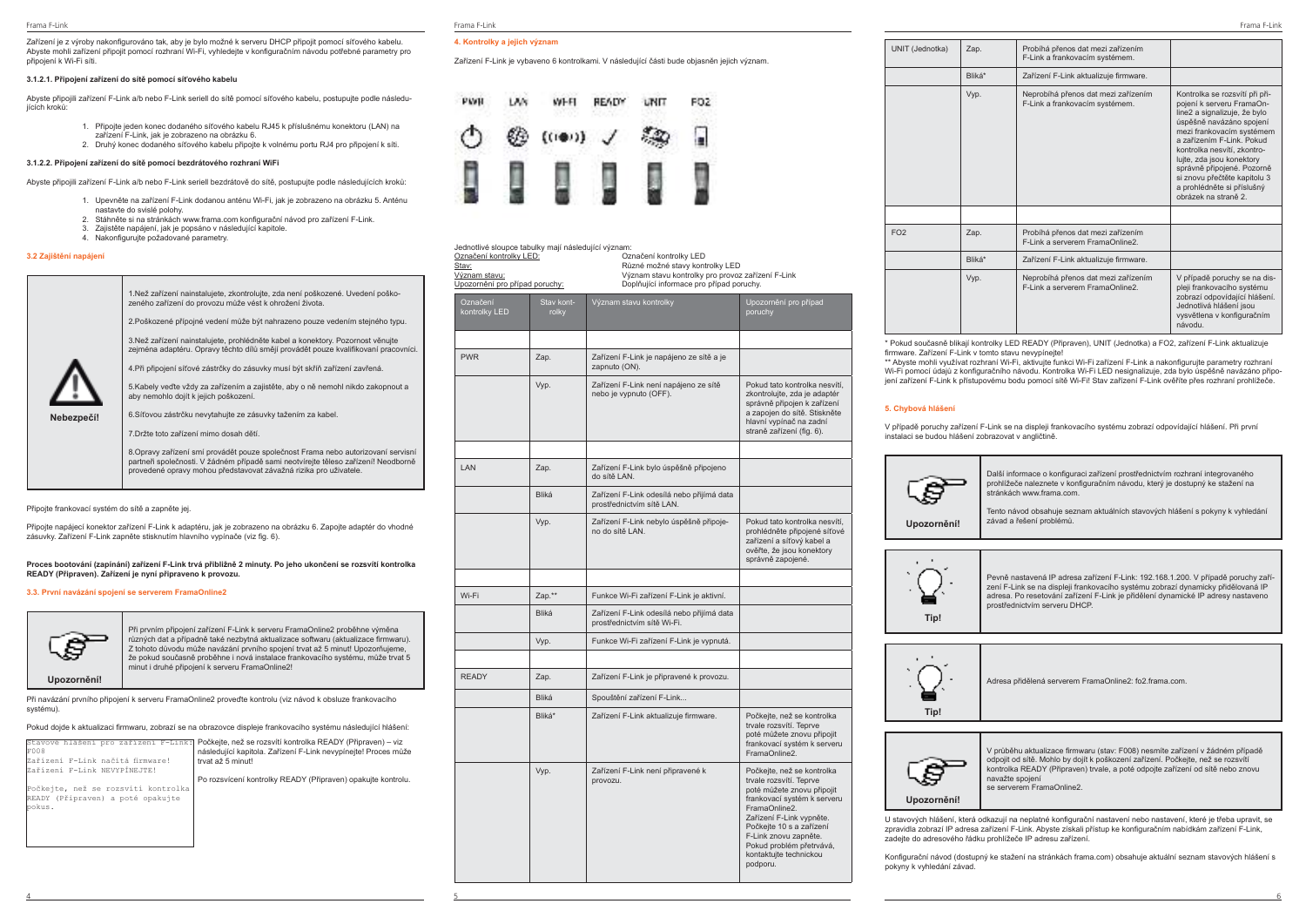Zařízení je z výroby nakonfigurováno tak, aby je bylo možné k serveru DHCP připojit pomocí síťového kabelu. Abyste mohli zařízení připojit pomocí rozhraní Wi-Fi, vyhledejte v konfiguračním návodu potřebné parametry pro připojení k Wi-Fi síti.

### **3.1.2.1. Připojení zařízení do sítě pomocí síťového kabelu**

Abyste připojili zařízení F-Link a/b nebo F-Link seriell do sítě pomocí síťového kabelu, postupujte podle následujících kroků:

- 1. Připojte jeden konec dodaného síťového kabelu RJ45 k příslušnému konektoru (LAN) na zařízení F-Link, jak je zobrazeno na obrázku 6.
- 2. Druhý konec dodaného síťového kabelu připojte k volnému portu RJ4 pro připojení k síti.

### **3.1.2.2. Připojení zařízení do sítě pomocí bezdrátového rozhraní WiFi**

Abyste připojili zařízení F-Link a/b nebo F-Link seriell bezdrátově do sítě, postupujte podle následujících kroků:

- 1. Upevněte na zařízení F-Link dodanou anténu Wi-Fi, jak je zobrazeno na obrázku 5. Anténu nastavte do svislé polohy.
- 2. Stáhněte si na stránkách www.frama.com konfigurační návod pro zařízení F-Link.
- 3. Zajistěte napájení, jak je popsáno v následující kapitole.
- 4. Nakonfigurujte požadované parametry.

### **3.2 Zajištění napájení**

|            | 1. Než zařízení nainstalujete, zkontrolujte, zda není poškozené. Uvedení poško-<br>zeného zařízení do provozu může vést k ohrožení života.                                                                                                   |
|------------|----------------------------------------------------------------------------------------------------------------------------------------------------------------------------------------------------------------------------------------------|
|            | 2. Poškozené přípojné vedení může být nahrazeno pouze vedením stejného typu.                                                                                                                                                                 |
|            | 3. Než zařízení nainstalujete, prohlédněte kabel a konektory. Pozornost věnujte<br>zejména adaptéru. Opravy těchto dílů smějí provádět pouze kvalifikovaní pracovníci.                                                                       |
|            | 4. Při připojení síťové zástrčky do zásuvky musí být skříň zařízení zavřená.                                                                                                                                                                 |
|            | 5. Kabely veďte vždy za zařízením a zajistěte, aby o ně nemohl nikdo zakopnout a<br>aby nemohlo dojít k jejich poškození.                                                                                                                    |
| Nebezpečí! | 6. Síťovou zástrčku nevytahujte ze zásuvky tažením za kabel.                                                                                                                                                                                 |
|            | 7. Držte toto zařízení mimo dosah dětí.                                                                                                                                                                                                      |
|            | 8. Opravy zařízení smí provádět pouze společnost Frama nebo autorizovaní servisní<br>partneři společnosti. V žádném případě sami neotvírejte těleso zařízení! Neodborně<br>provedené opravy mohou představovat závažná rizika pro uživatele. |

Připojte frankovací systém do sítě a zapněte jej.

Připojte napájecí konektor zařízení F-Link k adaptéru, jak je zobrazeno na obrázku 6. Zapojte adaptér do vhodné zásuvky. Zařízení F-Link zapněte stisknutím hlavního vypínače (viz fig. 6).

### **Proces bootování (zapínání) zařízení F-Link trvá přibližně 2 minuty. Po jeho ukončení se rozsvítí kontrolka READY (Připraven). Zařízení je nyní připraveno k provozu.**

### **3.3. První navázání spojení se serverem FramaOnline2**



Při prvním připojení zařízení F-Link k serveru FramaOnline2 proběhne výměna různých dat a případně také nezbytná aktualizace softwaru (aktualizace firmwaru). Z tohoto důvodu může navázání prvního spojení trvat až 5 minut! Upozorňujeme, že pokud současně proběhne i nová instalace frankovacího systému, může trvat 5 minut i druhé připojení k serveru FramaOnline2!

**Upozornění!**

Při navázání prvního připojení k serveru FramaOnline2 proveďte kontrolu (viz návod k obsluze frankovacího systému).

Pokud dojde k aktualizaci firmwaru, zobrazí se na obrazovce displeje frankovacího systému následující hlášení:

|                                     | Stavové hlášení pro zařízení F-Link: Počkejte, než se rozsvítí kontrolka READY (Připraven) – viz |
|-------------------------------------|--------------------------------------------------------------------------------------------------|
| F008                                | následující kapitola. Zařízení F-Link nevvpínejte! Proces může                                   |
| Zařízení F-Link načítá firmware!    | trvat až 5 minut!                                                                                |
| Zařízení F-Link NEVYPÍNEJTE!        |                                                                                                  |
|                                     | Po rozsvícení kontrolky READY (Připraven) opakujte kontrolu.                                     |
| Počkejte, než se rozsvítí kontrolka |                                                                                                  |
| READY (Připraven) a poté opakujte   |                                                                                                  |
| bokus.                              |                                                                                                  |
|                                     |                                                                                                  |
|                                     |                                                                                                  |
|                                     |                                                                                                  |
|                                     |                                                                                                  |

### **4. Kontrolky a jejich význam**

Zařízení F-Link je vybaveno 6 kontrolkami. V následující části bude objasněn jejich význam.



| Jednotlivé sloupce tabulky mají následující význam:<br>Označení kontrolky LED:<br>Stav:<br>Význam stavu:<br>Upozornění pro případ poruchy: |                     | Označení kontrolky LED<br>Různé možné stavy kontrolky LED<br>Význam stavu kontrolky pro provoz zařízení F-Link<br>Doplňující informace pro případ poruchy. |                                                                                                                                                                                                                                                                                        |
|--------------------------------------------------------------------------------------------------------------------------------------------|---------------------|------------------------------------------------------------------------------------------------------------------------------------------------------------|----------------------------------------------------------------------------------------------------------------------------------------------------------------------------------------------------------------------------------------------------------------------------------------|
| Označení<br>kontrolky LED                                                                                                                  | Stav kont-<br>rolky | Význam stavu kontrolky                                                                                                                                     | Upozornění pro případ<br>poruchy                                                                                                                                                                                                                                                       |
|                                                                                                                                            |                     |                                                                                                                                                            |                                                                                                                                                                                                                                                                                        |
| <b>PWR</b>                                                                                                                                 | Zap.                | Zařízení F-Link je napájeno ze sítě a je<br>zapnuto (ON).                                                                                                  |                                                                                                                                                                                                                                                                                        |
|                                                                                                                                            | Vyp.                | Zařízení F-Link není napájeno ze sítě<br>nebo je vypnuto (OFF).                                                                                            | Pokud tato kontrolka nesvítí,<br>zkontrolujte, zda je adaptér<br>správně připojen k zařízení<br>a zapojen do sítě. Stiskněte<br>hlavní vypínač na zadní<br>straně zařízení (fig. 6).                                                                                                   |
|                                                                                                                                            |                     |                                                                                                                                                            |                                                                                                                                                                                                                                                                                        |
| LAN                                                                                                                                        | Zap.                | Zařízení F-Link bylo úspěšně připojeno<br>do sítě LAN.                                                                                                     |                                                                                                                                                                                                                                                                                        |
|                                                                                                                                            | Bliká               | Zařízení F-Link odesílá nebo přijímá data<br>prostřednictvím sítě LAN.                                                                                     |                                                                                                                                                                                                                                                                                        |
|                                                                                                                                            | Vyp.                | Zařízení F-Link nebylo úspěšně připoje-<br>no do sítě LAN.                                                                                                 | Pokud tato kontrolka nesvítí,<br>prohlédněte připojené síťové<br>zařízení a síťový kabel a<br>ověřte, že jsou konektory<br>správně zapojené.                                                                                                                                           |
|                                                                                                                                            |                     |                                                                                                                                                            |                                                                                                                                                                                                                                                                                        |
| Wi-Fi                                                                                                                                      | Zap.**              | Funkce Wi-Fi zařízení F-Link je aktivní.                                                                                                                   |                                                                                                                                                                                                                                                                                        |
|                                                                                                                                            | Bliká               | Zařízení F-Link odesílá nebo přijímá data<br>prostřednictvím sítě Wi-Fi.                                                                                   |                                                                                                                                                                                                                                                                                        |
|                                                                                                                                            | Vyp.                | Funkce Wi-Fi zařízení F-Link je vypnutá.                                                                                                                   |                                                                                                                                                                                                                                                                                        |
|                                                                                                                                            |                     |                                                                                                                                                            |                                                                                                                                                                                                                                                                                        |
| <b>READY</b>                                                                                                                               | Zap.                | Zařízení F-Link je připravené k provozu.                                                                                                                   |                                                                                                                                                                                                                                                                                        |
|                                                                                                                                            | Bliká               | Spouštění zařízení F-Link                                                                                                                                  |                                                                                                                                                                                                                                                                                        |
|                                                                                                                                            | Bliká*              | Zařízení F-Link aktualizuje firmware.                                                                                                                      | Počkejte, než se kontrolka<br>trvale rozsvítí. Teprve<br>poté můžete znovu připojit<br>frankovací systém k serveru<br>FramaOnline2.                                                                                                                                                    |
|                                                                                                                                            | Vyp.                | Zařízení F-Link není připravené k<br>provozu.                                                                                                              | Počkejte, než se kontrolka<br>trvale rozsvítí. Teprve<br>poté můžete znovu připojit<br>frankovací systém k serveru<br>FramaOnline2.<br>Zařízení F-Link vypněte.<br>Počkejte 10 s a zařízení<br>F-Link znovu zapněte.<br>Pokud problém přetrvává,<br>kontaktujte technickou<br>podporu. |

4 5 6

| UNIT (Jednotka) | Zap.   | Probihá přenos dat mezi zařízením<br>F-Link a frankovacím systémem.    |                                                                                                                                                                                                                                                                                                                                                                   |
|-----------------|--------|------------------------------------------------------------------------|-------------------------------------------------------------------------------------------------------------------------------------------------------------------------------------------------------------------------------------------------------------------------------------------------------------------------------------------------------------------|
|                 | Bliká* | Zařízení F-Link aktualizuje firmware.                                  |                                                                                                                                                                                                                                                                                                                                                                   |
|                 | Vyp.   | Neprobíhá přenos dat mezi zařízením<br>F-Link a frankovacím systémem.  | Kontrolka se rozsvítí při při-<br>pojení k serveru FramaOn-<br>line2 a signalizuje, že bylo<br>úspěšně navázáno spojení<br>mezi frankovacím systémem<br>a zařízením F-Link. Pokud<br>kontrolka nesvítí, zkontro-<br>lujte, zda jsou konektory<br>správně připojené. Pozorně<br>si znovu přečtěte kapitolu 3<br>a prohlédněte si příslušný<br>obrázek na straně 2. |
|                 |        |                                                                        |                                                                                                                                                                                                                                                                                                                                                                   |
| FO2             | Zap.   | Probíhá přenos dat mezi zařízením<br>F-Link a serverem FramaOnline2.   |                                                                                                                                                                                                                                                                                                                                                                   |
|                 | Bliká* | Zařízení F-Link aktualizuje firmware.                                  |                                                                                                                                                                                                                                                                                                                                                                   |
|                 | Vyp.   | Neprobíhá přenos dat mezi zařízením<br>F-Link a serverem FramaOnline2. | V případě poruchy se na dis-<br>pleji frankovacího systému<br>zobrazí odpovídající hlášení.<br>Jednotlivá hlášení jsou<br>vysvětlena v konfiguračním<br>návodu.                                                                                                                                                                                                   |

\* Pokud současně blikají kontrolky LED READY (Připraven), UNIT (Jednotka) a FO2, zařízení F-Link aktualizuje firmware. Zařízení F-Link v tomto stavu nevypínejte!

\*\* Abyste mohli využívat rozhraní Wi-Fi, aktivujte funkci Wi-Fi zařízení F-Link a nakonfigurujte parametry rozhraní Wi-Fi pomocí údajů z konfiguračního návodu. Kontrolka Wi-Fi LED nesignalizuje, zda bylo úspěšně navázáno připojení zařízení F-Link k přístupovému bodu pomocí sítě Wi-Fi! Stav zařízení F-Link ověříte přes rozhraní prohlížeče.

### **5. Chybová hlášení**

V případě poruchy zařízení F-Link se na displeji frankovacího systému zobrazí odpovídající hlášení. Při první instalaci se budou hlášení zobrazovat v angličtině.



Další informace o konfiguraci zařízení prostřednictvím rozhraní integrovaného prohlížeče naleznete v konfiguračním návodu, který je dostupný ke stažení na stránkách www.frama.com.

Tento návod obsahuje seznam aktuálních stavových hlášení s pokyny k vyhledání závad a řešení problémů.



Pevně nastavená IP adresa zařízení F-Link: 192.168.1.200. V případě poruchy zařízení F-Link se na displeji frankovacího systému zobrazí dynamicky přidělovaná IP adresa. Po resetování zařízení F-Link je přidělení dynamické IP adresy nastaveno prostřednictvím serveru DHCP.



Adresa přidělená serverem FramaOnline2: fo2.frama.com.



V průběhu aktualizace firmwaru (stav: F008) nesmíte zařízení v žádném případě odpojit od sítě. Mohlo by dojít k poškození zařízení. Počkejte, než se rozsvítí kontrolka READY (Připraven) trvale, a poté odpojte zařízení od sítě nebo znovu navažte spojení se serverem FramaOnline2.

# **Upozornění!**

U stavových hlášení, která odkazují na neplatné konfigurační nastavení nebo nastavení, které je třeba upravit, se zpravidla zobrazí IP adresa zařízení F-Link. Abyste získali přístup ke konfiguračním nabídkám zařízení F-Link, zadejte do adresového řádku prohlížeče IP adresu zařízení.

Konfigurační návod (dostupný ke stažení na stránkách frama.com) obsahuje aktuální seznam stavových hlášení s pokyny k vyhledání závad.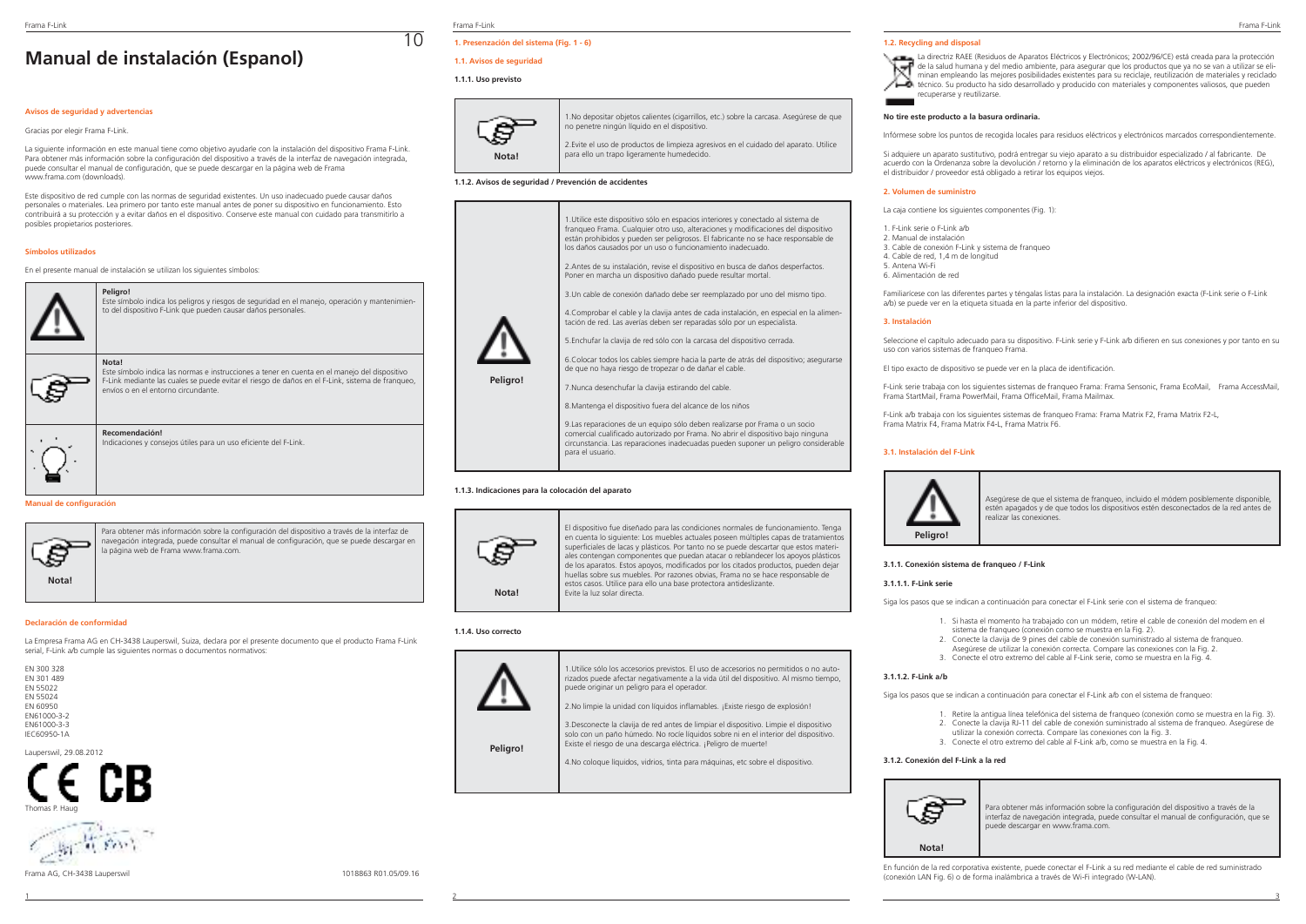# **Manual de instalación (Espanol)**

### **Avisos de seguridad y advertencias**

### Gracias por elegir Frama F-Link.

La siguiente información en este manual tiene como objetivo ayudarle con la instalación del dispositivo Frama F-Link. Para obtener más información sobre la configuración del dispositivo a través de la interfaz de navegación integrada, puede consultar el manual de configuración, que se puede descargar en la página web de Frama .<br>www.frama.com (downloads).

Este dispositivo de red cumple con las normas de seguridad existentes. Un uso inadecuado puede causar daños personales o materiales. Lea primero por tanto este manual antes de poner su dispositivo en funcionamiento. Esto contribuirá a su protección y a evitar daños en el dispositivo. Conserve este manual con cuidado para transmitirlo a posibles propietarios posteriores.

### **Símbolos utilizados**

En el presente manual de instalación se utilizan los siguientes símbolos:



### **Manual de configuración**



Para obtener más información sobre la configuración del dispositivo a través de la interfaz de navegación integrada, puede consultar el manual de configuración, que se puede descargar en la página web de Frama www.frama.com.

### **Declaración de conformidad**

La Empresa Frama AG en CH-3438 Lauperswil, Suiza, declara por el presente documento que el producto Frama F-Link serial, F-Link a/b cumple las siguientes normas o documentos normativos:

| FN 300 328  |
|-------------|
| FN 301 489  |
| FN 55022    |
| FN 55024    |
| FN 60950    |
| FN61000-3-2 |
| FN61000-3-3 |
| IFC60950-1A |

Lauperswil, 29.08.2012



the of the

Frama F-Link Frama F-Link Frama F-Link

10

# **1. Presenzación del sistema (Fig. 1 - 6)**

# **1.1. Avisos de seguridad**

### **1.1.1. Uso previsto**



1.No depositar objetos calientes (cigarrillos, etc.) sobre la carcasa. Asegúrese de que no penetre ningún líquido en el dispositivo. 2.Evite el uso de productos de limpieza agresivos en el cuidado del aparato. Utilice

### **1.1.2. Avisos de seguridad / Prevención de accidentes**



para ello un trapo ligeramente humedecido.

### **1.1.3. Indicaciones para la colocación del aparato**

para el usuario.



El dispositivo fue diseñado para las condiciones normales de funcionamiento. Tenga en cuenta lo siguiente: Los muebles actuales poseen múltiples capas de tratamientos superficiales de lacas y plásticos. Por tanto no se puede descartar que estos materiales contengan componentes que puedan atacar o reblandecer los apoyos plásticos de los aparatos. Estos apoyos, modificados por los citados productos, pueden dejar huellas sobre sus muebles. Por razones obvias, Frama no se hace responsable de estos casos. Utilice para ello una base protectora antideslizante. Evite la luz solar directa.

circunstancia. Las reparaciones inadecuadas pueden suponer un peligro considerable

### **1.1.4. Uso correcto**



**Peligro!**

1.Utilice sólo los accesorios previstos. El uso de accesorios no permitidos o no autorizados puede afectar negativamente a la vida útil del dispositivo. Al mismo tiempo, puede originar un peligro para el operador.

2.No limpie la unidad con líquidos inflamables. ¡Existe riesgo de explosión!

3.Desconecte la clavija de red antes de limpiar el dispositivo. Limpie el dispositivo solo con un paño húmedo. No rocíe líquidos sobre ni en el interior del dispositivo. Existe el riesgo de una descarga eléctrica. ¡Peligro de muerte!

4.No coloque líquidos, vidrios, tinta para máquinas, etc sobre el dispositivo.

### **1.2. Recycling and disposal**



### **No tire este producto a la basura ordinaria.**

Infórmese sobre los puntos de recogida locales para residuos eléctricos y electrónicos marcados correspondientemente.

Si adquiere un aparato sustitutivo, podrá entregar su viejo aparato a su distribuidor especializado / al fabricante. De acuerdo con la Ordenanza sobre la devolución / retorno y la eliminación de los aparatos eléctricos y electrónicos (REG), el distribuidor / proveedor está obligado a retirar los equipos viejos.

### **2. Volumen de suministro**

La caja contiene los siguientes componentes (Fig. 1):

- 1. F-Link serie o F-Link a/b 2. Manual de instalación 3. Cable de conexión F-Link y sistema de franqueo 4. Cable de red, 1,4 m de longitud 5. Antena Wi-Fi
- 6. Alimentación de red

Familiarícese con las diferentes partes y téngalas listas para la instalación. La designación exacta (F-Link serie o F-Link a/b) se puede ver en la etiqueta situada en la parte inferior del dispositivo.

### **3. Instalación**

Seleccione el capítulo adecuado para su dispositivo. F-Link serie y F-Link a/b difieren en sus conexiones y por tanto en su uso con varios sistemas de franqueo Frama.

El tipo exacto de dispositivo se puede ver en la placa de identificación.

F-Link serie trabaja con los siguientes sistemas de franqueo Frama: Frama Sensonic, Frama EcoMail, Frama AccessMail, Frama StartMail, Frama PowerMail, Frama OfficeMail, Frama Mailmax.

F-Link a/b trabaja con los siguientes sistemas de franqueo Frama: Frama Matrix F2, Frama Matrix F2-L, Frama Matrix F4, Frama Matrix F4-L, Frama Matrix F6.

### **3.1. Instalación del F-Link**



Asegúrese de que el sistema de franqueo, incluido el módem posiblemente disponible, estén apagados y de que todos los dispositivos estén desconectados de la red antes de realizar las conexiones.

**3.1.1. Conexión sistema de franqueo / F-Link**

### **3.1.1.1. F-Link serie**

Siga los pasos que se indican a continuación para conectar el F-Link serie con el sistema de franqueo:

- 1. Si hasta el momento ha trabajado con un módem, retire el cable de conexión del modem en el sistema de franqueo (conexión como se muestra en la Fig. 2).
- 2. Conecte la clavija de 9 pines del cable de conexión suministrado al sistema de franqueo.
- Asegúrese de utilizar la conexión correcta. Compare las conexiones con la Fig. 2.
- 3. Conecte el otro extremo del cable al F-Link serie, como se muestra en la Fig. 4.

### **3.1.1.2. F-Link a/b**

Siga los pasos que se indican a continuación para conectar el F-Link a/b con el sistema de franqueo:

- 1. Retire la antigua línea telefónica del sistema de franqueo (conexión como se muestra en la Fig. 3).
- 2. Conecte la clavija RJ-11 del cable de conexión suministrado al sistema de franqueo. Asegúrese de utilizar la conexión correcta. Compare las conexiones con la Fig. 3.
- 3. Conecte el otro extremo del cable al F-Link a/b, como se muestra en la Fig. 4.
- 

# **3.1.2. Conexión del F-Link a la red**



Para obtener más información sobre la configuración del dispositivo a través de la interfaz de navegación integrada, puede consultar el manual de configuración, que se puede descargar en www.frama.com.

**Nota!**

En función de la red corporativa existente, puede conectar el F-Link a su red mediante el cable de red suministrado (conexión LAN Fig. 6) o de forma inalámbrica a través de Wi-Fi integrado (W-LAN).





Frama AG, CH-3438 Lauperswil 1018863 R01.05/09.16

1 2 3